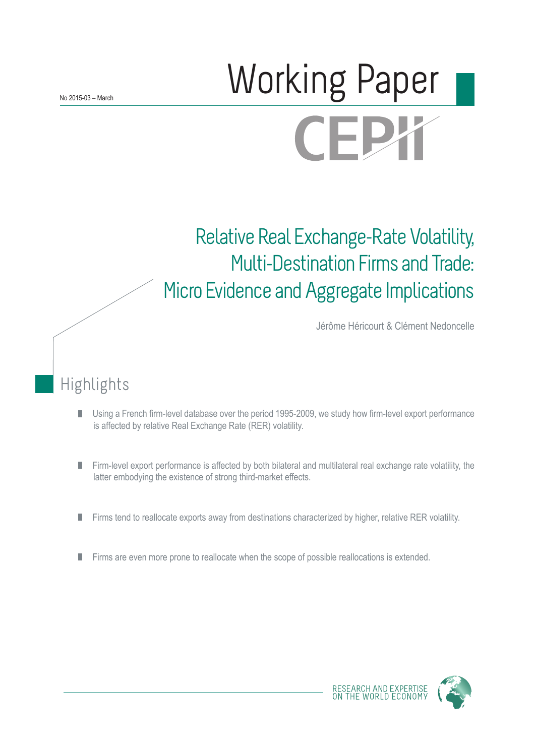# **Morking Paper CEPX**

## Relative Real Exchange-Rate Volatility, Multi-Destination Firms and Trade: Micro Evidence and Aggregate Implications

Jérôme Héricourt & Clément Nedoncelle

## Highlights

- Using a French firm-level database over the period 1995-2009, we study how firm-level export performance П is affected by relative Real Exchange Rate (RER) volatility.
- Firm-level export performance is affected by both bilateral and multilateral real exchange rate volatility, the П latter embodying the existence of strong third-market effects.
- Firms tend to reallocate exports away from destinations characterized by higher, relative RER volatility. П
- $\mathcal{C}$ Firms are even more prone to reallocate when the scope of possible reallocations is extended.

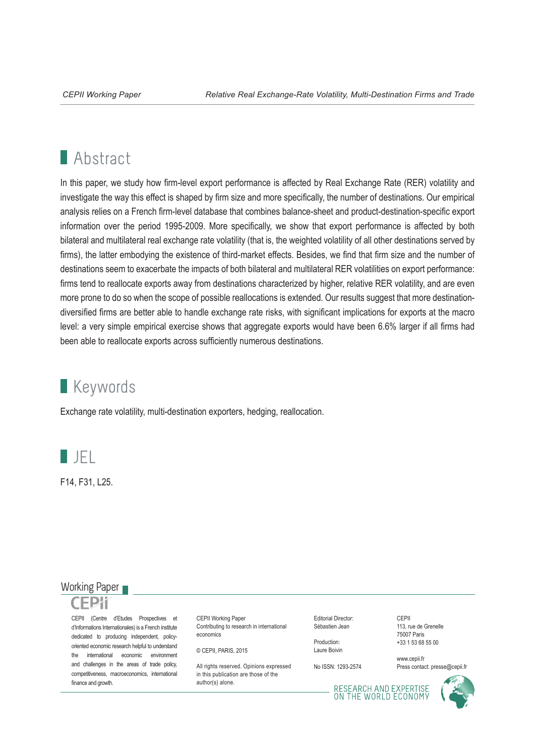## **Abstract**

In this paper, we study how firm-level export performance is affected by Real Exchange Rate (RER) volatility and investigate the way this effect is shaped by firm size and more specifically, the number of destinations. Our empirical analysis relies on a French firm-level database that combines balance-sheet and product-destination-specific export information over the period 1995-2009. More specifically, we show that export performance is affected by both bilateral and multilateral real exchange rate volatility (that is, the weighted volatility of all other destinations served by firms), the latter embodying the existence of third-market effects. Besides, we find that firm size and the number of destinations seem to exacerbate the impacts of both bilateral and multilateral RER volatilities on export performance: firms tend to reallocate exports away from destinations characterized by higher, relative RER volatility, and are even more prone to do so when the scope of possible reallocations is extended. Our results suggest that more destinationdiversified firms are better able to handle exchange rate risks, with significant implications for exports at the macro level: a very simple empirical exercise shows that aggregate exports would have been 6.6% larger if all firms had been able to reallocate exports across sufficiently numerous destinations.

## **Keywords**

Exchange rate volatility, multi-destination exporters, hedging, reallocation.



F14, F31, L25.

#### Working Paper

CEPII (Centre d'Etudes Prospectives et d'Informations Internationales) is a French institute dedicated to producing independent, policyoriented economic research helpful to understand the international economic environment and challenges in the areas of trade policy, competitiveness, macroeconomics, international finance and growth.

CEPII Working Paper Contributing to research in international economics

© CEPII, PARIS, 2015

All rights reserved. Opinions expressed. in this publication are those of the author(s) alone.

Editorial Director: Sébastien Jean

Production: Laure Boivin

No ISSN: 1293-2574

CEPII 113, rue de Grenelle 75007 Paris +33 1 53 68 55 00

www.cepii.fr Press contact: presse@cepii.fr

RESEARCH AND EXPERTISE<br>ON THE WORLD ECONOMY

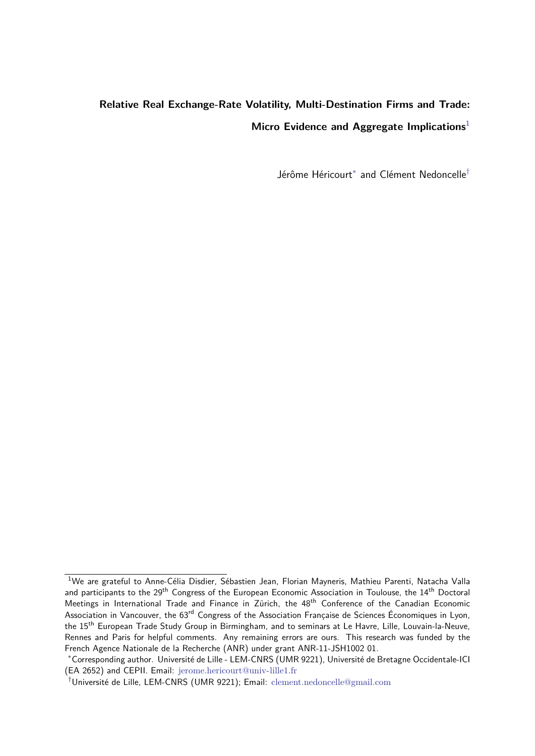### <span id="page-2-0"></span>**Relative Real Exchange-Rate Volatility, Multi-Destination Firms and Trade: Micro Evidence and Aggregate Implications**<sup>1</sup>

Jérôme Héricourt<sup>∗</sup> and Clément Nedoncelle†

<sup>&</sup>lt;sup>1</sup>We are grateful to Anne-Célia Disdier, Sébastien Jean, Florian Mayneris, Mathieu Parenti, Natacha Valla and participants to the 29<sup>th</sup> Congress of the European Economic Association in Toulouse, the 14<sup>th</sup> Doctoral Meetings in International Trade and Finance in Zürich, the 48<sup>th</sup> Conference of the Canadian Economic Association in Vancouver, the 63<sup>rd</sup> Congress of the Association Francaise de Sciences Économiques in Lyon, the 15<sup>th</sup> European Trade Study Group in Birmingham, and to seminars at Le Havre, Lille, Louvain-la-Neuve, Rennes and Paris for helpful comments. Any remaining errors are ours. This research was funded by the French Agence Nationale de la Recherche (ANR) under grant ANR-11-JSH1002 01.

<sup>∗</sup>Corresponding author. Université de Lille - LEM-CNRS (UMR 9221), Université de Bretagne Occidentale-ICI (EA 2652) and CEPII. Email: <jerome.hericourt@univ-lille1.fr>

<sup>†</sup>Université de Lille, LEM-CNRS (UMR 9221); Email: <clement.nedoncelle@gmail.com>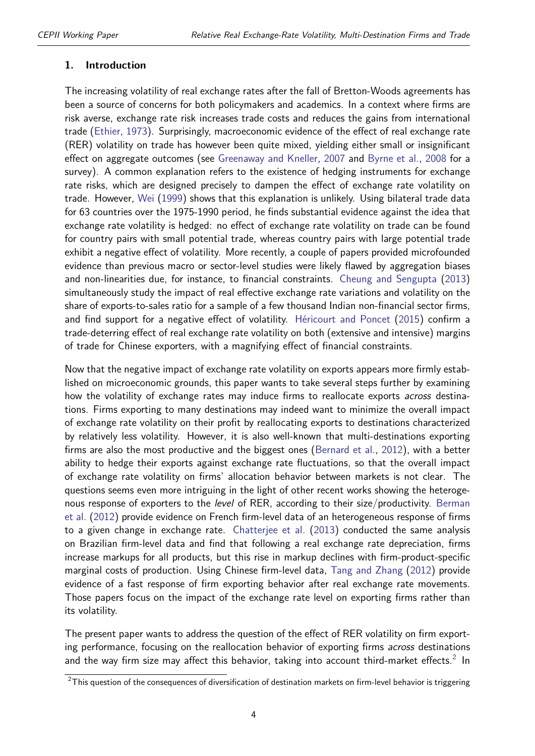#### **1. Introduction**

The increasing volatility of real exchange rates after the fall of Bretton-Woods agreements has been a source of concerns for both policymakers and academics. In a context where firms are risk averse, exchange rate risk increases trade costs and reduces the gains from international trade [\(Ethier,](#page-42-0) [1973\)](#page-42-0). Surprisingly, macroeconomic evidence of the effect of real exchange rate (RER) volatility on trade has however been quite mixed, yielding either small or insignificant effect on aggregate outcomes (see [Greenaway and Kneller,](#page-42-1) [2007](#page-42-1) and [Byrne et al.,](#page-41-0) [2008](#page-41-0) for a survey). A common explanation refers to the existence of hedging instruments for exchange rate risks, which are designed precisely to dampen the effect of exchange rate volatility on trade. However, [Wei](#page-42-2) [\(1999\)](#page-42-2) shows that this explanation is unlikely. Using bilateral trade data for 63 countries over the 1975-1990 period, he finds substantial evidence against the idea that exchange rate volatility is hedged: no effect of exchange rate volatility on trade can be found for country pairs with small potential trade, whereas country pairs with large potential trade exhibit a negative effect of volatility. More recently, a couple of papers provided microfounded evidence than previous macro or sector-level studies were likely flawed by aggregation biases and non-linearities due, for instance, to financial constraints. [Cheung and Sengupta](#page-41-1) [\(2013\)](#page-41-1) simultaneously study the impact of real effective exchange rate variations and volatility on the share of exports-to-sales ratio for a sample of a few thousand Indian non-financial sector firms, and find support for a negative effect of volatility. [Héricourt and Poncet](#page-42-3) [\(2015\)](#page-42-3) confirm a trade-deterring effect of real exchange rate volatility on both (extensive and intensive) margins of trade for Chinese exporters, with a magnifying effect of financial constraints.

Now that the negative impact of exchange rate volatility on exports appears more firmly established on microeconomic grounds, this paper wants to take several steps further by examining how the volatility of exchange rates may induce firms to reallocate exports *across* destinations. Firms exporting to many destinations may indeed want to minimize the overall impact of exchange rate volatility on their profit by reallocating exports to destinations characterized by relatively less volatility. However, it is also well-known that multi-destinations exporting firms are also the most productive and the biggest ones [\(Bernard et al.,](#page-41-2) [2012\)](#page-41-2), with a better ability to hedge their exports against exchange rate fluctuations, so that the overall impact of exchange rate volatility on firms' allocation behavior between markets is not clear. The questions seems even more intriguing in the light of other recent works showing the heteroge-nous response of exporters to the level of RER, according to their size/productivity. [Berman](#page-41-3) [et al.](#page-41-3) [\(2012\)](#page-41-3) provide evidence on French firm-level data of an heterogeneous response of firms to a given change in exchange rate. [Chatterjee et al.](#page-41-4) [\(2013\)](#page-41-4) conducted the same analysis on Brazilian firm-level data and find that following a real exchange rate depreciation, firms increase markups for all products, but this rise in markup declines with firm-product-specific marginal costs of production. Using Chinese firm-level data, [Tang and Zhang](#page-42-4) [\(2012\)](#page-42-4) provide evidence of a fast response of firm exporting behavior after real exchange rate movements. Those papers focus on the impact of the exchange rate level on exporting firms rather than its volatility.

The present paper wants to address the question of the effect of RER volatility on firm exporting performance, focusing on the reallocation behavior of exporting firms *across* destinations and the way firm size may affect this behavior, taking into account third-market effects.<sup>[2](#page-2-0)</sup> In

 $2$ This question of the consequences of diversification of destination markets on firm-level behavior is triggering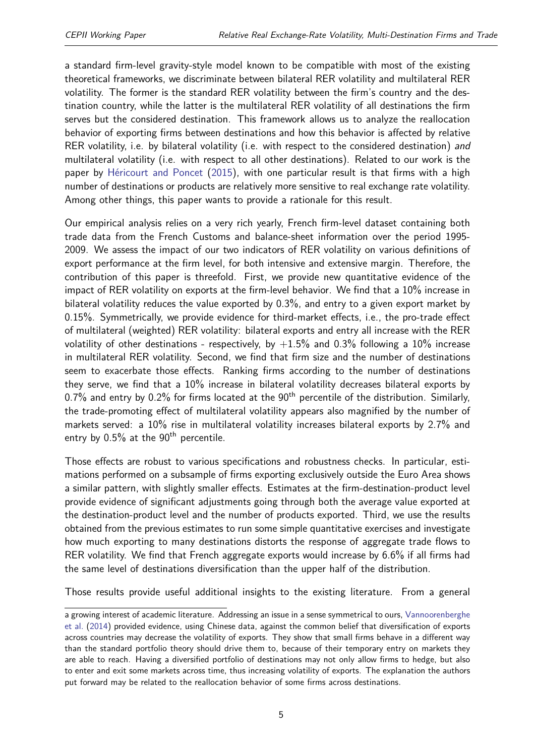a standard firm-level gravity-style model known to be compatible with most of the existing theoretical frameworks, we discriminate between bilateral RER volatility and multilateral RER volatility. The former is the standard RER volatility between the firm's country and the destination country, while the latter is the multilateral RER volatility of all destinations the firm serves but the considered destination. This framework allows us to analyze the reallocation behavior of exporting firms between destinations and how this behavior is affected by relative RER volatility, i.e. by bilateral volatility (i.e. with respect to the considered destination) and multilateral volatility (i.e. with respect to all other destinations). Related to our work is the paper by [Héricourt and Poncet](#page-42-3) [\(2015\)](#page-42-3), with one particular result is that firms with a high number of destinations or products are relatively more sensitive to real exchange rate volatility. Among other things, this paper wants to provide a rationale for this result.

Our empirical analysis relies on a very rich yearly, French firm-level dataset containing both trade data from the French Customs and balance-sheet information over the period 1995- 2009. We assess the impact of our two indicators of RER volatility on various definitions of export performance at the firm level, for both intensive and extensive margin. Therefore, the contribution of this paper is threefold. First, we provide new quantitative evidence of the impact of RER volatility on exports at the firm-level behavior. We find that a 10% increase in bilateral volatility reduces the value exported by 0.3%, and entry to a given export market by 0.15%. Symmetrically, we provide evidence for third-market effects, i.e., the pro-trade effect of multilateral (weighted) RER volatility: bilateral exports and entry all increase with the RER volatility of other destinations - respectively, by  $+1.5\%$  and 0.3% following a 10% increase in multilateral RER volatility. Second, we find that firm size and the number of destinations seem to exacerbate those effects. Ranking firms according to the number of destinations they serve, we find that a 10% increase in bilateral volatility decreases bilateral exports by 0.7% and entry by 0.2% for firms located at the  $90<sup>th</sup>$  percentile of the distribution. Similarly, the trade-promoting effect of multilateral volatility appears also magnified by the number of markets served: a 10% rise in multilateral volatility increases bilateral exports by 2.7% and entry by  $0.5\%$  at the  $90<sup>th</sup>$  percentile.

Those effects are robust to various specifications and robustness checks. In particular, estimations performed on a subsample of firms exporting exclusively outside the Euro Area shows a similar pattern, with slightly smaller effects. Estimates at the firm-destination-product level provide evidence of significant adjustments going through both the average value exported at the destination-product level and the number of products exported. Third, we use the results obtained from the previous estimates to run some simple quantitative exercises and investigate how much exporting to many destinations distorts the response of aggregate trade flows to RER volatility. We find that French aggregate exports would increase by 6.6% if all firms had the same level of destinations diversification than the upper half of the distribution.

Those results provide useful additional insights to the existing literature. From a general

a growing interest of academic literature. Addressing an issue in a sense symmetrical to ours, [Vannoorenberghe](#page-42-5) [et al.](#page-42-5) [\(2014\)](#page-42-5) provided evidence, using Chinese data, against the common belief that diversification of exports across countries may decrease the volatility of exports. They show that small firms behave in a different way than the standard portfolio theory should drive them to, because of their temporary entry on markets they are able to reach. Having a diversified portfolio of destinations may not only allow firms to hedge, but also to enter and exit some markets across time, thus increasing volatility of exports. The explanation the authors put forward may be related to the reallocation behavior of some firms across destinations.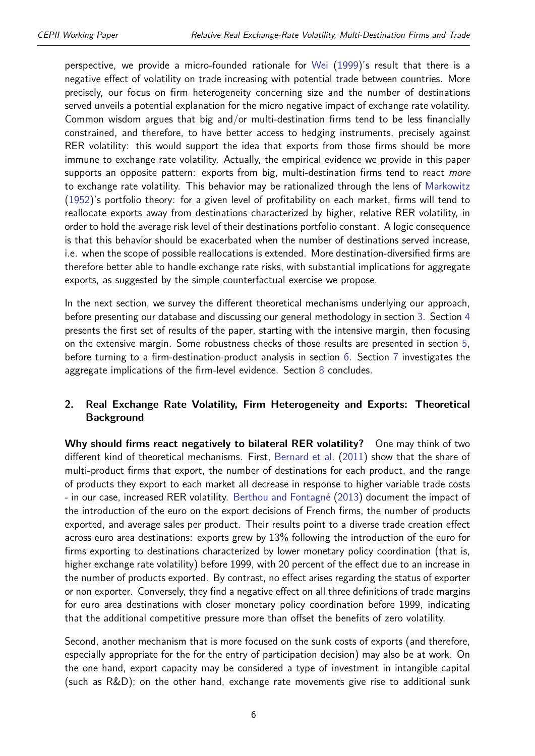perspective, we provide a micro-founded rationale for [Wei](#page-42-2) [\(1999\)](#page-42-2)'s result that there is a negative effect of volatility on trade increasing with potential trade between countries. More precisely, our focus on firm heterogeneity concerning size and the number of destinations served unveils a potential explanation for the micro negative impact of exchange rate volatility. Common wisdom argues that big and/or multi-destination firms tend to be less financially constrained, and therefore, to have better access to hedging instruments, precisely against RER volatility: this would support the idea that exports from those firms should be more immune to exchange rate volatility. Actually, the empirical evidence we provide in this paper supports an opposite pattern: exports from big, multi-destination firms tend to react more to exchange rate volatility. This behavior may be rationalized through the lens of [Markowitz](#page-42-6) [\(1952\)](#page-42-6)'s portfolio theory: for a given level of profitability on each market, firms will tend to reallocate exports away from destinations characterized by higher, relative RER volatility, in order to hold the average risk level of their destinations portfolio constant. A logic consequence is that this behavior should be exacerbated when the number of destinations served increase, i.e. when the scope of possible reallocations is extended. More destination-diversified firms are therefore better able to handle exchange rate risks, with substantial implications for aggregate exports, as suggested by the simple counterfactual exercise we propose.

In the next section, we survey the different theoretical mechanisms underlying our approach, before presenting our database and discussing our general methodology in section [3.](#page-8-0) Section [4](#page-12-0) presents the first set of results of the paper, starting with the intensive margin, then focusing on the extensive margin. Some robustness checks of those results are presented in section [5,](#page-25-0) before turning to a firm-destination-product analysis in section [6.](#page-34-0) Section [7](#page-39-0) investigates the aggregate implications of the firm-level evidence. Section [8](#page-40-0) concludes.

#### <span id="page-5-0"></span>**2. Real Exchange Rate Volatility, Firm Heterogeneity and Exports: Theoretical Background**

**Why should firms react negatively to bilateral RER volatility?** One may think of two different kind of theoretical mechanisms. First, [Bernard et al.](#page-41-5) [\(2011\)](#page-41-5) show that the share of multi-product firms that export, the number of destinations for each product, and the range of products they export to each market all decrease in response to higher variable trade costs - in our case, increased RER volatility. [Berthou and Fontagné](#page-41-6) [\(2013\)](#page-41-6) document the impact of the introduction of the euro on the export decisions of French firms, the number of products exported, and average sales per product. Their results point to a diverse trade creation effect across euro area destinations: exports grew by 13% following the introduction of the euro for firms exporting to destinations characterized by lower monetary policy coordination (that is, higher exchange rate volatility) before 1999, with 20 percent of the effect due to an increase in the number of products exported. By contrast, no effect arises regarding the status of exporter or non exporter. Conversely, they find a negative effect on all three definitions of trade margins for euro area destinations with closer monetary policy coordination before 1999, indicating that the additional competitive pressure more than offset the benefits of zero volatility.

Second, another mechanism that is more focused on the sunk costs of exports (and therefore, especially appropriate for the for the entry of participation decision) may also be at work. On the one hand, export capacity may be considered a type of investment in intangible capital (such as R&D); on the other hand, exchange rate movements give rise to additional sunk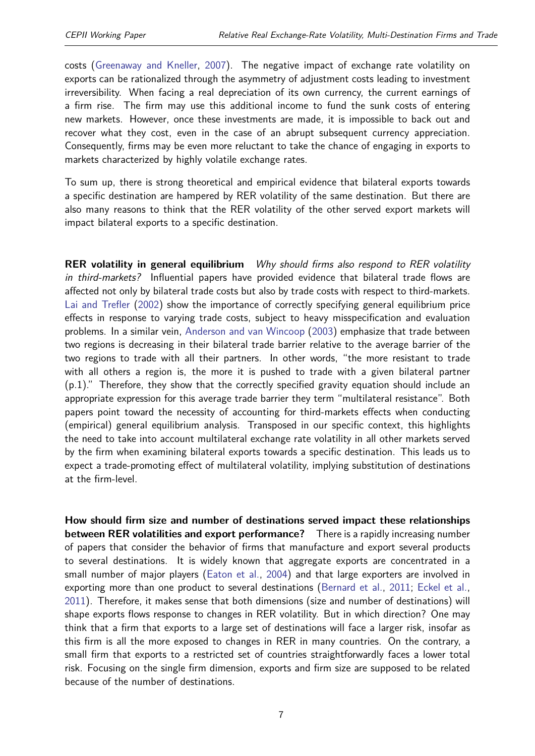costs [\(Greenaway and Kneller,](#page-42-1) [2007\)](#page-42-1). The negative impact of exchange rate volatility on exports can be rationalized through the asymmetry of adjustment costs leading to investment irreversibility. When facing a real depreciation of its own currency, the current earnings of a firm rise. The firm may use this additional income to fund the sunk costs of entering new markets. However, once these investments are made, it is impossible to back out and recover what they cost, even in the case of an abrupt subsequent currency appreciation. Consequently, firms may be even more reluctant to take the chance of engaging in exports to markets characterized by highly volatile exchange rates.

To sum up, there is strong theoretical and empirical evidence that bilateral exports towards a specific destination are hampered by RER volatility of the same destination. But there are also many reasons to think that the RER volatility of the other served export markets will impact bilateral exports to a specific destination.

**RER volatility in general equilibrium** Why should firms also respond to RER volatility in third-markets? Influential papers have provided evidence that bilateral trade flows are affected not only by bilateral trade costs but also by trade costs with respect to third-markets. [Lai and Trefler](#page-42-7) [\(2002\)](#page-42-7) show the importance of correctly specifying general equilibrium price effects in response to varying trade costs, subject to heavy misspecification and evaluation problems. In a similar vein, [Anderson and van Wincoop](#page-41-7) [\(2003\)](#page-41-7) emphasize that trade between two regions is decreasing in their bilateral trade barrier relative to the average barrier of the two regions to trade with all their partners. In other words, "the more resistant to trade with all others a region is, the more it is pushed to trade with a given bilateral partner (p.1)." Therefore, they show that the correctly specified gravity equation should include an appropriate expression for this average trade barrier they term "multilateral resistance". Both papers point toward the necessity of accounting for third-markets effects when conducting (empirical) general equilibrium analysis. Transposed in our specific context, this highlights the need to take into account multilateral exchange rate volatility in all other markets served by the firm when examining bilateral exports towards a specific destination. This leads us to expect a trade-promoting effect of multilateral volatility, implying substitution of destinations at the firm-level.

**How should firm size and number of destinations served impact these relationships between RER volatilities and export performance?** There is a rapidly increasing number of papers that consider the behavior of firms that manufacture and export several products to several destinations. It is widely known that aggregate exports are concentrated in a small number of major players [\(Eaton et al.,](#page-41-8) [2004\)](#page-41-8) and that large exporters are involved in exporting more than one product to several destinations [\(Bernard et al.,](#page-41-5) [2011;](#page-41-5) [Eckel et al.,](#page-42-8) [2011\)](#page-42-8). Therefore, it makes sense that both dimensions (size and number of destinations) will shape exports flows response to changes in RER volatility. But in which direction? One may think that a firm that exports to a large set of destinations will face a larger risk, insofar as this firm is all the more exposed to changes in RER in many countries. On the contrary, a small firm that exports to a restricted set of countries straightforwardly faces a lower total risk. Focusing on the single firm dimension, exports and firm size are supposed to be related because of the number of destinations.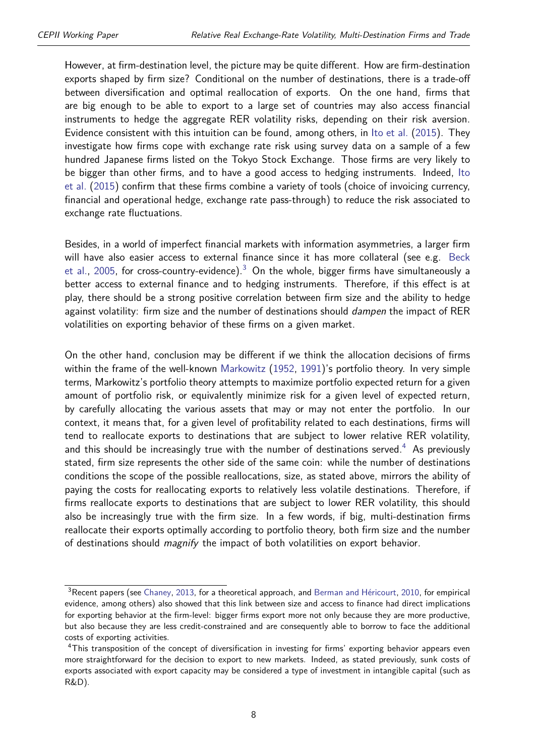However, at firm-destination level, the picture may be quite different. How are firm-destination exports shaped by firm size? Conditional on the number of destinations, there is a trade-off between diversification and optimal reallocation of exports. On the one hand, firms that are big enough to be able to export to a large set of countries may also access financial instruments to hedge the aggregate RER volatility risks, depending on their risk aversion. Evidence consistent with this intuition can be found, among others, in [Ito et al.](#page-42-9) [\(2015\)](#page-42-9). They investigate how firms cope with exchange rate risk using survey data on a sample of a few hundred Japanese firms listed on the Tokyo Stock Exchange. Those firms are very likely to be bigger than other firms, and to have a good access to hedging instruments. Indeed, [Ito](#page-42-9) [et al.](#page-42-9) [\(2015\)](#page-42-9) confirm that these firms combine a variety of tools (choice of invoicing currency, financial and operational hedge, exchange rate pass-through) to reduce the risk associated to exchange rate fluctuations.

Besides, in a world of imperfect financial markets with information asymmetries, a larger firm will have also easier access to external finance since it has more collateral (see e.g. [Beck](#page-41-9) [et al.,](#page-41-9) [2005,](#page-41-9) for cross-country-evidence).<sup>[3](#page-2-0)</sup> On the whole, bigger firms have simultaneously a better access to external finance and to hedging instruments. Therefore, if this effect is at play, there should be a strong positive correlation between firm size and the ability to hedge against volatility: firm size and the number of destinations should *dampen* the impact of RER volatilities on exporting behavior of these firms on a given market.

On the other hand, conclusion may be different if we think the allocation decisions of firms within the frame of the well-known [Markowitz](#page-42-6) [\(1952,](#page-42-6) [1991\)](#page-42-10)'s portfolio theory. In very simple terms, Markowitz's portfolio theory attempts to maximize portfolio expected return for a given amount of portfolio risk, or equivalently minimize risk for a given level of expected return, by carefully allocating the various assets that may or may not enter the portfolio. In our context, it means that, for a given level of profitability related to each destinations, firms will tend to reallocate exports to destinations that are subject to lower relative RER volatility, and this should be increasingly true with the number of destinations served.<sup>[4](#page-2-0)</sup> As previously stated, firm size represents the other side of the same coin: while the number of destinations conditions the scope of the possible reallocations, size, as stated above, mirrors the ability of paying the costs for reallocating exports to relatively less volatile destinations. Therefore, if firms reallocate exports to destinations that are subject to lower RER volatility, this should also be increasingly true with the firm size. In a few words, if big, multi-destination firms reallocate their exports optimally according to portfolio theory, both firm size and the number of destinations should *magnify* the impact of both volatilities on export behavior.

<sup>&</sup>lt;sup>3</sup>Recent papers (see [Chaney,](#page-41-10) [2013,](#page-41-10) for a theoretical approach, and [Berman and Héricourt,](#page-41-11) [2010,](#page-41-11) for empirical evidence, among others) also showed that this link between size and access to finance had direct implications for exporting behavior at the firm-level: bigger firms export more not only because they are more productive, but also because they are less credit-constrained and are consequently able to borrow to face the additional costs of exporting activities.

<sup>&</sup>lt;sup>4</sup>This transposition of the concept of diversification in investing for firms' exporting behavior appears even more straightforward for the decision to export to new markets. Indeed, as stated previously, sunk costs of exports associated with export capacity may be considered a type of investment in intangible capital (such as R&D).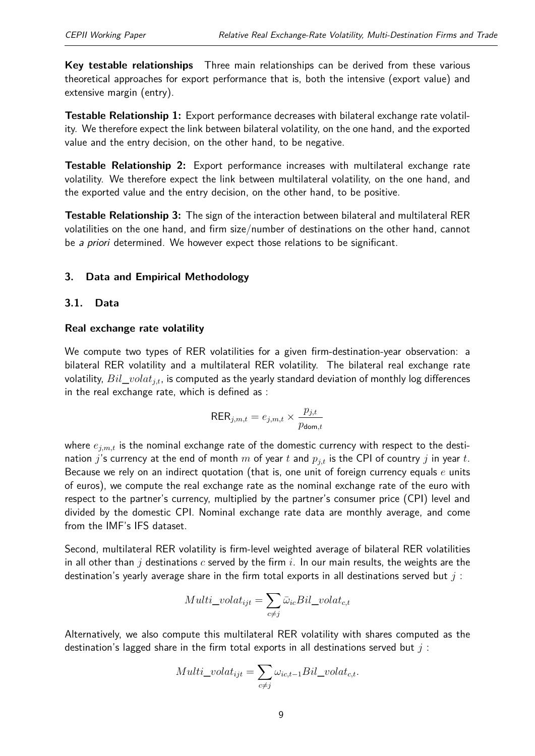**Key testable relationships** Three main relationships can be derived from these various theoretical approaches for export performance that is, both the intensive (export value) and extensive margin (entry).

**Testable Relationship 1:** Export performance decreases with bilateral exchange rate volatility. We therefore expect the link between bilateral volatility, on the one hand, and the exported value and the entry decision, on the other hand, to be negative.

**Testable Relationship 2:** Export performance increases with multilateral exchange rate volatility. We therefore expect the link between multilateral volatility, on the one hand, and the exported value and the entry decision, on the other hand, to be positive.

**Testable Relationship 3:** The sign of the interaction between bilateral and multilateral RER volatilities on the one hand, and firm size/number of destinations on the other hand, cannot be a priori determined. We however expect those relations to be significant.

#### <span id="page-8-0"></span>**3. Data and Empirical Methodology**

#### **3.1. Data**

#### **Real exchange rate volatility**

We compute two types of RER volatilities for a given firm-destination-year observation: a bilateral RER volatility and a multilateral RER volatility. The bilateral real exchange rate volatility, *Bil*\_*volatj,t*, is computed as the yearly standard deviation of monthly log differences in the real exchange rate, which is defined as :

$$
\text{RER}_{j,m,t} = e_{j,m,t} \times \frac{p_{j,t}}{p_{\text{dom},t}}
$$

where  $e_{j,m,t}$  is the nominal exchange rate of the domestic currency with respect to the destination *j*'s currency at the end of month *m* of year *t* and  $p_{j,t}$  is the CPI of country *j* in year *t*. Because we rely on an indirect quotation (that is, one unit of foreign currency equals *e* units of euros), we compute the real exchange rate as the nominal exchange rate of the euro with respect to the partner's currency, multiplied by the partner's consumer price (CPI) level and divided by the domestic CPI. Nominal exchange rate data are monthly average, and come from the IMF's IFS dataset.

Second, multilateral RER volatility is firm-level weighted average of bilateral RER volatilities in all other than *j* destinations *c* served by the firm *i*. In our main results, the weights are the destination's yearly average share in the firm total exports in all destinations served but *j* :

<span id="page-8-1"></span>
$$
Multi\_volat_{ijt} = \sum_{c \neq j} \bar{\omega}_{ic} Bil\_volat_{c,t}
$$

Alternatively, we also compute this multilateral RER volatility with shares computed as the destination's lagged share in the firm total exports in all destinations served but *j* :

$$
Multi\_volat_{ijt} = \sum_{c \neq j} \omega_{ic,t-1} Bil\_volat_{c,t}.
$$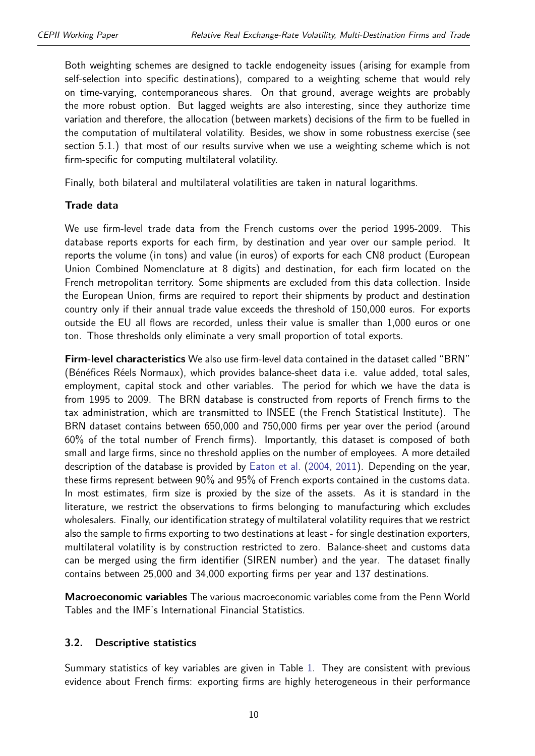Both weighting schemes are designed to tackle endogeneity issues (arising for example from self-selection into specific destinations), compared to a weighting scheme that would rely on time-varying, contemporaneous shares. On that ground, average weights are probably the more robust option. But lagged weights are also interesting, since they authorize time variation and therefore, the allocation (between markets) decisions of the firm to be fuelled in the computation of multilateral volatility. Besides, we show in some robustness exercise (see section 5.1.) that most of our results survive when we use a weighting scheme which is not firm-specific for computing multilateral volatility.

Finally, both bilateral and multilateral volatilities are taken in natural logarithms.

#### **Trade data**

We use firm-level trade data from the French customs over the period 1995-2009. This database reports exports for each firm, by destination and year over our sample period. It reports the volume (in tons) and value (in euros) of exports for each CN8 product (European Union Combined Nomenclature at 8 digits) and destination, for each firm located on the French metropolitan territory. Some shipments are excluded from this data collection. Inside the European Union, firms are required to report their shipments by product and destination country only if their annual trade value exceeds the threshold of 150,000 euros. For exports outside the EU all flows are recorded, unless their value is smaller than 1,000 euros or one ton. Those thresholds only eliminate a very small proportion of total exports.

**Firm-level characteristics** We also use firm-level data contained in the dataset called "BRN" (Bénéfices Réels Normaux), which provides balance-sheet data i.e. value added, total sales, employment, capital stock and other variables. The period for which we have the data is from 1995 to 2009. The BRN database is constructed from reports of French firms to the tax administration, which are transmitted to INSEE (the French Statistical Institute). The BRN dataset contains between 650,000 and 750,000 firms per year over the period (around 60% of the total number of French firms). Importantly, this dataset is composed of both small and large firms, since no threshold applies on the number of employees. A more detailed description of the database is provided by [Eaton et al.](#page-41-8) [\(2004,](#page-41-8) [2011\)](#page-42-11). Depending on the year, these firms represent between 90% and 95% of French exports contained in the customs data. In most estimates, firm size is proxied by the size of the assets. As it is standard in the literature, we restrict the observations to firms belonging to manufacturing which excludes wholesalers. Finally, our identification strategy of multilateral volatility requires that we restrict also the sample to firms exporting to two destinations at least - for single destination exporters, multilateral volatility is by construction restricted to zero. Balance-sheet and customs data can be merged using the firm identifier (SIREN number) and the year. The dataset finally contains between 25,000 and 34,000 exporting firms per year and 137 destinations.

**Macroeconomic variables** The various macroeconomic variables come from the Penn World Tables and the IMF's International Financial Statistics.

#### **3.2. Descriptive statistics**

Summary statistics of key variables are given in Table [1.](#page-10-0) They are consistent with previous evidence about French firms: exporting firms are highly heterogeneous in their performance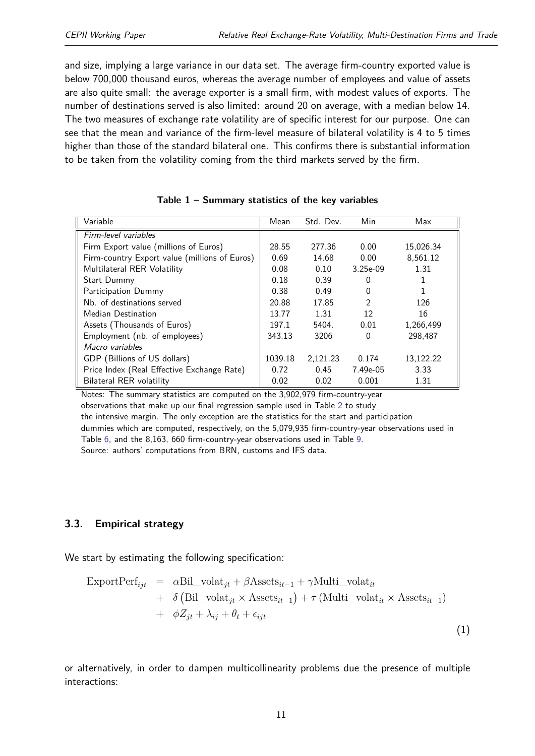and size, implying a large variance in our data set. The average firm-country exported value is below 700,000 thousand euros, whereas the average number of employees and value of assets are also quite small: the average exporter is a small firm, with modest values of exports. The number of destinations served is also limited: around 20 on average, with a median below 14. The two measures of exchange rate volatility are of specific interest for our purpose. One can see that the mean and variance of the firm-level measure of bilateral volatility is 4 to 5 times higher than those of the standard bilateral one. This confirms there is substantial information to be taken from the volatility coming from the third markets served by the firm.

<span id="page-10-0"></span>

| Variable                                      | Mean    | Std. Dev. | Min            | Max       |
|-----------------------------------------------|---------|-----------|----------------|-----------|
| Firm-level variables                          |         |           |                |           |
| Firm Export value (millions of Euros)         | 28.55   | 277.36    | 0.00           | 15,026.34 |
| Firm-country Export value (millions of Euros) | 0.69    | 14.68     | 0.00           | 8,561.12  |
| Multilateral RER Volatility                   | 0.08    | 0.10      | $3.25e-09$     | 1.31      |
| Start Dummy                                   | 0.18    | 0.39      | O              |           |
| Participation Dummy                           | 0.38    | 0.49      | 0              |           |
| Nb. of destinations served                    | 20.88   | 17.85     | $\mathfrak{D}$ | 126       |
| Median Destination                            | 13.77   | 1.31      | 12             | 16        |
| Assets (Thousands of Euros)                   | 197.1   | 5404.     | 0.01           | 1,266,499 |
| Employment (nb. of employees)                 | 343.13  | 3206      | 0              | 298.487   |
| Macro variables                               |         |           |                |           |
| GDP (Billions of US dollars)                  | 1039.18 | 2,121.23  | 0.174          | 13,122.22 |
| Price Index (Real Effective Exchange Rate)    | 0.72    | 0.45      | 7.49e-05       | 3.33      |
| Bilateral RER volatility                      | 0.02    | 0.02      | 0.001          | 1.31      |

| Table $1$ – Summary statistics of the key variables |  |  |  |  |
|-----------------------------------------------------|--|--|--|--|
|-----------------------------------------------------|--|--|--|--|

Notes: The summary statistics are computed on the 3,902,979 firm-country-year observations that make up our final regression sample used in Table [2](#page-13-0) to study the intensive margin. The only exception are the statistics for the start and participation dummies which are computed, respectively, on the 5,079,935 firm-country-year observations used in Table [6,](#page-19-0) and the 8,163, 660 firm-country-year observations used in Table [9.](#page-24-0) Source: authors' computations from BRN, customs and IFS data.

#### **3.3. Empirical strategy**

We start by estimating the following specification:

$$
\begin{aligned}\n\text{ExpertPerf}_{ijt} &= \alpha \text{Bil\_volat}_{jt} + \beta \text{Assets}_{it-1} + \gamma \text{Multi\_volat}_{it} \\
&\quad + \delta \left( \text{Bil\_volat}_{jt} \times \text{Assets}_{it-1} \right) + \tau \left( \text{Multi\_volat}_{it} \times \text{Assets}_{it-1} \right) \\
&\quad + \phi Z_{jt} + \lambda_{ij} + \theta_t + \epsilon_{ijt}\n\end{aligned} \tag{1}
$$

or alternatively, in order to dampen multicollinearity problems due the presence of multiple interactions: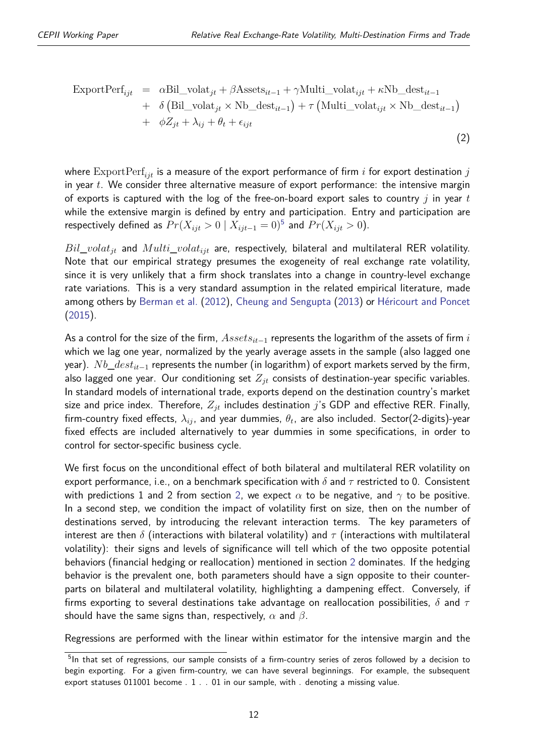(2)

$$
\begin{aligned}\n\text{ExportPerf}_{ijt} &= \alpha \text{Bil\_volat}_{jt} + \beta \text{Assets}_{it-1} + \gamma \text{Multi\_volat}_{ijt} + \kappa \text{Nb\_dest}_{it-1} \\
&\quad + \delta \left( \text{Bil\_volat}_{jt} \times \text{Nb\_dest}_{it-1} \right) + \tau \left( \text{Multi\_volat}_{ijt} \times \text{Nb\_dest}_{it-1} \right) \\
&\quad + \phi Z_{jt} + \lambda_{ij} + \theta_t + \epsilon_{ijt}\n\end{aligned}
$$

where ExportPerf*ijt* is a measure of the export performance of firm *i* for export destination *j* in year *t*. We consider three alternative measure of export performance: the intensive margin of exports is captured with the log of the free-on-board export sales to country *j* in year *t* while the extensive margin is defined by entry and participation. Entry and participation are respectively defined as  $Pr(X_{ijt} > 0 \mid X_{ijt-1} = 0)^5$  $Pr(X_{ijt} > 0 \mid X_{ijt-1} = 0)^5$  and  $Pr(X_{ijt} > 0)$ .

 $Bil\_volat_{jt}$  and  $Multi\_volat_{ijt}$  are, respectively, bilateral and multilateral RER volatility. Note that our empirical strategy presumes the exogeneity of real exchange rate volatility, since it is very unlikely that a firm shock translates into a change in country-level exchange rate variations. This is a very standard assumption in the related empirical literature, made among others by [Berman et al.](#page-41-3) [\(2012\)](#page-41-3), [Cheung and Sengupta](#page-41-1) [\(2013\)](#page-41-1) or [Héricourt and Poncet](#page-42-3) [\(2015\)](#page-42-3).

As a control for the size of the firm, *Assetsit*−<sup>1</sup> represents the logarithm of the assets of firm *i* which we lag one year, normalized by the yearly average assets in the sample (also lagged one year). *Nb\_dest<sub>it−1</sub>* represents the number (in logarithm) of export markets served by the firm, also lagged one year. Our conditioning set *Zjt* consists of destination-year specific variables. In standard models of international trade, exports depend on the destination country's market size and price index. Therefore, *Zjt* includes destination *j*'s GDP and effective RER. Finally, firm-country fixed effects,  $\lambda_{ij}$ , and year dummies,  $\theta_t$ , are also included. <code>Sector(2-digits)-year</code> fixed effects are included alternatively to year dummies in some specifications, in order to control for sector-specific business cycle.

We first focus on the unconditional effect of both bilateral and multilateral RER volatility on export performance, i.e., on a benchmark specification with *δ* and *τ* restricted to 0. Consistent with predictions 1 and 2 from section [2,](#page-5-0) we expect  $\alpha$  to be negative, and  $\gamma$  to be positive. In a second step, we condition the impact of volatility first on size, then on the number of destinations served, by introducing the relevant interaction terms. The key parameters of interest are then *δ* (interactions with bilateral volatility) and *τ* (interactions with multilateral volatility): their signs and levels of significance will tell which of the two opposite potential behaviors (financial hedging or reallocation) mentioned in section [2](#page-5-0) dominates. If the hedging behavior is the prevalent one, both parameters should have a sign opposite to their counterparts on bilateral and multilateral volatility, highlighting a dampening effect. Conversely, if firms exporting to several destinations take advantage on reallocation possibilities, *δ* and *τ* should have the same signs than, respectively, *α* and *β*.

Regressions are performed with the linear within estimator for the intensive margin and the

<sup>&</sup>lt;sup>5</sup>In that set of regressions, our sample consists of a firm-country series of zeros followed by a decision to begin exporting. For a given firm-country, we can have several beginnings. For example, the subsequent export statuses 011001 become . 1 . . 01 in our sample, with . denoting a missing value.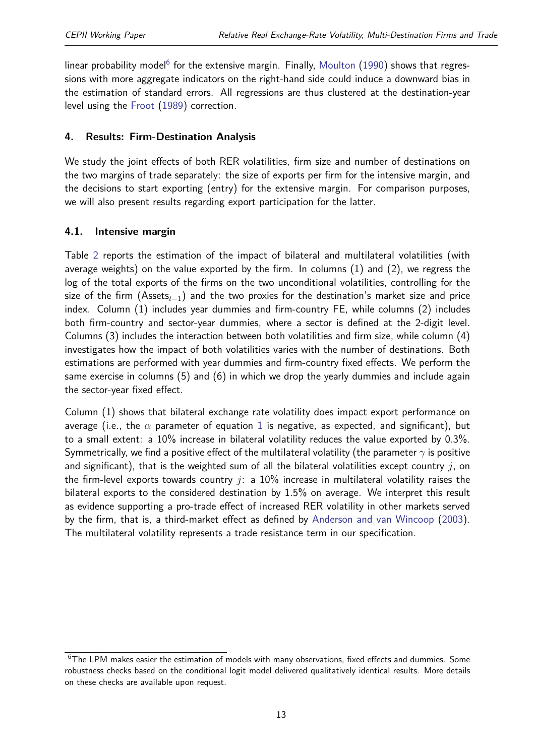linear probability model<sup>[6](#page-2-0)</sup> for the extensive margin. Finally, [Moulton](#page-42-12)  $(1990)$  shows that regressions with more aggregate indicators on the right-hand side could induce a downward bias in the estimation of standard errors. All regressions are thus clustered at the destination-year level using the [Froot](#page-42-13) [\(1989\)](#page-42-13) correction.

#### <span id="page-12-0"></span>**4. Results: Firm-Destination Analysis**

We study the joint effects of both RER volatilities, firm size and number of destinations on the two margins of trade separately: the size of exports per firm for the intensive margin, and the decisions to start exporting (entry) for the extensive margin. For comparison purposes, we will also present results regarding export participation for the latter.

#### **4.1. Intensive margin**

Table [2](#page-13-0) reports the estimation of the impact of bilateral and multilateral volatilities (with average weights) on the value exported by the firm. In columns (1) and (2), we regress the log of the total exports of the firms on the two unconditional volatilities, controlling for the size of the firm (Assets*t*−1) and the two proxies for the destination's market size and price index. Column (1) includes year dummies and firm-country FE, while columns (2) includes both firm-country and sector-year dummies, where a sector is defined at the 2-digit level. Columns (3) includes the interaction between both volatilities and firm size, while column (4) investigates how the impact of both volatilities varies with the number of destinations. Both estimations are performed with year dummies and firm-country fixed effects. We perform the same exercise in columns (5) and (6) in which we drop the yearly dummies and include again the sector-year fixed effect.

Column (1) shows that bilateral exchange rate volatility does impact export performance on average (i.e., the  $\alpha$  parameter of equation [1](#page-8-1) is negative, as expected, and significant), but to a small extent: a 10% increase in bilateral volatility reduces the value exported by 0.3%. Symmetrically, we find a positive effect of the multilateral volatility (the parameter *γ* is positive and significant), that is the weighted sum of all the bilateral volatilities except country *j*, on the firm-level exports towards country *j*: a 10% increase in multilateral volatility raises the bilateral exports to the considered destination by 1.5% on average. We interpret this result as evidence supporting a pro-trade effect of increased RER volatility in other markets served by the firm, that is, a third-market effect as defined by [Anderson and van Wincoop](#page-41-7) [\(2003\)](#page-41-7). The multilateral volatility represents a trade resistance term in our specification.

 $6$ The LPM makes easier the estimation of models with many observations, fixed effects and dummies. Some robustness checks based on the conditional logit model delivered qualitatively identical results. More details on these checks are available upon request.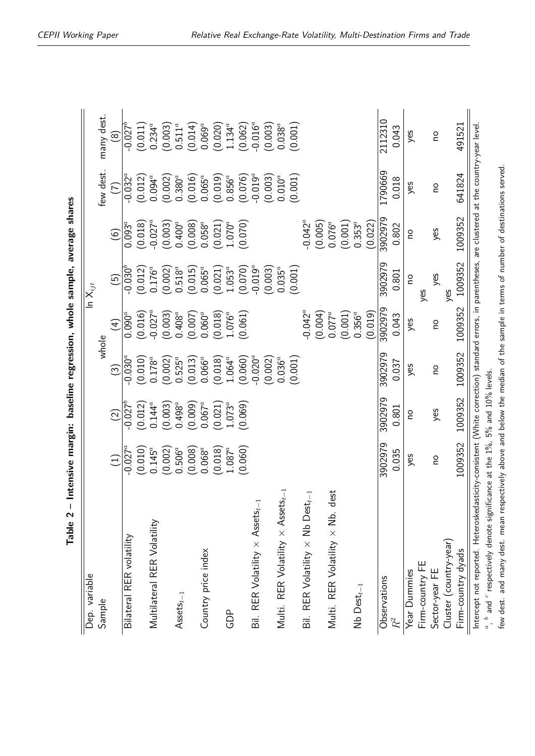<span id="page-13-0"></span>

| ۱                                                                                 |
|-----------------------------------------------------------------------------------|
| partic aptable and alongs along an anisotal anisota<br>)<br>}<br>}<br>)<br>)<br>: |
| <br> <br> <br> <br> <br>)                                                         |
|                                                                                   |
| <b>SERVE AND AND STRAIGHT</b><br>$\frac{1}{2}$                                    |
|                                                                                   |
|                                                                                   |
|                                                                                   |
| Table 2                                                                           |

| 2112310<br>$-0.016^a$<br>$0.234^{a}$<br>$0.511^a$<br>$0.069^{a}$<br>491521<br>$1.134^{a}$<br>(0.020)<br>(0.003)<br>(0.014)<br>(0.062)<br>(0.001)<br>0.043<br>yes<br>ou<br>စြ<br>few dest.<br>1790669<br>641824<br>$-0.019^{a}$<br>$-0.032^{\overline{a}}$<br>(0.001)<br>$0.380^{a}$<br>$0.065^a$<br>$0.856^a$<br>$0.010^a$<br>$0.094^{a}$<br>(0.016)<br>(0.076)<br>(0.012)<br>(0.002)<br>(0.003)<br>(0.019)<br>0.018<br>yes<br>ou<br>Ξ<br>1009352<br>3902979<br>$-0.042^a$<br>$-0.027^a$<br>$0.093^{\overline{a}}$<br>$0.400^{a}$<br>$0.058^a$<br>$0.353^{a}$<br>(0.021)<br>$1.070^a$<br>(0.005)<br>$0.076^{a}$<br>(0.001)<br>(0.022)<br>(0.008)<br>(0.070)<br>(0.018)<br>(0.003)<br>0.802<br>yes<br>$\widehat{\circ}$<br>ou<br>1009352<br>3902979<br>$-0.019^{a}$<br>(0.003)<br>$-0.030^{b}$<br>$0.065^a$<br>$0.035^{a}$<br>$0.176^{a}$<br>$0.518^a$<br>(0.070)<br>(0.001)<br>(0.012)<br>$1.053^{a}$<br>(0.002)<br>(0.015)<br>(0.021)<br>0.801<br>yes<br>$\widehat{\Theta}$<br><b>OU</b><br>yes<br>yes<br>1009352<br>3902979<br>$-0.042^a$<br>$-0.027^a$<br>(0.004)<br>(0.001)<br>(0.019)<br>$0.060^a$<br>$0.077^a$<br>$0.356^a$<br>$0.408^{a}$<br>$1.076^a$<br>(0.016)<br>(0.003)<br>(0.018)<br>(0.061)<br>$0.090^a$<br>(0.007)<br>0.043<br>yes<br>$\widehat{4}$<br>ou<br>whole<br>1009352<br>3902979<br>$-0.020^{a}$<br>$-0.030^{\overline{a}}$<br>(0.002)<br>(0.010)<br>$0.036^a$<br>(0.001)<br>$0.525^a$<br>$0.066^a$<br>$1.064^{a}$<br>(0.060)<br>$0.178^{a}$<br>(0.002)<br>(0.013)<br>(0.018)<br>0.037<br>yes<br>$\widehat{\mathbb{C}}$<br><b>DO</b><br>1009352<br>3902979<br>$0.498^{a}$<br>$-0.027^{b}$<br>(0.012)<br>$0.144^{a}$<br>(0.009)<br>$0.067^a$<br>$1.073^{a}$<br>(0.069)<br>(0.003)<br>(0.021)<br>0.801<br>yes<br>$\widehat{2}$<br>ou<br>1009352<br>3902979<br>$-0.027^a$<br>(0.010)<br>(0.060)<br>$0.145^{a}$<br>$0.506^a$<br>$0.068^{a}$<br>(0.002)<br>(0.008)<br>$1.087^{a}$<br>(0.018)<br>0.035<br>yes<br>$\bigoplus$<br>$\overline{a}$<br>Multi. RER Volatility $\times$ Assets <sub>t-1</sub><br>Multi. RER Volatility × Nb. dest<br>Bil. RER Volatility $\times$ Nb Dest $_{t-1}$<br>Bil. RER Volatility $\times$ Assets <sub>t-1</sub><br>Multilateral RER Volatility<br>Bilateral RER volatility<br>Cluster (country-year)<br>Firm-country dyads<br>Country price index<br>Firm-country FE<br>Sector-year FE<br>Year Dummies<br>Observations<br>$Nb$ Dest $_{t-1}$<br>$\mathsf{Assets}_{t-1}$<br>Sample<br>GDP<br>$\mathbb{R}^2$ | Dep. variable                                                                    |  |  | In $\mathsf{X}_{ijt}$ |  |             |
|---------------------------------------------------------------------------------------------------------------------------------------------------------------------------------------------------------------------------------------------------------------------------------------------------------------------------------------------------------------------------------------------------------------------------------------------------------------------------------------------------------------------------------------------------------------------------------------------------------------------------------------------------------------------------------------------------------------------------------------------------------------------------------------------------------------------------------------------------------------------------------------------------------------------------------------------------------------------------------------------------------------------------------------------------------------------------------------------------------------------------------------------------------------------------------------------------------------------------------------------------------------------------------------------------------------------------------------------------------------------------------------------------------------------------------------------------------------------------------------------------------------------------------------------------------------------------------------------------------------------------------------------------------------------------------------------------------------------------------------------------------------------------------------------------------------------------------------------------------------------------------------------------------------------------------------------------------------------------------------------------------------------------------------------------------------------------------------------------------------------------------------------------------------------------------------------------------------------------------------------------------------------------------------------------------------------------------------------------------------------------------------------------------------------------------------------------------------|----------------------------------------------------------------------------------|--|--|-----------------------|--|-------------|
|                                                                                                                                                                                                                                                                                                                                                                                                                                                                                                                                                                                                                                                                                                                                                                                                                                                                                                                                                                                                                                                                                                                                                                                                                                                                                                                                                                                                                                                                                                                                                                                                                                                                                                                                                                                                                                                                                                                                                                                                                                                                                                                                                                                                                                                                                                                                                                                                                                                               |                                                                                  |  |  |                       |  | many dest.  |
|                                                                                                                                                                                                                                                                                                                                                                                                                                                                                                                                                                                                                                                                                                                                                                                                                                                                                                                                                                                                                                                                                                                                                                                                                                                                                                                                                                                                                                                                                                                                                                                                                                                                                                                                                                                                                                                                                                                                                                                                                                                                                                                                                                                                                                                                                                                                                                                                                                                               |                                                                                  |  |  |                       |  |             |
|                                                                                                                                                                                                                                                                                                                                                                                                                                                                                                                                                                                                                                                                                                                                                                                                                                                                                                                                                                                                                                                                                                                                                                                                                                                                                                                                                                                                                                                                                                                                                                                                                                                                                                                                                                                                                                                                                                                                                                                                                                                                                                                                                                                                                                                                                                                                                                                                                                                               |                                                                                  |  |  |                       |  | $-0.027^b$  |
|                                                                                                                                                                                                                                                                                                                                                                                                                                                                                                                                                                                                                                                                                                                                                                                                                                                                                                                                                                                                                                                                                                                                                                                                                                                                                                                                                                                                                                                                                                                                                                                                                                                                                                                                                                                                                                                                                                                                                                                                                                                                                                                                                                                                                                                                                                                                                                                                                                                               |                                                                                  |  |  |                       |  | (0.011)     |
|                                                                                                                                                                                                                                                                                                                                                                                                                                                                                                                                                                                                                                                                                                                                                                                                                                                                                                                                                                                                                                                                                                                                                                                                                                                                                                                                                                                                                                                                                                                                                                                                                                                                                                                                                                                                                                                                                                                                                                                                                                                                                                                                                                                                                                                                                                                                                                                                                                                               |                                                                                  |  |  |                       |  |             |
|                                                                                                                                                                                                                                                                                                                                                                                                                                                                                                                                                                                                                                                                                                                                                                                                                                                                                                                                                                                                                                                                                                                                                                                                                                                                                                                                                                                                                                                                                                                                                                                                                                                                                                                                                                                                                                                                                                                                                                                                                                                                                                                                                                                                                                                                                                                                                                                                                                                               |                                                                                  |  |  |                       |  |             |
|                                                                                                                                                                                                                                                                                                                                                                                                                                                                                                                                                                                                                                                                                                                                                                                                                                                                                                                                                                                                                                                                                                                                                                                                                                                                                                                                                                                                                                                                                                                                                                                                                                                                                                                                                                                                                                                                                                                                                                                                                                                                                                                                                                                                                                                                                                                                                                                                                                                               |                                                                                  |  |  |                       |  |             |
|                                                                                                                                                                                                                                                                                                                                                                                                                                                                                                                                                                                                                                                                                                                                                                                                                                                                                                                                                                                                                                                                                                                                                                                                                                                                                                                                                                                                                                                                                                                                                                                                                                                                                                                                                                                                                                                                                                                                                                                                                                                                                                                                                                                                                                                                                                                                                                                                                                                               |                                                                                  |  |  |                       |  |             |
|                                                                                                                                                                                                                                                                                                                                                                                                                                                                                                                                                                                                                                                                                                                                                                                                                                                                                                                                                                                                                                                                                                                                                                                                                                                                                                                                                                                                                                                                                                                                                                                                                                                                                                                                                                                                                                                                                                                                                                                                                                                                                                                                                                                                                                                                                                                                                                                                                                                               |                                                                                  |  |  |                       |  |             |
|                                                                                                                                                                                                                                                                                                                                                                                                                                                                                                                                                                                                                                                                                                                                                                                                                                                                                                                                                                                                                                                                                                                                                                                                                                                                                                                                                                                                                                                                                                                                                                                                                                                                                                                                                                                                                                                                                                                                                                                                                                                                                                                                                                                                                                                                                                                                                                                                                                                               |                                                                                  |  |  |                       |  |             |
|                                                                                                                                                                                                                                                                                                                                                                                                                                                                                                                                                                                                                                                                                                                                                                                                                                                                                                                                                                                                                                                                                                                                                                                                                                                                                                                                                                                                                                                                                                                                                                                                                                                                                                                                                                                                                                                                                                                                                                                                                                                                                                                                                                                                                                                                                                                                                                                                                                                               |                                                                                  |  |  |                       |  |             |
|                                                                                                                                                                                                                                                                                                                                                                                                                                                                                                                                                                                                                                                                                                                                                                                                                                                                                                                                                                                                                                                                                                                                                                                                                                                                                                                                                                                                                                                                                                                                                                                                                                                                                                                                                                                                                                                                                                                                                                                                                                                                                                                                                                                                                                                                                                                                                                                                                                                               |                                                                                  |  |  |                       |  |             |
|                                                                                                                                                                                                                                                                                                                                                                                                                                                                                                                                                                                                                                                                                                                                                                                                                                                                                                                                                                                                                                                                                                                                                                                                                                                                                                                                                                                                                                                                                                                                                                                                                                                                                                                                                                                                                                                                                                                                                                                                                                                                                                                                                                                                                                                                                                                                                                                                                                                               |                                                                                  |  |  |                       |  |             |
|                                                                                                                                                                                                                                                                                                                                                                                                                                                                                                                                                                                                                                                                                                                                                                                                                                                                                                                                                                                                                                                                                                                                                                                                                                                                                                                                                                                                                                                                                                                                                                                                                                                                                                                                                                                                                                                                                                                                                                                                                                                                                                                                                                                                                                                                                                                                                                                                                                                               |                                                                                  |  |  |                       |  | (0.003)     |
|                                                                                                                                                                                                                                                                                                                                                                                                                                                                                                                                                                                                                                                                                                                                                                                                                                                                                                                                                                                                                                                                                                                                                                                                                                                                                                                                                                                                                                                                                                                                                                                                                                                                                                                                                                                                                                                                                                                                                                                                                                                                                                                                                                                                                                                                                                                                                                                                                                                               |                                                                                  |  |  |                       |  | $0.038^{a}$ |
|                                                                                                                                                                                                                                                                                                                                                                                                                                                                                                                                                                                                                                                                                                                                                                                                                                                                                                                                                                                                                                                                                                                                                                                                                                                                                                                                                                                                                                                                                                                                                                                                                                                                                                                                                                                                                                                                                                                                                                                                                                                                                                                                                                                                                                                                                                                                                                                                                                                               |                                                                                  |  |  |                       |  |             |
|                                                                                                                                                                                                                                                                                                                                                                                                                                                                                                                                                                                                                                                                                                                                                                                                                                                                                                                                                                                                                                                                                                                                                                                                                                                                                                                                                                                                                                                                                                                                                                                                                                                                                                                                                                                                                                                                                                                                                                                                                                                                                                                                                                                                                                                                                                                                                                                                                                                               |                                                                                  |  |  |                       |  |             |
|                                                                                                                                                                                                                                                                                                                                                                                                                                                                                                                                                                                                                                                                                                                                                                                                                                                                                                                                                                                                                                                                                                                                                                                                                                                                                                                                                                                                                                                                                                                                                                                                                                                                                                                                                                                                                                                                                                                                                                                                                                                                                                                                                                                                                                                                                                                                                                                                                                                               |                                                                                  |  |  |                       |  |             |
|                                                                                                                                                                                                                                                                                                                                                                                                                                                                                                                                                                                                                                                                                                                                                                                                                                                                                                                                                                                                                                                                                                                                                                                                                                                                                                                                                                                                                                                                                                                                                                                                                                                                                                                                                                                                                                                                                                                                                                                                                                                                                                                                                                                                                                                                                                                                                                                                                                                               |                                                                                  |  |  |                       |  |             |
|                                                                                                                                                                                                                                                                                                                                                                                                                                                                                                                                                                                                                                                                                                                                                                                                                                                                                                                                                                                                                                                                                                                                                                                                                                                                                                                                                                                                                                                                                                                                                                                                                                                                                                                                                                                                                                                                                                                                                                                                                                                                                                                                                                                                                                                                                                                                                                                                                                                               |                                                                                  |  |  |                       |  |             |
|                                                                                                                                                                                                                                                                                                                                                                                                                                                                                                                                                                                                                                                                                                                                                                                                                                                                                                                                                                                                                                                                                                                                                                                                                                                                                                                                                                                                                                                                                                                                                                                                                                                                                                                                                                                                                                                                                                                                                                                                                                                                                                                                                                                                                                                                                                                                                                                                                                                               |                                                                                  |  |  |                       |  |             |
|                                                                                                                                                                                                                                                                                                                                                                                                                                                                                                                                                                                                                                                                                                                                                                                                                                                                                                                                                                                                                                                                                                                                                                                                                                                                                                                                                                                                                                                                                                                                                                                                                                                                                                                                                                                                                                                                                                                                                                                                                                                                                                                                                                                                                                                                                                                                                                                                                                                               |                                                                                  |  |  |                       |  |             |
|                                                                                                                                                                                                                                                                                                                                                                                                                                                                                                                                                                                                                                                                                                                                                                                                                                                                                                                                                                                                                                                                                                                                                                                                                                                                                                                                                                                                                                                                                                                                                                                                                                                                                                                                                                                                                                                                                                                                                                                                                                                                                                                                                                                                                                                                                                                                                                                                                                                               |                                                                                  |  |  |                       |  |             |
|                                                                                                                                                                                                                                                                                                                                                                                                                                                                                                                                                                                                                                                                                                                                                                                                                                                                                                                                                                                                                                                                                                                                                                                                                                                                                                                                                                                                                                                                                                                                                                                                                                                                                                                                                                                                                                                                                                                                                                                                                                                                                                                                                                                                                                                                                                                                                                                                                                                               |                                                                                  |  |  |                       |  |             |
|                                                                                                                                                                                                                                                                                                                                                                                                                                                                                                                                                                                                                                                                                                                                                                                                                                                                                                                                                                                                                                                                                                                                                                                                                                                                                                                                                                                                                                                                                                                                                                                                                                                                                                                                                                                                                                                                                                                                                                                                                                                                                                                                                                                                                                                                                                                                                                                                                                                               |                                                                                  |  |  |                       |  |             |
|                                                                                                                                                                                                                                                                                                                                                                                                                                                                                                                                                                                                                                                                                                                                                                                                                                                                                                                                                                                                                                                                                                                                                                                                                                                                                                                                                                                                                                                                                                                                                                                                                                                                                                                                                                                                                                                                                                                                                                                                                                                                                                                                                                                                                                                                                                                                                                                                                                                               |                                                                                  |  |  |                       |  |             |
|                                                                                                                                                                                                                                                                                                                                                                                                                                                                                                                                                                                                                                                                                                                                                                                                                                                                                                                                                                                                                                                                                                                                                                                                                                                                                                                                                                                                                                                                                                                                                                                                                                                                                                                                                                                                                                                                                                                                                                                                                                                                                                                                                                                                                                                                                                                                                                                                                                                               |                                                                                  |  |  |                       |  |             |
|                                                                                                                                                                                                                                                                                                                                                                                                                                                                                                                                                                                                                                                                                                                                                                                                                                                                                                                                                                                                                                                                                                                                                                                                                                                                                                                                                                                                                                                                                                                                                                                                                                                                                                                                                                                                                                                                                                                                                                                                                                                                                                                                                                                                                                                                                                                                                                                                                                                               |                                                                                  |  |  |                       |  |             |
|                                                                                                                                                                                                                                                                                                                                                                                                                                                                                                                                                                                                                                                                                                                                                                                                                                                                                                                                                                                                                                                                                                                                                                                                                                                                                                                                                                                                                                                                                                                                                                                                                                                                                                                                                                                                                                                                                                                                                                                                                                                                                                                                                                                                                                                                                                                                                                                                                                                               | $a$ , $b$ and $c$ respectively denote significance at the 1%, 5% and 10% levels. |  |  |                       |  |             |

few dest. and many dest. mean respectively above and below the median of the sample in terms of number of destinations served.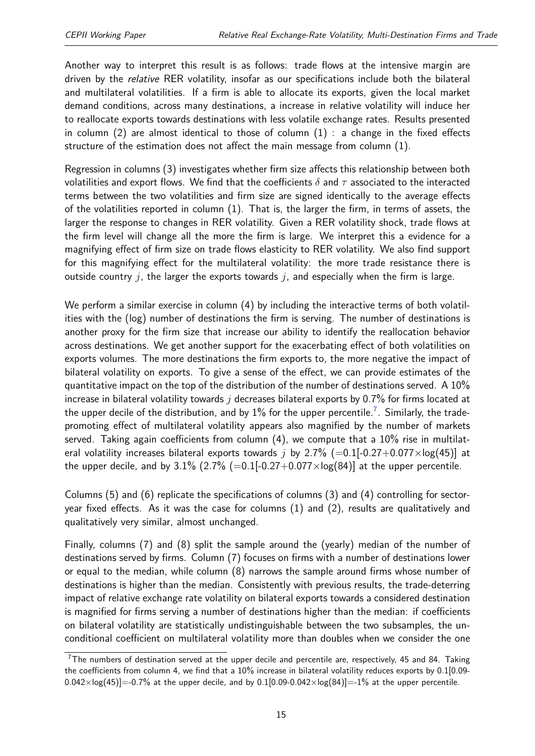Another way to interpret this result is as follows: trade flows at the intensive margin are driven by the relative RER volatility, insofar as our specifications include both the bilateral and multilateral volatilities. If a firm is able to allocate its exports, given the local market demand conditions, across many destinations, a increase in relative volatility will induce her to reallocate exports towards destinations with less volatile exchange rates. Results presented in column  $(2)$  are almost identical to those of column  $(1)$  : a change in the fixed effects structure of the estimation does not affect the main message from column (1).

Regression in columns (3) investigates whether firm size affects this relationship between both volatilities and export flows. We find that the coefficients *δ* and *τ* associated to the interacted terms between the two volatilities and firm size are signed identically to the average effects of the volatilities reported in column (1). That is, the larger the firm, in terms of assets, the larger the response to changes in RER volatility. Given a RER volatility shock, trade flows at the firm level will change all the more the firm is large. We interpret this a evidence for a magnifying effect of firm size on trade flows elasticity to RER volatility. We also find support for this magnifying effect for the multilateral volatility: the more trade resistance there is outside country *j*, the larger the exports towards *j*, and especially when the firm is large.

We perform a similar exercise in column (4) by including the interactive terms of both volatilities with the (log) number of destinations the firm is serving. The number of destinations is another proxy for the firm size that increase our ability to identify the reallocation behavior across destinations. We get another support for the exacerbating effect of both volatilities on exports volumes. The more destinations the firm exports to, the more negative the impact of bilateral volatility on exports. To give a sense of the effect, we can provide estimates of the quantitative impact on the top of the distribution of the number of destinations served. A  $10\%$ increase in bilateral volatility towards *j* decreases bilateral exports by 0.7% for firms located at the upper decile of the distribution, and by  $1\%$  for the upper percentile.  $^7$  $^7$  . Similarly, the tradepromoting effect of multilateral volatility appears also magnified by the number of markets served. Taking again coefficients from column (4), we compute that a 10% rise in multilateral volatility increases bilateral exports towards *j* by 2.7% (=0.1[-0.27+0.077×log(45)] at the upper decile, and by 3.1%  $(2.7\%$  (=0.1[-0.27+0.077×log(84)] at the upper percentile.

Columns (5) and (6) replicate the specifications of columns (3) and (4) controlling for sectoryear fixed effects. As it was the case for columns (1) and (2), results are qualitatively and qualitatively very similar, almost unchanged.

Finally, columns (7) and (8) split the sample around the (yearly) median of the number of destinations served by firms. Column (7) focuses on firms with a number of destinations lower or equal to the median, while column (8) narrows the sample around firms whose number of destinations is higher than the median. Consistently with previous results, the trade-deterring impact of relative exchange rate volatility on bilateral exports towards a considered destination is magnified for firms serving a number of destinations higher than the median: if coefficients on bilateral volatility are statistically undistinguishable between the two subsamples, the unconditional coefficient on multilateral volatility more than doubles when we consider the one

 $7$ The numbers of destination served at the upper decile and percentile are, respectively, 45 and 84. Taking the coefficients from column 4, we find that a 10% increase in bilateral volatility reduces exports by 0.1[0.09-  $0.042 \times \log(45)$  = -0.7% at the upper decile, and by 0.1[0.09-0.042×log(84)] = -1% at the upper percentile.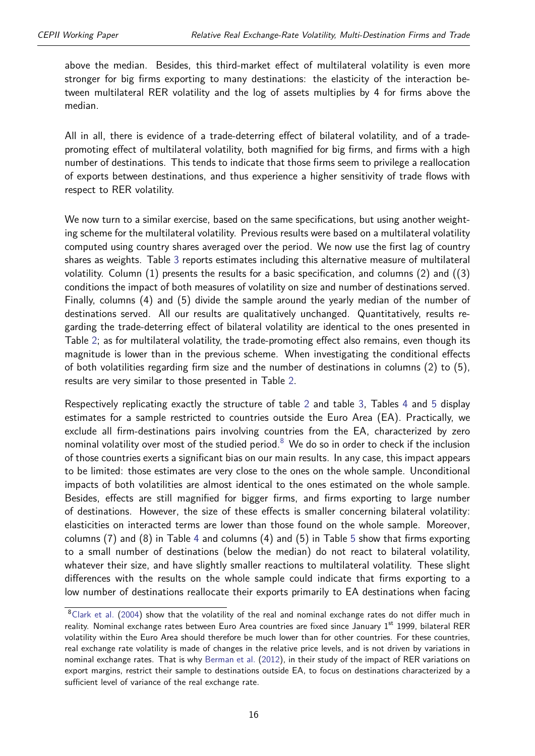above the median. Besides, this third-market effect of multilateral volatility is even more stronger for big firms exporting to many destinations: the elasticity of the interaction between multilateral RER volatility and the log of assets multiplies by 4 for firms above the median.

All in all, there is evidence of a trade-deterring effect of bilateral volatility, and of a tradepromoting effect of multilateral volatility, both magnified for big firms, and firms with a high number of destinations. This tends to indicate that those firms seem to privilege a reallocation of exports between destinations, and thus experience a higher sensitivity of trade flows with respect to RER volatility.

We now turn to a similar exercise, based on the same specifications, but using another weighting scheme for the multilateral volatility. Previous results were based on a multilateral volatility computed using country shares averaged over the period. We now use the first lag of country shares as weights. Table [3](#page-16-0) reports estimates including this alternative measure of multilateral volatility. Column (1) presents the results for a basic specification, and columns (2) and ((3) conditions the impact of both measures of volatility on size and number of destinations served. Finally, columns (4) and (5) divide the sample around the yearly median of the number of destinations served. All our results are qualitatively unchanged. Quantitatively, results regarding the trade-deterring effect of bilateral volatility are identical to the ones presented in Table [2;](#page-13-0) as for multilateral volatility, the trade-promoting effect also remains, even though its magnitude is lower than in the previous scheme. When investigating the conditional effects of both volatilities regarding firm size and the number of destinations in columns (2) to (5), results are very similar to those presented in Table [2.](#page-13-0)

Respectively replicating exactly the structure of table [2](#page-13-0) and table [3,](#page-16-0) Tables [4](#page-17-0) and [5](#page-18-0) display estimates for a sample restricted to countries outside the Euro Area (EA). Practically, we exclude all firm-destinations pairs involving countries from the EA, characterized by zero nominal volatility over most of the studied period. $8\,$  $8\,$  We do so in order to check if the inclusion of those countries exerts a significant bias on our main results. In any case, this impact appears to be limited: those estimates are very close to the ones on the whole sample. Unconditional impacts of both volatilities are almost identical to the ones estimated on the whole sample. Besides, effects are still magnified for bigger firms, and firms exporting to large number of destinations. However, the size of these effects is smaller concerning bilateral volatility: elasticities on interacted terms are lower than those found on the whole sample. Moreover, columns (7) and (8) in Table [4](#page-17-0) and columns (4) and (5) in Table [5](#page-18-0) show that firms exporting to a small number of destinations (below the median) do not react to bilateral volatility, whatever their size, and have slightly smaller reactions to multilateral volatility. These slight differences with the results on the whole sample could indicate that firms exporting to a low number of destinations reallocate their exports primarily to EA destinations when facing

<sup>&</sup>lt;sup>8</sup>[Clark et al.](#page-41-12) [\(2004\)](#page-41-12) show that the volatility of the real and nominal exchange rates do not differ much in reality. Nominal exchange rates between Euro Area countries are fixed since January 1<sup>st</sup> 1999, bilateral RER volatility within the Euro Area should therefore be much lower than for other countries. For these countries, real exchange rate volatility is made of changes in the relative price levels, and is not driven by variations in nominal exchange rates. That is why [Berman et al.](#page-41-3) [\(2012\)](#page-41-3), in their study of the impact of RER variations on export margins, restrict their sample to destinations outside EA, to focus on destinations characterized by a sufficient level of variance of the real exchange rate.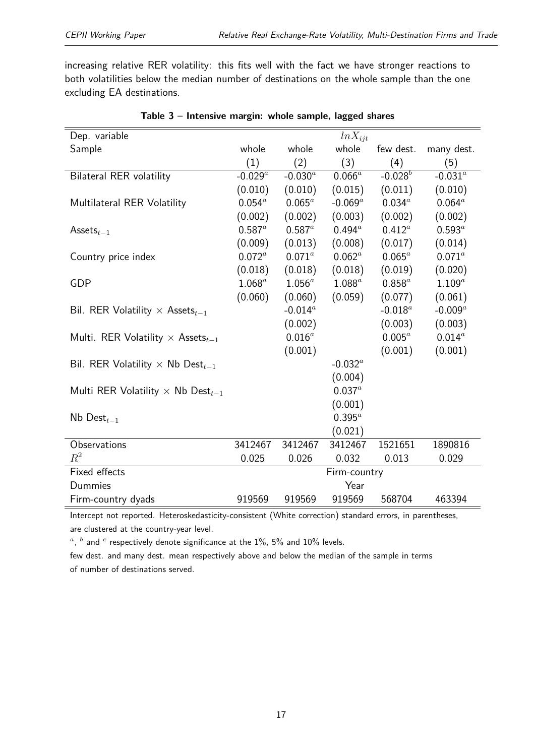increasing relative RER volatility: this fits well with the fact we have stronger reactions to both volatilities below the median number of destinations on the whole sample than the one excluding EA destinations.

<span id="page-16-0"></span>

| Dep. variable                                        |              |              | $ln X_{ijt}$    |             |             |
|------------------------------------------------------|--------------|--------------|-----------------|-------------|-------------|
| Sample                                               | whole        | whole        | whole           | few dest.   | many dest.  |
|                                                      | (1)          | (2)          | (3)             | (4)         | (5)         |
| <b>Bilateral RER volatility</b>                      | $-0.029^{a}$ | $-0.030^{a}$ | $0.066^a$       | $-0.028^b$  | $-0.031^a$  |
|                                                      | (0.010)      | (0.010)      | (0.015)         | (0.011)     | (0.010)     |
| Multilateral RER Volatility                          | $0.054^{a}$  | $0.065^a$    | $-0.069^a$      | $0.034^{a}$ | $0.064^a$   |
|                                                      | (0.002)      | (0.002)      | (0.003)         | (0.002)     | (0.002)     |
| Assets $_{t-1}$                                      | $0.587^a$    | $0.587^a$    | $0.494^{\rm a}$ | $0.412^a$   | $0.593^a$   |
|                                                      | (0.009)      | (0.013)      | (0.008)         | (0.017)     | (0.014)     |
| Country price index                                  | $0.072^a$    | $0.071^{a}$  | $0.062^a$       | $0.065^a$   | $0.071^{a}$ |
|                                                      | (0.018)      | (0.018)      | (0.018)         | (0.019)     | (0.020)     |
| <b>GDP</b>                                           | $1.068^a$    | $1.056^a$    | $1.088^a$       | $0.858^a$   | $1.109^a$   |
|                                                      | (0.060)      | (0.060)      | (0.059)         | (0.077)     | (0.061)     |
| Bil. RER Volatility $\times$ Assets <sub>t-1</sub>   |              | $-0.014^a$   |                 | $-0.018^a$  | $-0.009^a$  |
|                                                      |              | (0.002)      |                 | (0.003)     | (0.003)     |
| Multi. RER Volatility $\times$ Assets <sub>t-1</sub> |              | $0.016^a$    |                 | $0.005^a$   | $0.014^a$   |
|                                                      |              | (0.001)      |                 | (0.001)     | (0.001)     |
| Bil. RER Volatility $\times$ Nb Dest <sub>t-1</sub>  |              |              | $-0.032^a$      |             |             |
|                                                      |              |              | (0.004)         |             |             |
| Multi RER Volatility $\times$ Nb Dest <sub>t-1</sub> |              |              | $0.037^{a}$     |             |             |
|                                                      |              |              | (0.001)         |             |             |
| $Nb$ Dest $_{t-1}$                                   |              |              | $0.395^a$       |             |             |
|                                                      |              |              | (0.021)         |             |             |
| Observations                                         | 3412467      | 3412467      | 3412467         | 1521651     | 1890816     |
| $R^2$                                                | 0.025        | 0.026        | 0.032           | 0.013       | 0.029       |
| Fixed effects                                        |              |              | Firm-country    |             |             |
| Dummies                                              |              |              | Year            |             |             |
| Firm-country dyads                                   | 919569       | 919569       | 919569          | 568704      | 463394      |

|  | Table 3 - Intensive margin: whole sample, lagged shares |  |  |  |
|--|---------------------------------------------------------|--|--|--|
|  |                                                         |  |  |  |

Intercept not reported. Heteroskedasticity-consistent (White correction) standard errors, in parentheses, are clustered at the country-year level.

 $a$ ,  $b$  and  $c$  respectively denote significance at the 1%, 5% and 10% levels.

few dest. and many dest. mean respectively above and below the median of the sample in terms of number of destinations served.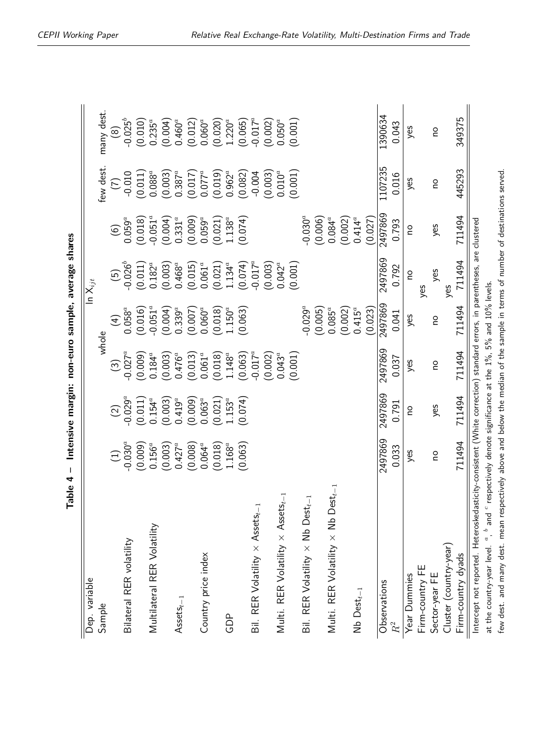| average shares                   |
|----------------------------------|
|                                  |
| tensive margin: non-euro sample, |
|                                  |
|                                  |
| ı                                |
| .<br>                            |

<span id="page-17-0"></span>

| Dep. variable                                                                                                                                                                                                                          |              |                                 |                                  |                                 | In $\mathsf{X}_{ijt}$           |                                 |                                 |                                 |
|----------------------------------------------------------------------------------------------------------------------------------------------------------------------------------------------------------------------------------------|--------------|---------------------------------|----------------------------------|---------------------------------|---------------------------------|---------------------------------|---------------------------------|---------------------------------|
| Sample                                                                                                                                                                                                                                 |              |                                 |                                  | whole                           |                                 |                                 | few dest.                       | many dest.                      |
|                                                                                                                                                                                                                                        | $\bigoplus$  | $\boxed{2}$                     | $\odot$                          | $\widehat{H}$                   | $(5)$<br>0.026 <sup>b</sup>     | $(6)$<br>0.059 <sup>a</sup>     | E                               | $\circledcirc$                  |
| Bilateral RER volatility                                                                                                                                                                                                               | $-0.030^{a}$ | $-0.029^{a}$                    | $-0.027^a$                       | $0.058^a$                       |                                 |                                 | $-0.010$                        | $-0.025^{b}$                    |
|                                                                                                                                                                                                                                        | (0.009)      | (0.011)                         | (0.009)                          | (0.016)                         | (0.011)                         | (0.018)                         | (0.011)                         | (0.010)                         |
| Multilateral RER Volatility                                                                                                                                                                                                            | $0.156^a$    | $0.154^{a}$                     | $0.184^{a}$                      | $-0.051$ <sup>o</sup>           | $0.182^{a}$                     | $-0.051^a$                      | $0.088^a$                       | $0.235^{a}$                     |
|                                                                                                                                                                                                                                        | (0.003)      | (0.003)                         | (0.003)                          | (0.004)                         | (0.003)                         | $(0.004)$<br>0.331 <sup>a</sup> | $(0.003)$<br>0.387 <sup>a</sup> | $(0.004)$<br>0.460 <sup>a</sup> |
| $\mathsf{Assets}_{t-1}$                                                                                                                                                                                                                | $0.427^a$    | $0.419^a$                       | $0.476^{a}$                      | $0.339^{a}$                     | $0.468^{a}$                     |                                 |                                 |                                 |
|                                                                                                                                                                                                                                        | (0.008)      | (0.009)                         | (0.013)                          | $(0.007)$<br>0.060 <sup>a</sup> | (0.015)                         | $(0.009)$<br>0.059 <sup>a</sup> | (0.017)                         | (0.012)                         |
| Country price index                                                                                                                                                                                                                    | $0.064^a$    | $0.063^{a}$                     | $0.061^{a}$                      |                                 | $0.061^{a}$                     |                                 | $0.077^a$                       | $0.060^a$                       |
|                                                                                                                                                                                                                                        | (0.018)      | $(0.021)$<br>1.153 <sup>a</sup> | (0.018)                          | (0.018)                         | $(0.021)$<br>1.134 <sup>a</sup> | (0.021)                         | (0.019)                         | (0.020)                         |
| GDP                                                                                                                                                                                                                                    | $1.168^a$    |                                 | $1.148^a$                        | $1.150^a$                       |                                 | $1.138^a$                       | $0.962^{a}$                     | $1.220^a$                       |
|                                                                                                                                                                                                                                        | (0.063)      | (0.074)                         | $(0.063)$<br>-0.017 <sup>a</sup> | (0.063)                         | (0.074)                         | (40.074)                        | (0.082)                         | (0.065)                         |
| Bil. RER Volatility $\times$ Assets <sub>t-1</sub>                                                                                                                                                                                     |              |                                 |                                  |                                 | $-0.017^a$                      |                                 | $-0.004$                        | $-0.017^a$                      |
|                                                                                                                                                                                                                                        |              |                                 | (0.002)                          |                                 | (0.003)                         |                                 | (0.003)                         | (0.002)                         |
| Multi. RER Volatility $\times$ Assets <sub>t-1</sub>                                                                                                                                                                                   |              |                                 | $0.043^a$                        |                                 | $0.042^a$                       |                                 | $0.010^a$                       | $0.050^a$                       |
|                                                                                                                                                                                                                                        |              |                                 | (0.001)                          |                                 | (0.001)                         |                                 | (0.001)                         | (0.001)                         |
| Bil. RER Volatility $\times$ Nb Dest $_{t-1}$                                                                                                                                                                                          |              |                                 |                                  | $-0.029^{a}$                    |                                 | $-0.030^{a}$                    |                                 |                                 |
|                                                                                                                                                                                                                                        |              |                                 |                                  | (0.005)                         |                                 | (0.006)                         |                                 |                                 |
| Multi. RER Volatility $\times$ Nb Dest <sub>t</sub>                                                                                                                                                                                    |              |                                 |                                  | $0.085^a$                       |                                 | $0.084^{a}$                     |                                 |                                 |
|                                                                                                                                                                                                                                        |              |                                 |                                  | (0.002)                         |                                 | (0.002)                         |                                 |                                 |
| $Nb$ Dest $_{t-1}$                                                                                                                                                                                                                     |              |                                 |                                  | $0.415^{a}$                     |                                 | $0.414^a$                       |                                 |                                 |
|                                                                                                                                                                                                                                        |              |                                 |                                  | (0.023)                         |                                 | (0.027)                         |                                 |                                 |
| Observations                                                                                                                                                                                                                           | 2497869      | 2497869                         | 2497869                          | 2497869                         | 2497869                         | 2497869                         | 1107235                         | 1390634                         |
| $\mathbb{R}^2$                                                                                                                                                                                                                         | 0.033        | 0.791                           | 0.037                            | 0.041                           | 0.792                           | 0.793                           | 0.016                           | 0.043                           |
| Year Dummies                                                                                                                                                                                                                           | yes          | ou                              | yes                              | yes                             | <b>DO</b>                       | ou                              | yes                             | yes                             |
| Firm-country FE                                                                                                                                                                                                                        |              |                                 |                                  |                                 | yes                             |                                 |                                 |                                 |
| Sector-year FE                                                                                                                                                                                                                         | <u>o</u>     | yes                             | $\overline{a}$                   | ou                              | yes                             | yes                             | $\overline{a}$                  | ou                              |
| Cluster (country-year)                                                                                                                                                                                                                 |              |                                 |                                  |                                 | yes                             |                                 |                                 |                                 |
| Firm-country dyads                                                                                                                                                                                                                     | 711494       | 711494                          | 711494                           | 711494                          | 711494                          | 711494                          | 445293                          | 349375                          |
| Intercept not reported. Heteroskedasticity-consistent (White correction) standard errors, in parentheses, are clustered<br>at the country-year level. $a$ , $b$ and $c$ respectively denote significance at the 1%, 5% and 10% levels. |              |                                 |                                  |                                 |                                 |                                 |                                 |                                 |
|                                                                                                                                                                                                                                        |              |                                 |                                  |                                 |                                 |                                 |                                 |                                 |

few dest. and many dest. mean respectively above and below the median of the sample in terms of number of destinations served.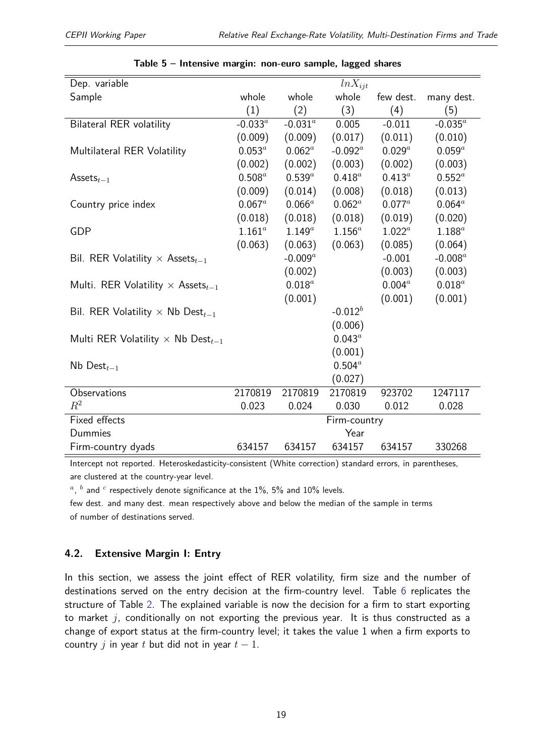<span id="page-18-0"></span>

| Dep. variable                                        |             |             | $ln X_{ijt}$ |             |            |
|------------------------------------------------------|-------------|-------------|--------------|-------------|------------|
| Sample                                               | whole       | whole       | whole        | few dest.   | many dest. |
|                                                      | (1)         | (2)         | (3)          | (4)         | (5)        |
| <b>Bilateral RER volatility</b>                      | $-0.033^a$  | $-0.031^a$  | 0.005        | $-0.011$    | $-0.035^a$ |
|                                                      | (0.009)     | (0.009)     | (0.017)      | (0.011)     | (0.010)    |
| Multilateral RER Volatility                          | $0.053^a$   | $0.062^a$   | $-0.092^a$   | $0.029^{a}$ | $0.059^a$  |
|                                                      | (0.002)     | (0.002)     | (0.003)      | (0.002)     | (0.003)    |
| Assets $_{t-1}$                                      | $0.508^a$   | $0.539^a$   | $0.418^{a}$  | $0.413^{a}$ | $0.552^a$  |
|                                                      | (0.009)     | (0.014)     | (0.008)      | (0.018)     | (0.013)    |
| Country price index                                  | $0.067^a$   | $0.066^a$   | $0.062^a$    | $0.077^a$   | $0.064^a$  |
|                                                      | (0.018)     | (0.018)     | (0.018)      | (0.019)     | (0.020)    |
| <b>GDP</b>                                           | $1.161^{a}$ | $1.149^{a}$ | $1.156^a$    | $1.022^a$   | $1.188^a$  |
|                                                      | (0.063)     | (0.063)     | (0.063)      | (0.085)     | (0.064)    |
| Bil. RER Volatility $\times$ Assets $_{t-1}$         |             | $-0.009^a$  |              | $-0.001$    | $-0.008^a$ |
|                                                      |             | (0.002)     |              | (0.003)     | (0.003)    |
| Multi. RER Volatility $\times$ Assets <sub>t-1</sub> |             | $0.018^a$   |              | $0.004^{a}$ | $0.018^a$  |
|                                                      |             | (0.001)     |              | (0.001)     | (0.001)    |
| Bil. RER Volatility $\times$ Nb Dest <sub>t-1</sub>  |             |             | $-0.012^b$   |             |            |
|                                                      |             |             | (0.006)      |             |            |
| Multi RER Volatility $\times$ Nb Dest <sub>t-1</sub> |             |             | $0.043^a$    |             |            |
|                                                      |             |             | (0.001)      |             |            |
| Nb Dest $_{t-1}$                                     |             |             | $0.504^a$    |             |            |
|                                                      |             |             | (0.027)      |             |            |
| Observations                                         | 2170819     | 2170819     | 2170819      | 923702      | 1247117    |
| $R^2$                                                | 0.023       | 0.024       | 0.030        | 0.012       | 0.028      |
| <b>Fixed effects</b>                                 |             |             | Firm-country |             |            |
| Dummies                                              |             |             | Year         |             |            |
| Firm-country dyads                                   | 634157      | 634157      | 634157       | 634157      | 330268     |

| Table 5 - Intensive margin: non-euro sample, lagged shares |  |  |  |  |  |  |
|------------------------------------------------------------|--|--|--|--|--|--|
|------------------------------------------------------------|--|--|--|--|--|--|

Intercept not reported. Heteroskedasticity-consistent (White correction) standard errors, in parentheses, are clustered at the country-year level.

 $a$ ,  $b$  and  $c$  respectively denote significance at the 1%, 5% and 10% levels.

few dest. and many dest. mean respectively above and below the median of the sample in terms of number of destinations served.

#### **4.2. Extensive Margin I: Entry**

In this section, we assess the joint effect of RER volatility, firm size and the number of destinations served on the entry decision at the firm-country level. Table [6](#page-19-0) replicates the structure of Table [2.](#page-13-0) The explained variable is now the decision for a firm to start exporting to market *j*, conditionally on not exporting the previous year. It is thus constructed as a change of export status at the firm-country level; it takes the value 1 when a firm exports to country  $j$  in year  $t$  but did not in year  $t - 1$ .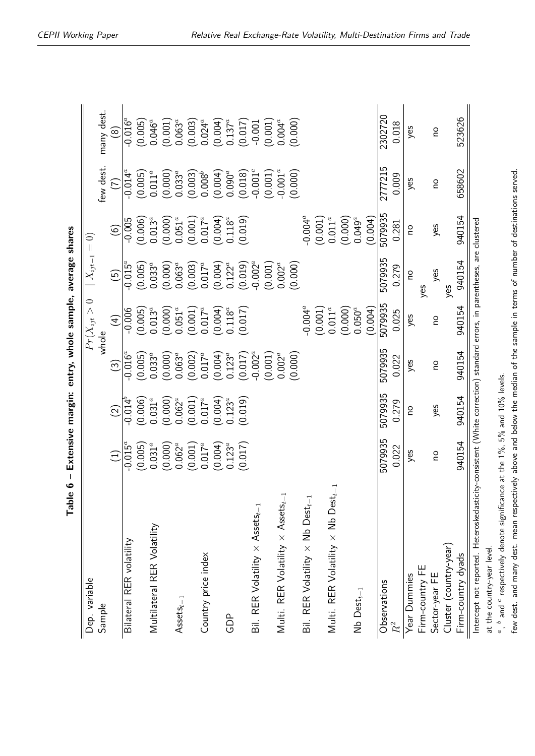<span id="page-19-0"></span>

| average share   |
|-----------------|
| שטןט בישמשטן    |
| ∶               |
| entry,          |
|                 |
| tensive margin: |
| ı               |
|                 |
|                 |

| Dep. variable                                                                                                           |                         |                                 |                                 | $\overline{Pr}(X_{ijt}>0$       | $\mid X_{ijt-1}=0)$             |                                 |                                 |                                 |
|-------------------------------------------------------------------------------------------------------------------------|-------------------------|---------------------------------|---------------------------------|---------------------------------|---------------------------------|---------------------------------|---------------------------------|---------------------------------|
| Sample                                                                                                                  |                         |                                 |                                 | whole                           |                                 |                                 | few dest.                       | many dest.                      |
|                                                                                                                         | $\widehat{\Xi}$         | $\widehat{2}$                   | $\widehat{\mathbb{C}}$          | $\left( 4\right)$               | $\overline{5}$                  | $\widehat{(\mathfrak{o})}$      | E                               | $\widehat{\circ}$               |
| Bilateral RER volatility                                                                                                | $-0.015^{\overline{a}}$ | $-0.014^{b}$                    | $-0.016^a$                      | $-0.006$                        | $-0.015^{\overline{a}}$         | $-0.005$                        | $-0.014^{\overline{a}}$         | $-0.016^{\overline{a}}$         |
|                                                                                                                         | (0.005)                 | (0.006)                         | (0.005)                         | (0.005)                         | (0.005)                         | (0.006)                         | (0.005)                         | (0.005)                         |
| Multilateral RER Volatility                                                                                             | $0.031^{a}$             | $0.031^{a}$                     | $0.033^{a}$                     | $0.013^{a}$                     | $0.033^{a}$                     | $0.013^{a}$                     | $0.011^a$                       | $0.046^a$                       |
|                                                                                                                         | (0.000)                 | $(0.000)$<br>0.062 <sup>a</sup> | (0.000)                         | $(0.000)$<br>$0.051^a$          | $(0.000)$<br>0.063 <sup>a</sup> | $(0.000)$<br>$0.051^a$          | $(0.000)$<br>0.033 <sup>a</sup> | (0.001)                         |
| $\mathsf{Assets}_{t-1}$                                                                                                 | $0.062^{a}$             |                                 | $0.063^{a}$                     |                                 |                                 |                                 |                                 | $0.063^{a}$                     |
|                                                                                                                         | (0.001)                 | (0.001)                         | $(0.002)$<br>0.017 <sup>a</sup> | $(0.001)$<br>0.017 <sup>a</sup> | (0.003)                         | $(0.001)$<br>0.017 <sup>a</sup> | (0.003)                         | $(0.003)$<br>0.024 <sup>a</sup> |
| Country price index                                                                                                     | $0.017^{a}$             | $0.017^{a}$                     |                                 |                                 | $0.017^a$                       |                                 | $0.008^{b}$                     |                                 |
|                                                                                                                         | (0.004)                 | $(0.004)$<br>0.123 <sup>a</sup> | (0.004)                         | (100.0)                         | (0.004)                         | (0.004)                         | (0.004)                         | (0.004)                         |
| GDP                                                                                                                     | $0.123^{a}$             |                                 | $0.123^{a}$                     | $0.118^a$                       | $0.122^{a}$                     | $0.118^{a}$                     | $0.090^a$                       | $0.137^{a}$                     |
|                                                                                                                         | (0.017)                 | (0.019)                         | (0.017)                         | (0.017)                         | (0.019)                         | (0.019)                         | (0.018)                         | (0.017)                         |
| Bil. RER Volatility $\times$ Assets <sub>t-1</sub>                                                                      |                         |                                 | $-0.002^a$                      |                                 | $-0.002^a$                      |                                 | $-0.001^c$                      | $-0.001$                        |
|                                                                                                                         |                         |                                 | (0.001)                         |                                 | (0.001)                         |                                 | (0.001)                         | $(0.001)$<br>$0.004^a$          |
| Multi. RER Volatility $\times$ Assets <sub>t-1</sub>                                                                    |                         |                                 | $0.002^a$                       |                                 | $0.002^{a}$                     |                                 | $-0.001^{a}$                    |                                 |
|                                                                                                                         |                         |                                 | (0.000)                         |                                 | (0.000)                         |                                 | (0.000)                         | (0.000)                         |
| Bil. RER Volatility $\times$ Nb Dest $_{t-1}$                                                                           |                         |                                 |                                 | $-0.004^a$<br>(0.001)           |                                 | $-0.004^a$                      |                                 |                                 |
|                                                                                                                         |                         |                                 |                                 |                                 |                                 | (0.001)                         |                                 |                                 |
| Multi. RER Volatility $\times$ Nb Dest $_{t-1}$                                                                         |                         |                                 |                                 | $0.011^a$                       |                                 | $0.011^a$                       |                                 |                                 |
|                                                                                                                         |                         |                                 |                                 | (0.000)                         |                                 | (0.000)                         |                                 |                                 |
| $Nb$ Dest $_{t-1}$                                                                                                      |                         |                                 |                                 | $0.050^a$                       |                                 | $0.049^a$                       |                                 |                                 |
|                                                                                                                         |                         |                                 |                                 | (0.004)                         |                                 | (0.004)                         |                                 |                                 |
| Observations                                                                                                            | 5079935                 | 5079935                         | 5079935                         | 5079935                         | 5079935                         | 5079935                         | 2777215                         | 2302720                         |
| $R^2$                                                                                                                   | 0.022                   | 0.279                           | 0.022                           | 0.025                           | 0.279                           | 0.281                           | 0.009                           | 0.018                           |
| Year Dummies                                                                                                            | yes                     | ou                              | yes                             | yes                             | ou                              | ou                              | yes                             | yes                             |
| Firm-country FE                                                                                                         |                         |                                 |                                 |                                 | yes                             |                                 |                                 |                                 |
| Sector-year FE                                                                                                          | ou                      | yes                             | <b>DO</b>                       | <b>OU</b>                       | yes                             | yes                             | <b>DO</b>                       | <b>OU</b>                       |
| Cluster (country-year)                                                                                                  |                         |                                 |                                 |                                 | yes                             |                                 |                                 |                                 |
| Firm-country dyads                                                                                                      | 940154                  | 940154                          | 940154                          | 940154                          | 940154                          | 940154                          | 658602                          | 523626                          |
| Intercept not reported. Heteroskedasticity-consistent (White correction) standard errors, in parentheses, are clustered |                         |                                 |                                 |                                 |                                 |                                 |                                 |                                 |

at the country-year level. at the country-year level.

*a* , *b* and *c* $\degree$  respectively denote significance at the  $1\%$ , 5% and  $10\%$  levels. few dest. and many dest. mean respectively above and below the median of the sample in terms of number of destinations served.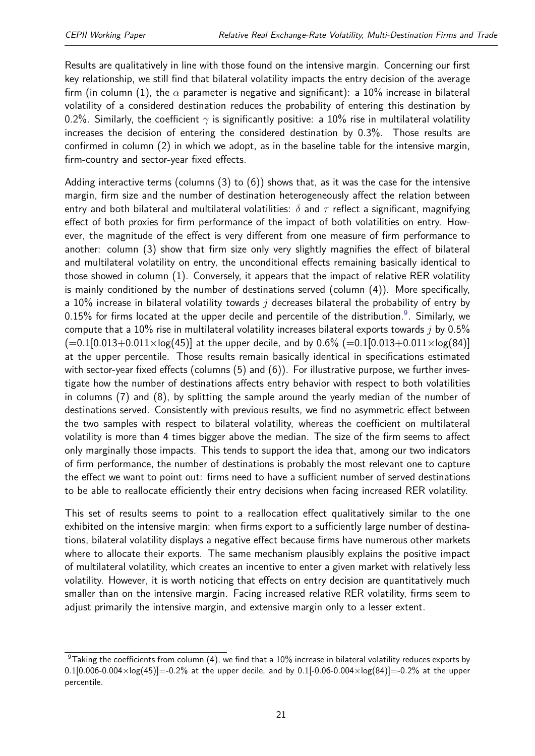Results are qualitatively in line with those found on the intensive margin. Concerning our first key relationship, we still find that bilateral volatility impacts the entry decision of the average firm (in column (1), the  $\alpha$  parameter is negative and significant): a 10% increase in bilateral volatility of a considered destination reduces the probability of entering this destination by 0.2%. Similarly, the coefficient  $\gamma$  is significantly positive: a 10% rise in multilateral volatility increases the decision of entering the considered destination by 0.3%. Those results are confirmed in column (2) in which we adopt, as in the baseline table for the intensive margin, firm-country and sector-year fixed effects.

Adding interactive terms (columns (3) to (6)) shows that, as it was the case for the intensive margin, firm size and the number of destination heterogeneously affect the relation between entry and both bilateral and multilateral volatilities: *δ* and *τ* reflect a significant, magnifying effect of both proxies for firm performance of the impact of both volatilities on entry. However, the magnitude of the effect is very different from one measure of firm performance to another: column (3) show that firm size only very slightly magnifies the effect of bilateral and multilateral volatility on entry, the unconditional effects remaining basically identical to those showed in column (1). Conversely, it appears that the impact of relative RER volatility is mainly conditioned by the number of destinations served (column (4)). More specifically, a 10% increase in bilateral volatility towards *j* decreases bilateral the probability of entry by 0.15% for firms located at the upper decile and percentile of the distribution.<sup>[9](#page-2-0)</sup>. Similarly, we compute that a 10% rise in multilateral volatility increases bilateral exports towards *j* by 0.5%  $(-0.1[0.013+0.011 \times \log(45))]$  at the upper decile, and by 0.6%  $(-0.1[0.013+0.011 \times \log(84))]$ at the upper percentile. Those results remain basically identical in specifications estimated with sector-year fixed effects (columns (5) and (6)). For illustrative purpose, we further investigate how the number of destinations affects entry behavior with respect to both volatilities in columns (7) and (8), by splitting the sample around the yearly median of the number of destinations served. Consistently with previous results, we find no asymmetric effect between the two samples with respect to bilateral volatility, whereas the coefficient on multilateral volatility is more than 4 times bigger above the median. The size of the firm seems to affect only marginally those impacts. This tends to support the idea that, among our two indicators of firm performance, the number of destinations is probably the most relevant one to capture the effect we want to point out: firms need to have a sufficient number of served destinations to be able to reallocate efficiently their entry decisions when facing increased RER volatility.

This set of results seems to point to a reallocation effect qualitatively similar to the one exhibited on the intensive margin: when firms export to a sufficiently large number of destinations, bilateral volatility displays a negative effect because firms have numerous other markets where to allocate their exports. The same mechanism plausibly explains the positive impact of multilateral volatility, which creates an incentive to enter a given market with relatively less volatility. However, it is worth noticing that effects on entry decision are quantitatively much smaller than on the intensive margin. Facing increased relative RER volatility, firms seem to adjust primarily the intensive margin, and extensive margin only to a lesser extent.

 $9$ Taking the coefficients from column (4), we find that a 10% increase in bilateral volatility reduces exports by  $0.1[0.006-0.004 \times \log(45)]=-0.2\%$  at the upper decile, and by  $0.1[-0.06-0.004 \times \log(84)]=-0.2\%$  at the upper percentile.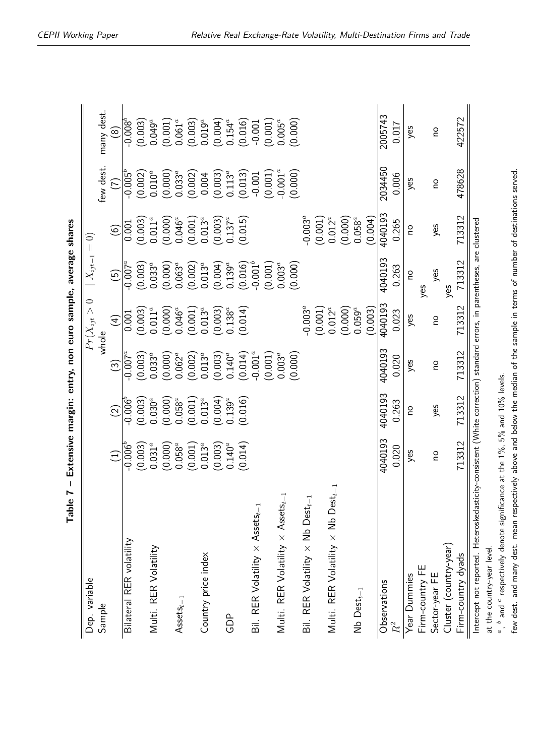<span id="page-21-0"></span>

| parch's aggregate alumne une vita<br>)<br>5<br>5<br>5<br>5 |
|------------------------------------------------------------|
|                                                            |
| <br> }                                                     |
|                                                            |
| $\frac{1}{2}$                                              |
| .<br>(                                                     |
| xtensive margin:                                           |
| ı                                                          |
| $\vdots$<br>.<br>ا                                         |

| Dep. variable                                                                                                           |                 |               |                        | $Pr(X_{ijt}>0$    | $X_{ijt-1}=0$   |                                 |                                 |              |
|-------------------------------------------------------------------------------------------------------------------------|-----------------|---------------|------------------------|-------------------|-----------------|---------------------------------|---------------------------------|--------------|
| Sample                                                                                                                  |                 |               |                        | whole             |                 |                                 | few dest.                       | many dest.   |
|                                                                                                                         | $\widehat{\Xi}$ | $\widehat{2}$ | $\widehat{\mathbb{C}}$ | $\left( 4\right)$ | $\widetilde{5}$ | $\widehat{6}$                   | E                               | @            |
| Bilateral RER volatility                                                                                                | $-0.006^b$      | $-0.006^{b}$  | $-0.007^a$             | 0.001             | $-0.007^a$      | 0.001                           | $-0.005^{b}$                    | $-0.008^{b}$ |
|                                                                                                                         | (0.003)         | (0.003)       | (0.003)                | (0.003)           | (0.003)         | (0.003)                         | (0.002)                         | (0.003)      |
| Multi. RER Volatility                                                                                                   | $0.031^{a}$     | $0.030^a$     | $0.033^{a}$            | $0.011^{a}$       | $0.033^{a}$     | $0.011^a$                       | $0.010^a$                       | $0.049^{a}$  |
|                                                                                                                         | (0.000)         | (0.000)       | (0.000)                | (0.000)           | (0.000)         | $(0.000)$<br>0.046 <sup>a</sup> | $(0.000)$<br>0.033 <sup>a</sup> | (0.001)      |
| $\mathsf{Assets}_{t-1}$                                                                                                 | $0.058^a$       | $0.058^{a}$   | $0.062^{a}$            | $0.046^a$         | $0.063^{a}$     |                                 |                                 | $0.061^{a}$  |
|                                                                                                                         | (0.001)         | (0.001)       | (0.002)                | (0.001)           | (0.002)         | (0.001)                         | (0.002)                         | (0.003)      |
| Country price index                                                                                                     | $0.013^a$       | $0.013^{a}$   | $0.013^{a}$            | $0.013^{a}$       | $0.013^{a}$     | $0.013^{a}$                     |                                 | $0.019^a$    |
|                                                                                                                         | (0.003)         | (0.004)       | (0.003)                | (0.003)           | (0.004)         | (0.003)                         | (0.004                          | (0.004)      |
| GDP                                                                                                                     | $0.140^a$       | $0.139^a$     | $0.140^{a}$            | $0.138^{a}$       | $0.139^{a}$     | $0.137^{a}$                     | $0.113^{a}$                     | $0.154^{a}$  |
|                                                                                                                         | (0.014)         | (0.016)       | (0.014)                | (0.014)           | (0.016)         | (0.015)                         | (0.013)                         | (0.016)      |
| Bil. RER Volatility $\times$ Assets <sub>t-1</sub>                                                                      |                 |               | $-0.001^{a}$           |                   | $-0.001^{b}$    |                                 | $-0.001$                        | $-0.001$     |
|                                                                                                                         |                 |               | (0.001)                |                   | (0.001)         |                                 | (0.001)                         | (0.001)      |
| Multi. RER Volatility $\times$ Assets <sub>t-1</sub>                                                                    |                 |               | $0.003^a$              |                   | $0.003^{a}$     |                                 | $-0.001^{a}$                    | $0.005^a$    |
|                                                                                                                         |                 |               | (0.000)                |                   | (0.000)         |                                 | (0.000)                         | (0.000)      |
| Bil. RER Volatility $\times$ Nb Dest $_{t-1}$                                                                           |                 |               |                        | $-0.003^{a}$      |                 | $-0.003^{a}$                    |                                 |              |
|                                                                                                                         |                 |               |                        | (0.001)           |                 | (0.001)                         |                                 |              |
| Multi. RER Volatility $\times$ Nb Dest <sub>t-1</sub>                                                                   |                 |               |                        | $0.012^{a}$       |                 | $0.012^{a}$                     |                                 |              |
|                                                                                                                         |                 |               |                        | (0.000)           |                 | (0.000)                         |                                 |              |
| $Nb$ Dest $_{t-1}$                                                                                                      |                 |               |                        | $0.059^a$         |                 | $0.058^{a}$                     |                                 |              |
|                                                                                                                         |                 |               |                        | (0.003)           |                 | (0.004)                         |                                 |              |
| Observations                                                                                                            | 4040193         | 4040193       | 4040193                | 4040193           | 4040193         | 4040193                         | 2034450                         | 2005743      |
| $\ensuremath{R^{2}}\xspace$                                                                                             | 0.020           | 0.263         | 0.020                  | 0.023             | 0.263           | 0.265                           | 0.006                           | 0.017        |
| Year Dummies                                                                                                            | yes             | ou            | yes                    | yes               | ou              | ou                              | yes                             | yes          |
| Firm-country FE                                                                                                         |                 |               |                        |                   | yes             |                                 |                                 |              |
| Sector-year FE                                                                                                          | <u>o</u>        | yes           | <b>OU</b>              | <b>OU</b>         | yes             | yes                             | <u>o</u>                        | <u>o</u>     |
| Cluster (country-year)                                                                                                  |                 |               |                        |                   | yes             |                                 |                                 |              |
| Firm-country dyads                                                                                                      | 713312          | 713312        | 713312                 | 713312            | 713312          | 713312                          | 478628                          | 422572       |
| Intercept not reported. Heteroskedasticity-consistent (White correction) standard errors, in parentheses, are clustered |                 |               |                        |                   |                 |                                 |                                 |              |
| at the country-year level.                                                                                              |                 |               |                        |                   |                 |                                 |                                 |              |
|                                                                                                                         |                 |               |                        |                   |                 |                                 |                                 |              |

*a* , *b* and *c* $\degree$  respectively denote significance at the  $1\%$ , 5% and  $10\%$  levels. few dest. and many dest. mean respectively above and below the median of the sample in terms of number of destinations served.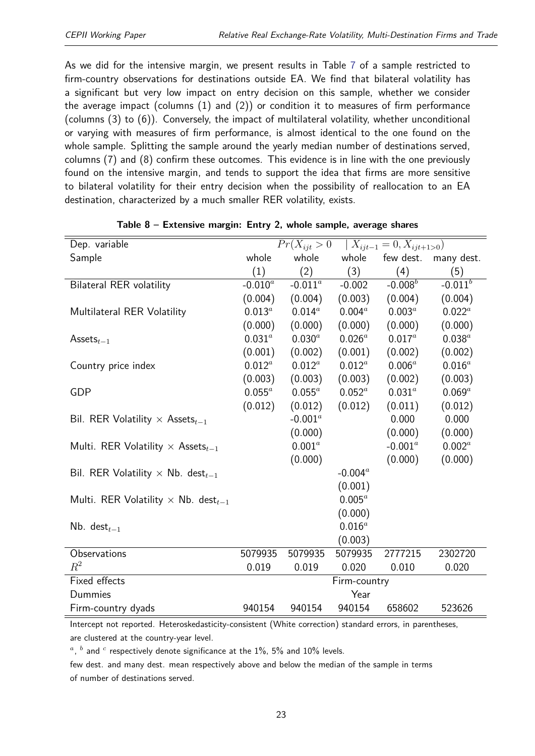As we did for the intensive margin, we present results in Table [7](#page-21-0) of a sample restricted to firm-country observations for destinations outside EA. We find that bilateral volatility has a significant but very low impact on entry decision on this sample, whether we consider the average impact (columns (1) and (2)) or condition it to measures of firm performance (columns (3) to (6)). Conversely, the impact of multilateral volatility, whether unconditional or varying with measures of firm performance, is almost identical to the one found on the whole sample. Splitting the sample around the yearly median number of destinations served, columns (7) and (8) confirm these outcomes. This evidence is in line with the one previously found on the intensive margin, and tends to support the idea that firms are more sensitive to bilateral volatility for their entry decision when the possibility of reallocation to an EA destination, characterized by a much smaller RER volatility, exists.

<span id="page-22-0"></span>

| Dep. variable                                          |             | $Pr(X_{ijt} > 0$ |              | $X_{ijt-1} = 0, X_{ijt+1>0}$ |              |
|--------------------------------------------------------|-------------|------------------|--------------|------------------------------|--------------|
| Sample                                                 | whole       | whole            | whole        | few dest.                    | many dest.   |
|                                                        | (1)         | (2)              | (3)          | (4)                          | (5)          |
| <b>Bilateral RER volatility</b>                        | $-0.010^a$  | -0.011 $^a$      | $-0.002$     | $-0.008$ <sup>b</sup>        | $-0.011^{b}$ |
|                                                        | (0.004)     | (0.004)          | (0.003)      | (0.004)                      | (0.004)      |
| Multilateral RER Volatility                            | $0.013^{a}$ | $0.014^a$        | $0.004^a$    | $0.003^a$                    | $0.022^a$    |
|                                                        | (0.000)     | (0.000)          | (0.000)      | (0.000)                      | (0.000)      |
| Assets $_{t-1}$                                        | $0.031^{a}$ | $0.030^a$        | $0.026^{a}$  | $0.017^{a}$                  | $0.038^a$    |
|                                                        | (0.001)     | (0.002)          | (0.001)      | (0.002)                      | (0.002)      |
| Country price index                                    | $0.012^a$   | $0.012^a$        | $0.012^a$    | $0.006^a$                    | $0.016^a$    |
|                                                        | (0.003)     | (0.003)          | (0.003)      | (0.002)                      | (0.003)      |
| <b>GDP</b>                                             | $0.055^a$   | $0.055^a$        | $0.052^a$    | $0.031^{a}$                  | $0.069^a$    |
|                                                        | (0.012)     | (0.012)          | (0.012)      | (0.011)                      | (0.012)      |
| Bil. RER Volatility $\times$ Assets <sub>t-1</sub>     |             | $-0.001^a$       |              | 0.000                        | 0.000        |
|                                                        |             | (0.000)          |              | (0.000)                      | (0.000)      |
| Multi. RER Volatility $\times$ Assets <sub>t-1</sub>   |             | $0.001^a$        |              | $-0.001^a$                   | $0.002^a$    |
|                                                        |             | (0.000)          |              | (0.000)                      | (0.000)      |
| Bil. RER Volatility $\times$ Nb. dest $_{t-1}$         |             |                  | $-0.004^a$   |                              |              |
|                                                        |             |                  | (0.001)      |                              |              |
| Multi. RER Volatility $\times$ Nb. dest <sub>t-1</sub> |             |                  | $0.005^{a}$  |                              |              |
|                                                        |             |                  | (0.000)      |                              |              |
| Nb. dest $_{t-1}$                                      |             |                  | $0.016^{a}$  |                              |              |
|                                                        |             |                  | (0.003)      |                              |              |
| Observations                                           | 5079935     | 5079935          | 5079935      | 2777215                      | 2302720      |
| $R^2$                                                  | 0.019       | 0.019            | 0.020        | 0.010                        | 0.020        |
| Fixed effects                                          |             |                  | Firm-country |                              |              |
| Dummies                                                |             |                  | Year         |                              |              |
| Firm-country dyads                                     | 940154      | 940154           | 940154       | 658602                       | 523626       |

| Table $8$ – Extensive margin: Entry 2, whole sample, average shares |  |  |
|---------------------------------------------------------------------|--|--|
|---------------------------------------------------------------------|--|--|

Intercept not reported. Heteroskedasticity-consistent (White correction) standard errors, in parentheses, are clustered at the country-year level.

 $a$ ,  $b$  and  $c$  respectively denote significance at the 1%, 5% and 10% levels.

few dest. and many dest. mean respectively above and below the median of the sample in terms of number of destinations served.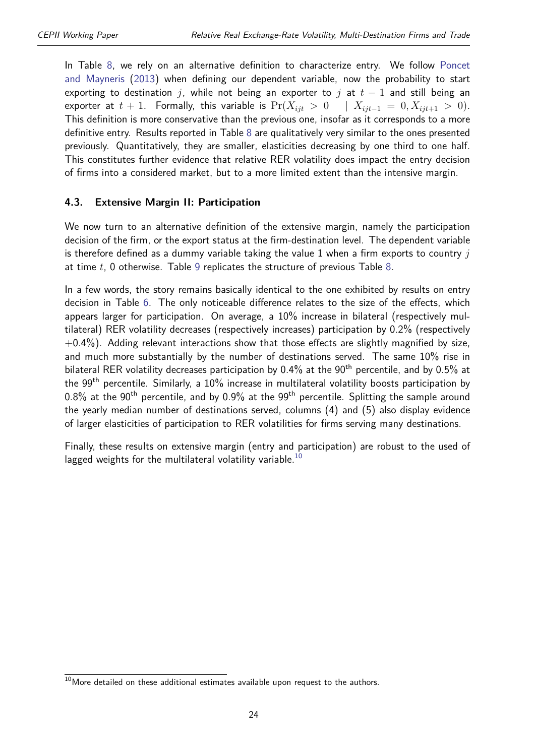In Table [8,](#page-22-0) we rely on an alternative definition to characterize entry. We follow [Poncet](#page-42-14) [and Mayneris](#page-42-14) [\(2013\)](#page-42-14) when defining our dependent variable, now the probability to start exporting to destination *j*, while not being an exporter to *j* at  $t-1$  and still being an exporter at  $t + 1$ . Formally, this variable is  $Pr(X_{ijt} > 0 | X_{ijt-1} = 0, X_{ijt+1} > 0)$ . This definition is more conservative than the previous one, insofar as it corresponds to a more definitive entry. Results reported in Table [8](#page-22-0) are qualitatively very similar to the ones presented previously. Quantitatively, they are smaller, elasticities decreasing by one third to one half. This constitutes further evidence that relative RER volatility does impact the entry decision of firms into a considered market, but to a more limited extent than the intensive margin.

#### **4.3. Extensive Margin II: Participation**

We now turn to an alternative definition of the extensive margin, namely the participation decision of the firm, or the export status at the firm-destination level. The dependent variable is therefore defined as a dummy variable taking the value 1 when a firm exports to country *j* at time *t*, 0 otherwise. Table [9](#page-24-0) replicates the structure of previous Table [8.](#page-22-0)

In a few words, the story remains basically identical to the one exhibited by results on entry decision in Table [6.](#page-19-0) The only noticeable difference relates to the size of the effects, which appears larger for participation. On average, a 10% increase in bilateral (respectively multilateral) RER volatility decreases (respectively increases) participation by 0.2% (respectively  $+0.4\%$ ). Adding relevant interactions show that those effects are slightly magnified by size, and much more substantially by the number of destinations served. The same 10% rise in bilateral RER volatility decreases participation by  $0.4\%$  at the  $90<sup>th</sup>$  percentile, and by  $0.5\%$  at the 99th percentile. Similarly, a 10% increase in multilateral volatility boosts participation by 0.8% at the 90<sup>th</sup> percentile, and by 0.9% at the 99<sup>th</sup> percentile. Splitting the sample around the yearly median number of destinations served, columns (4) and (5) also display evidence of larger elasticities of participation to RER volatilities for firms serving many destinations.

Finally, these results on extensive margin (entry and participation) are robust to the used of lagged weights for the multilateral volatility variable.<sup>[10](#page-2-0)</sup>

 $10$ More detailed on these additional estimates available upon request to the authors.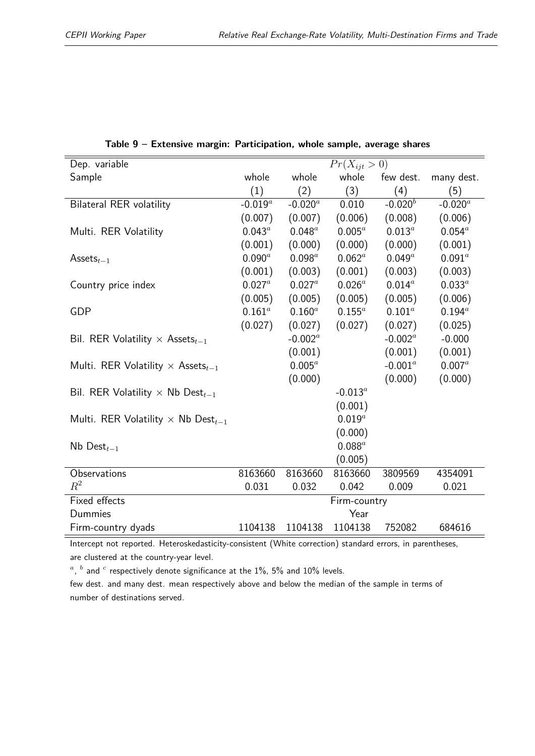<span id="page-24-0"></span>

| Dep. variable                                         |             |             | $Pr(X_{ijt} > 0)$ |             |              |
|-------------------------------------------------------|-------------|-------------|-------------------|-------------|--------------|
| Sample                                                | whole       | whole       | whole             | few dest.   | many dest.   |
|                                                       | (1)         | (2)         | (3)               | (4)         | (5)          |
| <b>Bilateral RER volatility</b>                       | $-0.019^a$  | $-0.020^a$  | 0.010             | $-0.020^b$  | $-0.020^{a}$ |
|                                                       | (0.007)     | (0.007)     | (0.006)           | (0.008)     | (0.006)      |
| Multi. RER Volatility                                 | $0.043^a$   | $0.048^a$   | $0.005^a$         | $0.013^a$   | $0.054^{a}$  |
|                                                       | (0.001)     | (0.000)     | (0.000)           | (0.000)     | (0.001)      |
| Assets $_{t-1}$                                       | $0.090^{a}$ | $0.098^a$   | $0.062^a$         | $0.049^a$   | $0.091^a$    |
|                                                       | (0.001)     | (0.003)     | (0.001)           | (0.003)     | (0.003)      |
| Country price index                                   | $0.027^a$   | $0.027^a$   | $0.026^a$         | $0.014^{a}$ | $0.033^{a}$  |
|                                                       | (0.005)     | (0.005)     | (0.005)           | (0.005)     | (0.006)      |
| <b>GDP</b>                                            | $0.161^{a}$ | $0.160^{a}$ | $0.155^a$         | $0.101^{a}$ | $0.194^{a}$  |
|                                                       | (0.027)     | (0.027)     | (0.027)           | (0.027)     | (0.025)      |
| Bil. RER Volatility $\times$ Assets <sub>t-1</sub>    |             | $-0.002^a$  |                   | $-0.002^a$  | $-0.000$     |
|                                                       |             | (0.001)     |                   | (0.001)     | (0.001)      |
| Multi. RER Volatility $\times$ Assets <sub>t-1</sub>  |             | $0.005^a$   |                   | $-0.001^a$  | $0.007^a$    |
|                                                       |             | (0.000)     |                   | (0.000)     | (0.000)      |
| Bil. RER Volatility $\times$ Nb Dest <sub>t-1</sub>   |             |             | $-0.013^a$        |             |              |
|                                                       |             |             | (0.001)           |             |              |
| Multi. RER Volatility $\times$ Nb Dest <sub>t-1</sub> |             |             | $0.019^{a}$       |             |              |
|                                                       |             |             | (0.000)           |             |              |
| Nb Dest $_{t-1}$                                      |             |             | $0.088^a$         |             |              |
|                                                       |             |             | (0.005)           |             |              |
| Observations                                          | 8163660     | 8163660     | 8163660           | 3809569     | 4354091      |
| $R^2$                                                 | 0.031       | 0.032       | 0.042             | 0.009       | 0.021        |
| Fixed effects                                         |             |             | Firm-country      |             |              |
| Dummies                                               |             |             | Year              |             |              |
| Firm-country dyads                                    | 1104138     | 1104138     | 1104138           | 752082      | 684616       |

**Table 9 – Extensive margin: Participation, whole sample, average shares**

Intercept not reported. Heteroskedasticity-consistent (White correction) standard errors, in parentheses, are clustered at the country-year level.

 $a$ ,  $b$  and  $c$  respectively denote significance at the 1%, 5% and 10% levels.

few dest. and many dest. mean respectively above and below the median of the sample in terms of number of destinations served.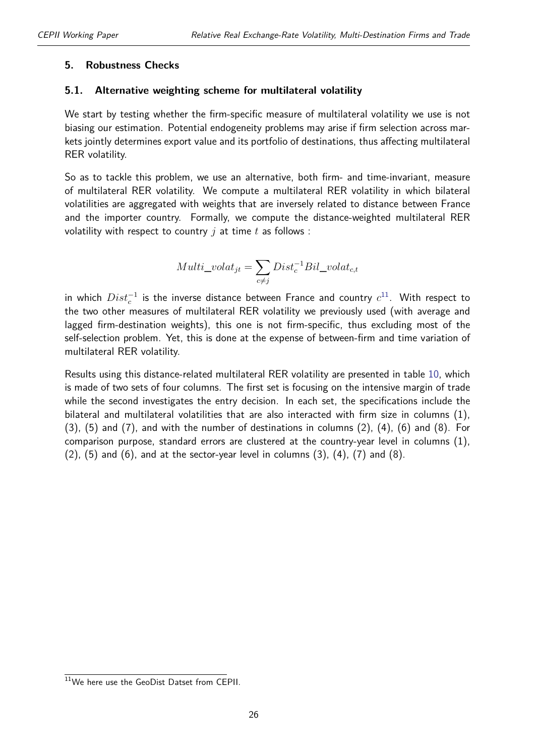#### <span id="page-25-0"></span>**5. Robustness Checks**

#### **5.1. Alternative weighting scheme for multilateral volatility**

We start by testing whether the firm-specific measure of multilateral volatility we use is not biasing our estimation. Potential endogeneity problems may arise if firm selection across markets jointly determines export value and its portfolio of destinations, thus affecting multilateral RER volatility.

So as to tackle this problem, we use an alternative, both firm- and time-invariant, measure of multilateral RER volatility. We compute a multilateral RER volatility in which bilateral volatilities are aggregated with weights that are inversely related to distance between France and the importer country. Formally, we compute the distance-weighted multilateral RER volatility with respect to country *j* at time *t* as follows :

$$
Multi\_volat_{jt} = \sum_{c \neq j} Dist_c^{-1} Bil\_volat_{c,t}
$$

in which  $Dist_c^{-1}$  is the inverse distance between France and country  $c^{11}.$  $c^{11}.$  $c^{11}.$  With respect to the two other measures of multilateral RER volatility we previously used (with average and lagged firm-destination weights), this one is not firm-specific, thus excluding most of the self-selection problem. Yet, this is done at the expense of between-firm and time variation of multilateral RER volatility.

Results using this distance-related multilateral RER volatility are presented in table [10,](#page-26-0) which is made of two sets of four columns. The first set is focusing on the intensive margin of trade while the second investigates the entry decision. In each set, the specifications include the bilateral and multilateral volatilities that are also interacted with firm size in columns (1), (3), (5) and (7), and with the number of destinations in columns (2), (4), (6) and (8). For comparison purpose, standard errors are clustered at the country-year level in columns (1),  $(2)$ ,  $(5)$  and  $(6)$ , and at the sector-year level in columns  $(3)$ ,  $(4)$ ,  $(7)$  and  $(8)$ .

<sup>11</sup>We here use the GeoDist Datset from CEPII.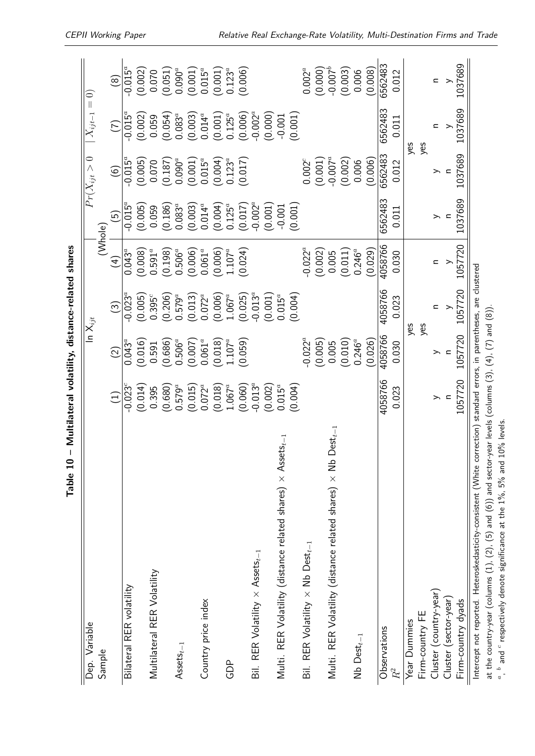| Dep. Variable                                                                                                           |             | In $\mathsf{X}_{ijt}$ |                                 |                                 |                    | $Pr(X_{ijt} > 0$         | $X_{ijt-1}=0)$          |                        |
|-------------------------------------------------------------------------------------------------------------------------|-------------|-----------------------|---------------------------------|---------------------------------|--------------------|--------------------------|-------------------------|------------------------|
| Sample                                                                                                                  |             |                       |                                 | (Whole)                         |                    |                          |                         |                        |
|                                                                                                                         | $\bigoplus$ | $\widehat{\Omega}$    | $\odot$                         | $\left( 4\right)$               | $\widehat{5}$      | $\widehat{\mathbf{e}}$   | E                       | $\circledcirc$         |
| Bilateral RER volatility                                                                                                | $-0.023^c$  | $0.043^a$             | $-0.023^a$                      | $0.043^a$                       | $-0.015^{\alpha}$  | $-0.015^a$               | $-0.015^{\overline{a}}$ | $-0.015^{\alpha}$      |
|                                                                                                                         | (0.014)     | (0.016)               | $(0.005)$<br>0.395 <sup>c</sup> | $\left( 0.008\right)$ $0.591^a$ | $(0.005)$<br>0.059 | (0.005)                  | (0.002)                 | (0.002)                |
| Multilateral RER Volatility                                                                                             | 0.395       | 0.591                 |                                 |                                 |                    | 0.070                    | 0.059                   | 0.070                  |
|                                                                                                                         | (0.680)     | (0.686)               | (0.206)                         | (0.198)                         | (0.186)            | (0.187)                  | (0.054)                 | (0.051)                |
| $\mathsf{Assets}_{t-1}$                                                                                                 | $0.579^a$   | $0.506^a$             | $0.579^a$                       | $0.506^a$                       | $0.083^{a}$        | $0.090^a$                | $0.083^{a}$             | $0.090^a$              |
|                                                                                                                         | (0.015)     | (0.007)               | (0.013)                         | (0.006)                         | (0.003)            | (0.001)                  | (0.003)                 | (0.001)                |
| Country price index                                                                                                     | $0.072^{a}$ | $0.061^{a}$           | $0.072^{a}$                     | $0.061^{a}$                     | $0.014^{a}$        | $0.015^a$                | $0.014^{a}$             | $0.015^a$              |
|                                                                                                                         | (0.018)     | (0.018)               | $(0.006)$<br>1.067 <sup>a</sup> | (0.006)                         | (0.004)            | (0.004)                  | $(0.001)$<br>$0.125^a$  | $(0.001)$<br>$0.123^a$ |
| GDP                                                                                                                     | $1.067^{a}$ | $1.107^a$             |                                 | $1.107^a$                       | $0.125^{\dot{a}}$  | $0.123^{a}$              |                         |                        |
|                                                                                                                         | (0.060)     | (0.059)               | (0.025)                         | (0.024)                         | (0.017)            | (0.017)                  | (0.006)                 | (0.006)                |
| Bil. RER Volatility $\times$ Assets <sub>t-1</sub>                                                                      | $-0.013^a$  |                       | $-0.013^{a}$                    |                                 | $-0.002^a$         |                          | $-0.002^a$              |                        |
|                                                                                                                         | (0.002)     |                       | (0.001)                         |                                 | (0.001)            |                          | (0.000)                 |                        |
| $\mathsf{sets}_t$<br>Multi. RER Volatility (distance related shares) $\times$ Ass                                       | $0.015^a$   |                       | $0.015^a$                       |                                 | $-0.001$           |                          | $-0.001$                |                        |
|                                                                                                                         | (0.004)     |                       | (0.004)                         |                                 | (0.001)            |                          | (0.001)                 |                        |
| Bil. RER Volatility $\times$ Nb Dest $_{t-1}$                                                                           |             | $-0.022^a$            |                                 | $-0.022^a$                      |                    | $0.002^c$                |                         | $0.002^a$              |
|                                                                                                                         |             | (0.005)               |                                 | (0.002)                         |                    | (0.001)                  |                         | (0.000)                |
| $Dest_{t-1}$<br>Multi. RER Volatility (distance related shares) $\times$ Nb                                             |             | 0.005                 |                                 | 0.005                           |                    | $-0.007^a$               |                         | $-0.007^{b}$           |
|                                                                                                                         |             | (0.010)               |                                 | (0.011)                         |                    | (0.002)                  |                         | (0.003)                |
| $Nb$ Dest $_{t-1}$                                                                                                      |             | $0.246^{a}$           |                                 | $0.246^{a}$                     |                    | 0.006                    |                         | 0.006                  |
|                                                                                                                         |             | (0.026)               |                                 | (0.029)                         |                    | (0.006)                  |                         | (0.008)                |
| Observations                                                                                                            | 4058766     | 4058766               | 4058766                         | 4058766                         | 6562483            | 6562483                  | 6562483                 | 6562483                |
| $\ensuremath{R^{2}}\xspace$                                                                                             | 0.023       | 0.030                 | 0.023                           | 0.030                           | 0.011              | 0.012                    | 0.011                   | 0.012                  |
| Year Dummies                                                                                                            |             | yes                   |                                 |                                 |                    | yes                      |                         |                        |
| Firm-country FE                                                                                                         |             | yes                   |                                 |                                 |                    | yes                      |                         |                        |
| Cluster (country-year)                                                                                                  | ⋋           | ⋋                     |                                 | Ξ                               | ⋋                  | ≻                        | c                       | $\mathbf{z}$           |
| Cluster (sector-year)                                                                                                   |             |                       |                                 |                                 |                    | $\overline{\phantom{0}}$ |                         |                        |
| Firm-country dyads                                                                                                      | 1057720     | 1057720               | 1057720                         | 1057720                         | 1037689            | 1037689                  | 1037689                 | 1037689                |
| Intercept not reported. Heteroskedasticity-consistent (White correction) standard errors, in parentheses, are clustered |             |                       |                                 |                                 |                    |                          |                         |                        |
| at the country-year (columns (1), (2), (5) and (6)) and sector-year levels (columns (3), (4), (7) and (8))              |             |                       |                                 |                                 |                    |                          |                         |                        |

Table 10 - Multilateral volatility, distance-related shares **Table 10 – Multilateral volatility, distance-related shares**

<span id="page-26-0"></span>*a* , *b* and *c*

 $\degree$  respectively denote significance at the 1%, 5% and 10% levels.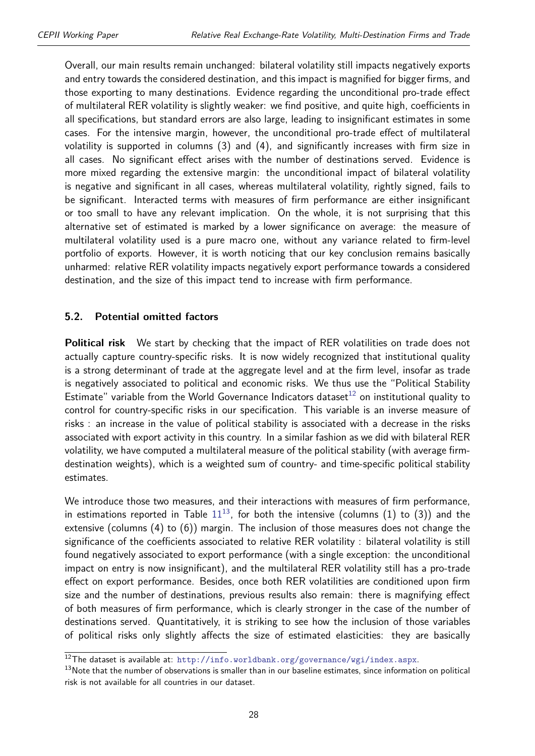Overall, our main results remain unchanged: bilateral volatility still impacts negatively exports and entry towards the considered destination, and this impact is magnified for bigger firms, and those exporting to many destinations. Evidence regarding the unconditional pro-trade effect of multilateral RER volatility is slightly weaker: we find positive, and quite high, coefficients in all specifications, but standard errors are also large, leading to insignificant estimates in some cases. For the intensive margin, however, the unconditional pro-trade effect of multilateral volatility is supported in columns (3) and (4), and significantly increases with firm size in all cases. No significant effect arises with the number of destinations served. Evidence is more mixed regarding the extensive margin: the unconditional impact of bilateral volatility is negative and significant in all cases, whereas multilateral volatility, rightly signed, fails to be significant. Interacted terms with measures of firm performance are either insignificant or too small to have any relevant implication. On the whole, it is not surprising that this alternative set of estimated is marked by a lower significance on average: the measure of multilateral volatility used is a pure macro one, without any variance related to firm-level portfolio of exports. However, it is worth noticing that our key conclusion remains basically unharmed: relative RER volatility impacts negatively export performance towards a considered destination, and the size of this impact tend to increase with firm performance.

#### **5.2. Potential omitted factors**

**Political risk** We start by checking that the impact of RER volatilities on trade does not actually capture country-specific risks. It is now widely recognized that institutional quality is a strong determinant of trade at the aggregate level and at the firm level, insofar as trade is negatively associated to political and economic risks. We thus use the "Political Stability Estimate" variable from the World Governance Indicators dataset<sup>[12](#page-2-0)</sup> on institutional quality to control for country-specific risks in our specification. This variable is an inverse measure of risks : an increase in the value of political stability is associated with a decrease in the risks associated with export activity in this country. In a similar fashion as we did with bilateral RER volatility, we have computed a multilateral measure of the political stability (with average firmdestination weights), which is a weighted sum of country- and time-specific political stability estimates.

We introduce those two measures, and their interactions with measures of firm performance, in estimations reported in Table  $11^{13}$  $11^{13}$  $11^{13}$  $11^{13}$ , for both the intensive (columns (1) to (3)) and the extensive (columns (4) to (6)) margin. The inclusion of those measures does not change the significance of the coefficients associated to relative RER volatility : bilateral volatility is still found negatively associated to export performance (with a single exception: the unconditional impact on entry is now insignificant), and the multilateral RER volatility still has a pro-trade effect on export performance. Besides, once both RER volatilities are conditioned upon firm size and the number of destinations, previous results also remain: there is magnifying effect of both measures of firm performance, which is clearly stronger in the case of the number of destinations served. Quantitatively, it is striking to see how the inclusion of those variables of political risks only slightly affects the size of estimated elasticities: they are basically

<sup>12</sup>The dataset is available at: <http://info.worldbank.org/governance/wgi/index.aspx>.

<sup>&</sup>lt;sup>13</sup>Note that the number of observations is smaller than in our baseline estimates, since information on political risk is not available for all countries in our dataset.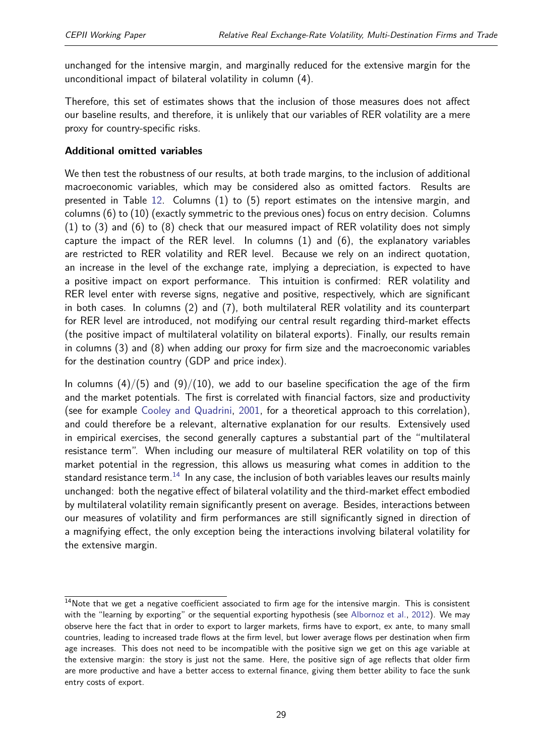unchanged for the intensive margin, and marginally reduced for the extensive margin for the unconditional impact of bilateral volatility in column (4).

Therefore, this set of estimates shows that the inclusion of those measures does not affect our baseline results, and therefore, it is unlikely that our variables of RER volatility are a mere proxy for country-specific risks.

#### **Additional omitted variables**

We then test the robustness of our results, at both trade margins, to the inclusion of additional macroeconomic variables, which may be considered also as omitted factors. Results are presented in Table [12.](#page-30-0) Columns (1) to (5) report estimates on the intensive margin, and columns (6) to (10) (exactly symmetric to the previous ones) focus on entry decision. Columns (1) to (3) and (6) to (8) check that our measured impact of RER volatility does not simply capture the impact of the RER level. In columns (1) and (6), the explanatory variables are restricted to RER volatility and RER level. Because we rely on an indirect quotation, an increase in the level of the exchange rate, implying a depreciation, is expected to have a positive impact on export performance. This intuition is confirmed: RER volatility and RER level enter with reverse signs, negative and positive, respectively, which are significant in both cases. In columns (2) and (7), both multilateral RER volatility and its counterpart for RER level are introduced, not modifying our central result regarding third-market effects (the positive impact of multilateral volatility on bilateral exports). Finally, our results remain in columns (3) and (8) when adding our proxy for firm size and the macroeconomic variables for the destination country (GDP and price index).

In columns  $(4)/(5)$  and  $(9)/(10)$ , we add to our baseline specification the age of the firm and the market potentials. The first is correlated with financial factors, size and productivity (see for example [Cooley and Quadrini,](#page-41-13) [2001,](#page-41-13) for a theoretical approach to this correlation), and could therefore be a relevant, alternative explanation for our results. Extensively used in empirical exercises, the second generally captures a substantial part of the "multilateral resistance term". When including our measure of multilateral RER volatility on top of this market potential in the regression, this allows us measuring what comes in addition to the standard resistance term.<sup>[14](#page-2-0)</sup> In any case, the inclusion of both variables leaves our results mainly unchanged: both the negative effect of bilateral volatility and the third-market effect embodied by multilateral volatility remain significantly present on average. Besides, interactions between our measures of volatility and firm performances are still significantly signed in direction of a magnifying effect, the only exception being the interactions involving bilateral volatility for the extensive margin.

 $14$ Note that we get a negative coefficient associated to firm age for the intensive margin. This is consistent with the "learning by exporting" or the sequential exporting hypothesis (see [Albornoz et al.,](#page-41-14) [2012\)](#page-41-14). We may observe here the fact that in order to export to larger markets, firms have to export, ex ante, to many small countries, leading to increased trade flows at the firm level, but lower average flows per destination when firm age increases. This does not need to be incompatible with the positive sign we get on this age variable at the extensive margin: the story is just not the same. Here, the positive sign of age reflects that older firm are more productive and have a better access to external finance, giving them better ability to face the sunk entry costs of export.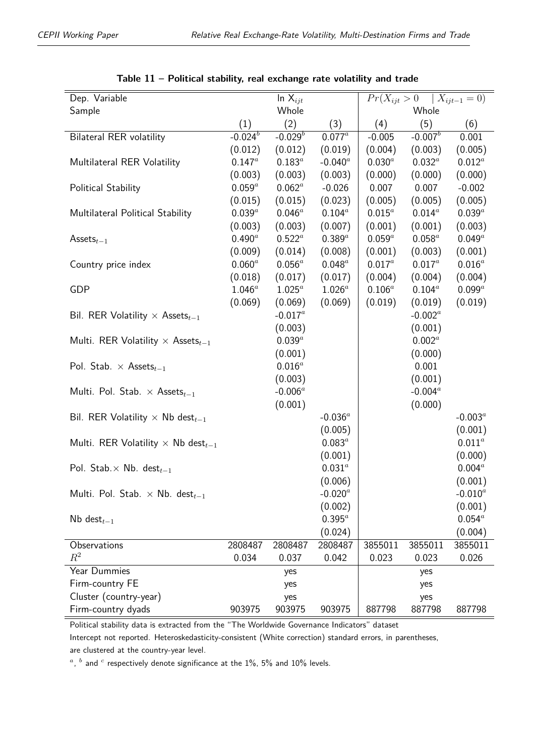<span id="page-29-0"></span>

| Dep. Variable                                         |                                    | $\overline{\ln X_{ijt}}$ |             | $Pr(X_{ijt} > 0$ |             | $X_{ijt-1} = 0$ |
|-------------------------------------------------------|------------------------------------|--------------------------|-------------|------------------|-------------|-----------------|
| Sample                                                |                                    | Whole                    |             |                  | Whole       |                 |
|                                                       | (1)                                | (2)                      | (3)         | (4)              | (5)         | (6)             |
| <b>Bilateral RER volatility</b>                       | $-0.024$ <sup><math>b</math></sup> | $-0.029^b$               | $0.077^a$   | $-0.005$         | $-0.007^b$  | 0.001           |
|                                                       | (0.012)                            | (0.012)                  | (0.019)     | (0.004)          | (0.003)     | (0.005)         |
| Multilateral RER Volatility                           | $0.147^{a}$                        | $0.183^a$                | $-0.040^a$  | $0.030^a$        | $0.032^{a}$ | $0.012^a$       |
|                                                       | (0.003)                            | (0.003)                  | (0.003)     | (0.000)          | (0.000)     | (0.000)         |
| Political Stability                                   | $0.059^a$                          | $0.062^a$                | $-0.026$    | 0.007            | 0.007       | $-0.002$        |
|                                                       | (0.015)                            | (0.015)                  | (0.023)     | (0.005)          | (0.005)     | (0.005)         |
| Multilateral Political Stability                      | $0.039^a$                          | $0.046^a$                | $0.104^a$   | $0.015^a$        | $0.014^a$   | $0.039^a$       |
|                                                       | (0.003)                            | (0.003)                  | (0.007)     | (0.001)          | (0.001)     | (0.003)         |
| Assets $_{t-1}$                                       | $0.490^a$                          | $0.522^a$                | $0.389^a$   | $0.059^a$        | $0.058^a$   | $0.049^a$       |
|                                                       | (0.009)                            | (0.014)                  | (0.008)     | (0.001)          | (0.003)     | (0.001)         |
| Country price index                                   | $0.060^a$                          | $0.056^a$                | $0.048^a$   | $0.017^{a}$      | $0.017^a$   | $0.016^a$       |
|                                                       | (0.018)                            | (0.017)                  | (0.017)     | (0.004)          | (0.004)     | (0.004)         |
| GDP                                                   | $1.046^a$                          | $1.025^a$                | $1.026^a$   | $0.106^a$        | $0.104^a$   | $0.099^a$       |
|                                                       | (0.069)                            | (0.069)                  | (0.069)     | (0.019)          | (0.019)     | (0.019)         |
| Bil. RER Volatility $\times$ Assets <sub>t-1</sub>    |                                    | $-0.017^a$               |             |                  | $-0.002^a$  |                 |
|                                                       |                                    | (0.003)                  |             |                  | (0.001)     |                 |
| Multi. RER Volatility $\times$ Assets <sub>t-1</sub>  |                                    | $0.039^a$                |             |                  | $0.002^a$   |                 |
|                                                       |                                    | (0.001)                  |             |                  | (0.000)     |                 |
| Pol. Stab. $\times$ Assets <sub>t-1</sub>             |                                    | $0.016^a$                |             |                  | 0.001       |                 |
|                                                       |                                    | (0.003)                  |             |                  | (0.001)     |                 |
| Multi. Pol. Stab. $\times$ Assets <sub>t-1</sub>      |                                    | $-0.006^a$               |             |                  | $-0.004^a$  |                 |
|                                                       |                                    | (0.001)                  |             |                  | (0.000)     |                 |
| Bil. RER Volatility $\times$ Nb dest $_{t-1}$         |                                    |                          | -0.036 $^a$ |                  |             | $-0.003^a$      |
|                                                       |                                    |                          | (0.005)     |                  |             | (0.001)         |
| Multi. RER Volatility $\times$ Nb dest <sub>t-1</sub> |                                    |                          | $0.083^a$   |                  |             | $0.011^a$       |
|                                                       |                                    |                          | (0.001)     |                  |             | (0.000)         |
| Pol. Stab. $\times$ Nb. dest <sub>t-1</sub>           |                                    |                          | $0.031^{a}$ |                  |             | $0.004^a$       |
|                                                       |                                    |                          | (0.006)     |                  |             | (0.001)         |
| Multi. Pol. Stab. $\times$ Nb. dest $_{t-1}$          |                                    |                          | $-0.020^a$  |                  |             | -0.010 $^a$     |
|                                                       |                                    |                          | (0.002)     |                  |             | (0.001)         |
| $Nb$ dest $_{t-1}$                                    |                                    |                          | $0.395^{a}$ |                  |             | $0.054^{a}$     |
|                                                       |                                    |                          | (0.024)     |                  |             | (0.004)         |
| Observations                                          | 2808487                            | 2808487                  | 2808487     | 3855011          | 3855011     | 3855011         |
| $R^2$                                                 | 0.034                              | 0.037                    | 0.042       | 0.023            | 0.023       | 0.026           |
| Year Dummies                                          |                                    | yes                      |             |                  | yes         |                 |
| Firm-country FE                                       |                                    | yes                      |             |                  | yes         |                 |
| Cluster (country-year)                                |                                    | yes                      |             |                  | yes         |                 |
| Firm-country dyads                                    | 903975                             | 903975                   | 903975      | 887798           | 887798      | 887798          |

|  | Table $11$ – Political stability, real exchange rate volatility and trade |  |  |  |
|--|---------------------------------------------------------------------------|--|--|--|
|--|---------------------------------------------------------------------------|--|--|--|

Political stability data is extracted from the "The Worldwide Governance Indicators" dataset

Intercept not reported. Heteroskedasticity-consistent (White correction) standard errors, in parentheses, are clustered at the country-year level.

 $a$ ,  $b$  and  $c$  respectively denote significance at the 1%, 5% and 10% levels.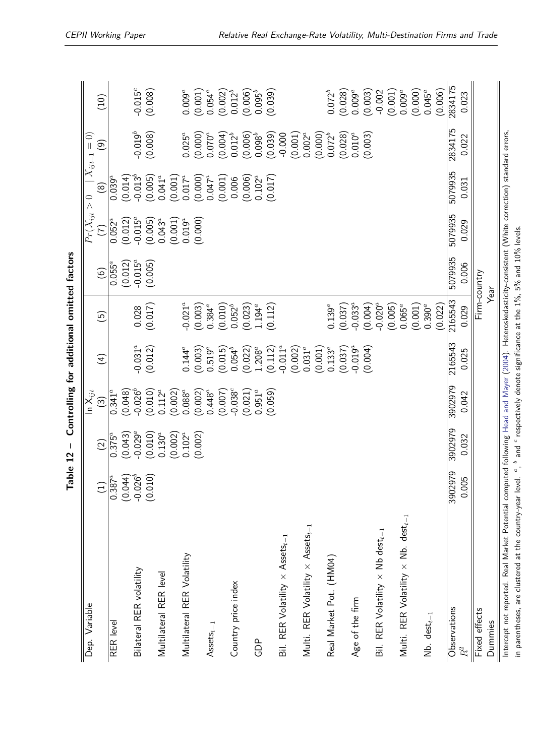<span id="page-30-0"></span>

| Dep. Variable                                                                                                                                             |                         |                         | $\overline{\ln \mathsf{X}_{ijt}}$ |                         |                                 |                       | $Pr(X_{ijt}>0$        |                         | $X_{ijt-1} = 0)$       |                        |
|-----------------------------------------------------------------------------------------------------------------------------------------------------------|-------------------------|-------------------------|-----------------------------------|-------------------------|---------------------------------|-----------------------|-----------------------|-------------------------|------------------------|------------------------|
|                                                                                                                                                           | $\overline{1}$          | $\widehat{2}$           | $\widehat{\mathbb{C}}$            | $\widehat{f}$           | $\tilde{5}$                     | $\odot$               | $(\overline{z})$      | $\circledR$             | ම                      | $\left(10\right)$      |
| RER level                                                                                                                                                 | $0.387^{a}$             | $0.375^{a}$             | $0.341^a$                         |                         |                                 | $0.055^a$             | $0.052^{\alpha}$      | $0.039^{a}$             |                        |                        |
| Bilateral RER volatility                                                                                                                                  | (0.044)<br>$-0.026^{b}$ | $-0.029^{a}$<br>(0.043) | $-0.026^{b}$<br>(0.048)           | $-0.031^{a}$            | 0.028                           | $-0.015^a$<br>(0.012) | $-0.015^a$<br>(0.012) | $-0.013^{b}$<br>(0.014) | $-0.019^{b}$           | $-0.015^c$             |
|                                                                                                                                                           | (0.010)                 | (0.010)                 | (0.010)                           | (0.012)                 | (0.017)                         | (0.005)               | (0.005)               | (0.005)                 | (0.008)                | (0.008)                |
| Multilateral RER level                                                                                                                                    |                         | $0.130^a$<br>(0.002)    | (0.002)<br>$0.112^a$              |                         |                                 |                       | $0.043^a$<br>(0.001)  | $0.041^{a}$<br>(0.001)  |                        |                        |
| Multilateral RER Volatility                                                                                                                               |                         | $0.102^a$               | $0.088^a$                         | $0.144^{a}$             | $-0.021^{a}$                    |                       | $0.019^a$             | $0.017^a$               | $0.025^a$              | $0.009^a$              |
| $\mathsf{Assets}_{t-1}$                                                                                                                                   |                         | (0.002)                 | (0.002)<br>$0.448^a$              | (0.003)<br>$0.519^a$    | (0.003)<br>$0.384^{a}$          |                       | (0.000)               | (0.000)<br>$0.047^a$    | (0.000)<br>$0.070^{a}$ | $0.054^a$<br>(0.001)   |
| Country price index                                                                                                                                       |                         |                         | $-0.038$ <sup>c</sup><br>(0.007)  | $0.054^{b}$<br>(0.015)  | (0.010)<br>$0.052^{b}$          |                       |                       | (0.001)<br>0.006        | (0.004)<br>$0.012^{b}$ | (0.002)<br>$0.012^{b}$ |
| GDP                                                                                                                                                       |                         |                         | (0.021)<br>$0.951^{a}$            | $1.208^a$<br>(0.022)    | $1.194^a$<br>(0.023)            |                       |                       | $0.102^a$<br>(0.006)    | (0.006)<br>$0.098^{b}$ | (0.006)<br>$0.095^{b}$ |
|                                                                                                                                                           |                         |                         | (0.059)                           | (0.112)                 | (0.112)                         |                       |                       | (0.017)                 | (0.039)                | (0.039)                |
| Bil. RER Volatility $\times$ Assets <sub>t-1</sub>                                                                                                        |                         |                         |                                   | $-0.011^a$<br>(0.002)   |                                 |                       |                       |                         | $-0.000$<br>(0.001)    |                        |
| Multi. RER Volatility $\times$ Assets <sub>t-1</sub>                                                                                                      |                         |                         |                                   | (0.001)<br>$0.031^{a}$  |                                 |                       |                       |                         | $0.002^{a}$<br>(0.000) |                        |
| Real Market Pot. (HM04)                                                                                                                                   |                         |                         |                                   | $0.133^{a}$             | $0.139^{a}$                     |                       |                       |                         | $0.072^{b}$            | $0.072^{b}$            |
| Age of the firm                                                                                                                                           |                         |                         |                                   | $-0.019^{a}$<br>(0.037) | $-0.033^{a}$<br>(0.037)         |                       |                       |                         | $0.010^a$<br>(0.028)   | (0.028)<br>$0.009^a$   |
|                                                                                                                                                           |                         |                         |                                   | (0.004)                 | (0.004)                         |                       |                       |                         | (0.003)                | (0.003)                |
| Bil. RER Volatility $\times$ Nb dest <sub>t-1</sub>                                                                                                       |                         |                         |                                   |                         | $-0.020^{a}$<br>(0.005)         |                       |                       |                         |                        | (0.001)<br>$-0.002$    |
| Multi. RER Volatility $\times$ Nb. $dest_{t-1}$                                                                                                           |                         |                         |                                   |                         | $0.065^a$                       |                       |                       |                         |                        | $0.009^a$              |
| $Nb.$ dest $_{t-1}$                                                                                                                                       |                         |                         |                                   |                         | $0.390$ <sup>a</sup><br>(0.001) |                       |                       |                         |                        | (0.000)<br>$0.045^a$   |
|                                                                                                                                                           |                         |                         |                                   |                         | (0.022)                         |                       |                       |                         |                        | (0.006)                |
| Observations                                                                                                                                              | 3902979                 | 3902979                 | 3902979                           | 2165543                 | 2165543                         | 5079935               | 5079935               | 5079935                 | 2834175                | 2834175                |
| $R^2$                                                                                                                                                     | 0.005                   | 0.032                   | 0.042                             | 0.025                   | 0.029                           | 0.006                 | 0.029                 | 0.031                   | 0.022                  | 0.023                  |
| Fixed effects                                                                                                                                             |                         |                         |                                   |                         | Firm-country                    |                       |                       |                         |                        |                        |
| Dummies                                                                                                                                                   |                         |                         |                                   |                         |                                 | Year                  |                       |                         |                        |                        |
| Intercept not reported. Real Market Potential computed following Head and Mayer (2004). Heteroskedasticity-consistent (White correction) standard errors, |                         |                         |                                   |                         |                                 |                       |                       |                         |                        |                        |

in parentheses, are clustered at the country-year level.

*a* , *b* and *c*

 $\degree$  respectively denote significance at the 1%, 5% and 10% levels.

Table 12 - Controlling for additional omitted factors **Table 12 – Controlling for additional omitted factors**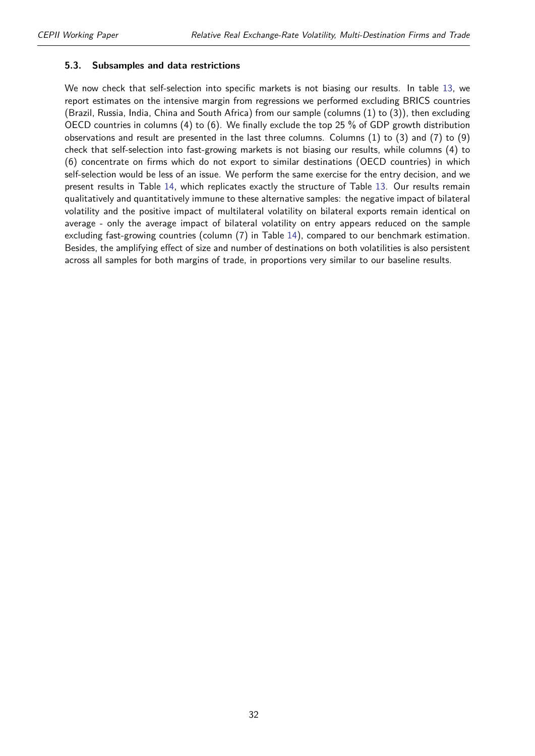#### **5.3. Subsamples and data restrictions**

We now check that self-selection into specific markets is not biasing our results. In table [13,](#page-32-0) we report estimates on the intensive margin from regressions we performed excluding BRICS countries (Brazil, Russia, India, China and South Africa) from our sample (columns (1) to (3)), then excluding OECD countries in columns (4) to (6). We finally exclude the top 25 % of GDP growth distribution observations and result are presented in the last three columns. Columns (1) to (3) and (7) to (9) check that self-selection into fast-growing markets is not biasing our results, while columns (4) to (6) concentrate on firms which do not export to similar destinations (OECD countries) in which self-selection would be less of an issue. We perform the same exercise for the entry decision, and we present results in Table [14,](#page-33-0) which replicates exactly the structure of Table [13.](#page-32-0) Our results remain qualitatively and quantitatively immune to these alternative samples: the negative impact of bilateral volatility and the positive impact of multilateral volatility on bilateral exports remain identical on average - only the average impact of bilateral volatility on entry appears reduced on the sample excluding fast-growing countries (column (7) in Table [14\)](#page-33-0), compared to our benchmark estimation. Besides, the amplifying effect of size and number of destinations on both volatilities is also persistent across all samples for both margins of trade, in proportions very similar to our baseline results.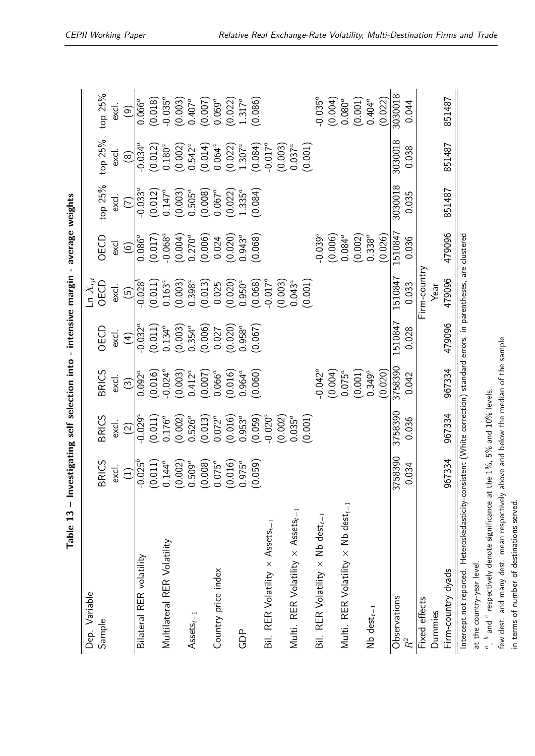<span id="page-32-0"></span>

| Dep. Variable                                                                                                           |                         |                                 |                                                                                                              |                                                               | Ln $X_{ijt}$                    |                                                   |                                 |                                 |                                                                                           |
|-------------------------------------------------------------------------------------------------------------------------|-------------------------|---------------------------------|--------------------------------------------------------------------------------------------------------------|---------------------------------------------------------------|---------------------------------|---------------------------------------------------|---------------------------------|---------------------------------|-------------------------------------------------------------------------------------------|
| Sample                                                                                                                  | <b>RICS</b><br>$\infty$ | <b>BRICS</b>                    | <b>BRICS</b>                                                                                                 | OECD                                                          | OECD                            | OECD                                              | top 25%                         | top 25%                         | top 25%                                                                                   |
|                                                                                                                         | excl.                   | excl.                           | excl.                                                                                                        | excl.                                                         | excl.                           | excl                                              | excl.                           | excl                            | excl                                                                                      |
|                                                                                                                         | $\left(1\right)$        | $\widetilde{2}$                 | $\widetilde{\mathcal{C}}$                                                                                    | $\left( 4\right)$                                             | $\widetilde{5}$                 | $\circledcirc$                                    | E                               | $\widehat{\circ}$               | ම                                                                                         |
| Bilateral RER volatility                                                                                                | $0.025^{b}$             | $-0.029^{\overline{a}}$         | $0.092^{\overline{a}}$                                                                                       | $-0.032^{\circ}$                                              | $-0.028^{b}$                    | $0.086^{a}$                                       | $-0.033^{a}$                    | $-0.034^{\alpha}$               | $0.066^{\overline{a}}$                                                                    |
|                                                                                                                         | $1.14^{a}$<br>ಲ ರ       | (0.011)                         |                                                                                                              |                                                               | $(0.011)$<br>0.163 <sup>a</sup> |                                                   | $(0.012)$<br>0.147 <sup>a</sup> | $(0.012)$<br>$0.180^a$          |                                                                                           |
| Multilateral RER Volatility                                                                                             |                         | $0.176^a$                       |                                                                                                              |                                                               |                                 |                                                   |                                 |                                 |                                                                                           |
|                                                                                                                         | (002)<br>ಲ ರ            | $(0.002)$<br>0.526 <sup>a</sup> | $(0.016)$<br>$-0.024$ <sup>a</sup><br>$(0.003)$<br>$0.412$ <sup>a</sup><br>$(0.007)$<br>$0.066$ <sup>a</sup> | $(0.011)$<br>$0.134^a$<br>$(0.003)$<br>$0.354^a$<br>$(0.006)$ | $(0.003)$<br>0.398 <sup>a</sup> | $(0.017)$<br>$-0.068^a$<br>$(0.004)$<br>$0.270^a$ | $(0.003)$<br>$0.505^a$          | $(0.002)$<br>0.542 <sup>a</sup> |                                                                                           |
| $\mathsf{Assets}_{t-1}$                                                                                                 | $509^a$                 |                                 |                                                                                                              |                                                               |                                 |                                                   |                                 |                                 |                                                                                           |
|                                                                                                                         | 0.008<br>$\sigma$       | (0.013)                         |                                                                                                              |                                                               | (0.013)                         | (0.006)                                           | (0.008)                         | $(0.014)$<br>0.064 <sup>a</sup> |                                                                                           |
| Country price index                                                                                                     | $075^a$                 | $0.072^{a}$                     |                                                                                                              | 0.027                                                         | 0.025                           | 0.024                                             | $0.067^a$                       |                                 |                                                                                           |
|                                                                                                                         | (016)<br>$\circledcirc$ | (0.016)                         | $(0.016)$<br>0.964 <sup>a</sup>                                                                              | (0.020)                                                       | (0.020)                         | (0.020)                                           | (0.022)                         | $(0.022)$<br>1.307 <sup>a</sup> | $(0.018)$<br>$-0.035^a$<br>$(0.003)$<br>$0.407^a$<br>$(0.007)$<br>$(0.059^a$<br>$0.059^a$ |
| GDP                                                                                                                     | $.975^a$<br>$\circ$     | $0.953^{a}$                     |                                                                                                              | $0.958^{a}$                                                   | $0.950^a$                       | $0.943^a$                                         | 1.335 <sup>a</sup>              |                                 | $1.317^a$                                                                                 |
|                                                                                                                         | (650)<br>೭              | (0.059)                         | (0.060)                                                                                                      | (0.067)                                                       | (0.068)                         | (0.068)                                           | (0.084)                         | (0.084)                         | (0.086)                                                                                   |
| Bil. RER Volatility $\times$ Assets <sub>t-1</sub>                                                                      |                         | $-0.020^{a}$                    |                                                                                                              |                                                               | $-0.017^a$                      |                                                   |                                 | $-0.017^a$                      |                                                                                           |
|                                                                                                                         |                         | (0.002)                         |                                                                                                              |                                                               | (0.003)                         |                                                   |                                 | $(0.003)$<br>0.037 <sup>a</sup> |                                                                                           |
| Multi. RER Volatility $\times$ Assets <sub>t-1</sub>                                                                    |                         | $0.035^{a}$                     |                                                                                                              |                                                               | $0.043^a$                       |                                                   |                                 |                                 |                                                                                           |
|                                                                                                                         |                         | (0.001)                         |                                                                                                              |                                                               | (0.001)                         |                                                   |                                 | (0.001)                         |                                                                                           |
| Bil. RER Volatility $\times$ Nb dest $_{t-1}$                                                                           |                         |                                 | $-0.042^a$                                                                                                   |                                                               |                                 | $-0.039^{a}$                                      |                                 |                                 | $-0.035^{a}$                                                                              |
|                                                                                                                         |                         |                                 |                                                                                                              |                                                               |                                 | (0.006)                                           |                                 |                                 | $(0.004)$<br>0.080 <sup>a</sup>                                                           |
| Multi. RER Volatility $\times$ Nb dest $_{t-1}$                                                                         |                         |                                 | $(0.004)$<br>0.075 <sup>a</sup>                                                                              |                                                               |                                 | $0.084^{a}$                                       |                                 |                                 |                                                                                           |
|                                                                                                                         |                         |                                 | (0.001)                                                                                                      |                                                               |                                 | (0.002)                                           |                                 |                                 | $(0.001)$<br>0.404 <sup>a</sup>                                                           |
| $Nb$ dest $_{t-1}$                                                                                                      |                         |                                 | $0.349^{a}$                                                                                                  |                                                               |                                 | $0.338^{a}$                                       |                                 |                                 |                                                                                           |
|                                                                                                                         |                         |                                 | (0.020)                                                                                                      |                                                               |                                 | (0.026)                                           |                                 |                                 | (0.022)                                                                                   |
| Observations                                                                                                            | 3758390                 | 3758390                         | 3758390                                                                                                      | 1510847                                                       | 1510847                         | 151084                                            | 3030018                         | 3030018                         | 3030018                                                                                   |
| $\mathbb{R}^2$                                                                                                          | 034                     | 0.036                           | 0.042                                                                                                        | 0.028                                                         | 0.033                           | 0.036                                             | 0.035                           | 0.038                           | 0.044                                                                                     |
| Fixed effects                                                                                                           |                         |                                 |                                                                                                              |                                                               | Firm-country                    |                                                   |                                 |                                 |                                                                                           |
| Dummies                                                                                                                 |                         |                                 |                                                                                                              |                                                               | Year                            |                                                   |                                 |                                 |                                                                                           |
| Firm-country dyads                                                                                                      | 967334                  | 967334                          | 967334                                                                                                       | 479096                                                        | 479096                          | 479096                                            | 851487                          | 851487                          | 851487                                                                                    |
| Intercept not reported. Heteroskedasticity-consistent (White correction) standard errors, in parentheses, are clustered |                         |                                 |                                                                                                              |                                                               |                                 |                                                   |                                 |                                 |                                                                                           |

*a* , *b* and *c* $\degree$  respectively denote significance at the  $1\%$ , 5% and  $10\%$  levels.

few dest. and many dest. mean respectively above and below the median of the sample in terms of number of destinations served.

in terms of number of destinations served.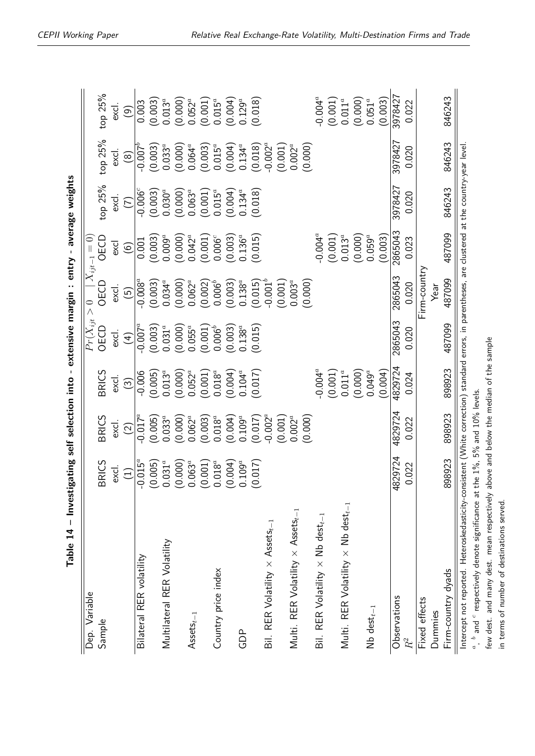| Table 14 - Investigating self selection into - extensive margin : entry - average weights                                                         |                                        |                    |                                 |                          |              |                                 |                        |                                 |                                 |
|---------------------------------------------------------------------------------------------------------------------------------------------------|----------------------------------------|--------------------|---------------------------------|--------------------------|--------------|---------------------------------|------------------------|---------------------------------|---------------------------------|
| Dep. Variable                                                                                                                                     |                                        |                    |                                 | $Pr(X_{ijt} > 0$         |              | $ X_{ijt-1}=0\rangle$           |                        |                                 |                                 |
| Sample                                                                                                                                            | <b>RICS</b><br>$\overline{\mathbb{Z}}$ | <b>BRICS</b>       | <b>BRICS</b>                    | OECD                     | OECD         | OECD                            | top 25%                | top 25%                         | top 25%                         |
|                                                                                                                                                   | $\frac{1}{2}$                          | excl.              | excl.                           | excl.                    | excl.        | excl                            | excl.                  | excl.                           | excl.                           |
|                                                                                                                                                   | $\begin{pmatrix} 1 \end{pmatrix}$      | $\widehat{\Omega}$ | $\odot$                         | $\left( 4\right)$        | ලි           | $\circledcirc$                  | E                      | $\widehat{\circ}$               | ම                               |
| Bilateral RER volatility                                                                                                                          | $-0.015^a$                             | $-0.017^a$         | $-0.006$                        | $-0.007^a$               | $-0.008^a$   | 0.001                           | $-0.006^{\circ}$       | $-0.007$ <sup>b</sup>           | 0.003                           |
|                                                                                                                                                   | (005)<br>९०९०९०९०                      | (0.005)            | (0.005)                         | (0.003)                  | (0.003)      | (0.003)                         | (0.003)                | (0.003)                         | (0.003)                         |
| Multilateral RER Volatility                                                                                                                       | $031^a$                                | $0.033^{a}$        | $0.013^a$                       | $0.031^{a}$              | $0.034^{a}$  | $0.009^a$                       | 0.030 <sup>a</sup>     | $0.033^{a}$                     | $0.013^{a}$                     |
|                                                                                                                                                   | (000)                                  | (0.000)            | $(0.000)$<br>$0.052^a$          | $(0.000)$<br>$0.055^a$   | (0.000)      | $(0.000)$<br>0.042 <sup>a</sup> | $(0.000)$<br>$0.063^a$ | $(0.000)$<br>0.064 <sup>a</sup> | $(0.000)$<br>0.052 <sup>a</sup> |
| $\mathsf{Assets}_{t-1}$                                                                                                                           | $063^a$                                | $0.062^{a}$        |                                 |                          | $0.062^{a}$  |                                 |                        |                                 |                                 |
|                                                                                                                                                   | .001                                   | (0.003)            | (0.001)                         | $(0.001)$<br>$0.006^{b}$ | (0.002)      | (0.001)                         | (0.001)                | (0.003)                         | $(0.001)$<br>$0.015^a$          |
| Country price index                                                                                                                               | $018^a$                                | $0.018^a$          | $0.018^{a}$                     |                          | $0.006^b$    | 0.006 <sup>c</sup>              | $0.015^a$              | $0.015^a$                       |                                 |
|                                                                                                                                                   | .004                                   | (0.004)            | $(0.004)$<br>0.104 <sup>a</sup> | $(0.003)$<br>$0.138^{a}$ | (0.003)      | (0.003)                         | (0.004)                | $(0.004)$<br>0.134 <sup>a</sup> | $(0.004)$<br>0.129 <sup>a</sup> |
| GDP                                                                                                                                               | $109^a$                                | $0.109^a$          |                                 |                          | $0.138^a$    | $0.136^{a}$                     | $0.134^{a}$            |                                 |                                 |
|                                                                                                                                                   | 017<br>$\circ$                         | (0.017)            | (0.017)                         | (0.015)                  | (0.015)      | (0.015)                         | (0.018)                | (0.018)                         | (0.018)                         |
| Bil. RER Volatility $\times$ Assets <sub>t-1</sub>                                                                                                |                                        | $-0.002^a$         |                                 |                          | $-0.001^{b}$ |                                 |                        | $-0.002^a$                      |                                 |
|                                                                                                                                                   |                                        | (0.001)            |                                 |                          | (0.001)      |                                 |                        | (0.001)                         |                                 |
| Multi. RER Volatility $\times$ Assets <sub>t-1</sub>                                                                                              |                                        | $0.002^{a}$        |                                 |                          | $0.003^{a}$  |                                 |                        | $0.002^a$                       |                                 |
|                                                                                                                                                   |                                        | (0.000)            |                                 |                          | (0.000)      |                                 |                        | (0.000)                         |                                 |
| Bil. RER Volatility $\times$ Nb dest <sub>t-1</sub>                                                                                               |                                        |                    | $-0.004^a$                      |                          |              | $-0.004^a$                      |                        |                                 | $-0.004^a$                      |
|                                                                                                                                                   |                                        |                    | (0.001)                         |                          |              | (0.001)                         |                        |                                 | (0.001)                         |
| Multi. RER Volatility $\times$ Nb dest $_{t-1}$                                                                                                   |                                        |                    | $0.011^a$                       |                          |              | $0.013^{a}$                     |                        |                                 | $0.011^a$                       |
|                                                                                                                                                   |                                        |                    | (0.000)                         |                          |              | (0.000)                         |                        |                                 | (0.000)                         |
| $Nb$ dest $_{t-1}$                                                                                                                                |                                        |                    | $0.049^{a}$                     |                          |              | $0.059^a$                       |                        |                                 | 0.051 <sup>a</sup>              |
|                                                                                                                                                   |                                        |                    | (0.004)                         |                          |              | (0.003)                         |                        |                                 | (0.003)                         |
| Observations                                                                                                                                      | 4829724                                | 4829724            | 4829724                         | 2865043                  | 2865043      | 2865043                         | 3978427                | 3978427                         | 397842                          |
| $R^2$                                                                                                                                             | 022<br>$\circ$                         | 0.022              | 0.024                           | 0.020                    | 0.020        | 0.023                           | 0.020                  | 0.020                           | 0.022                           |
| Fixed effects                                                                                                                                     |                                        |                    |                                 |                          | Firm-country |                                 |                        |                                 |                                 |
| Dummies                                                                                                                                           |                                        |                    |                                 |                          | Year         |                                 |                        |                                 |                                 |
| Firm-country dyads                                                                                                                                | 898923                                 | 898923             | 898923                          | 487099                   | 487099       | 487099                          | 846243                 | 846243                          | 846243                          |
| Intercept not reported. Heteroskedasticity-consistent (White correction) standard errors, in parentheses, are clustered at the country-year level |                                        |                    |                                 |                          |              |                                 |                        |                                 |                                 |
| $a$ , $b$ and $c$ respectively denote significance at the 1%, 5% and 10% levels.                                                                  |                                        |                    |                                 |                          |              |                                 |                        |                                 |                                 |

<span id="page-33-0"></span>few dest. and many dest. mean respectively above and below the median of the sample few dest. and many dest. mean respectively above and below the median of the sample in terms of number of destinations served. in terms of number of destinations served.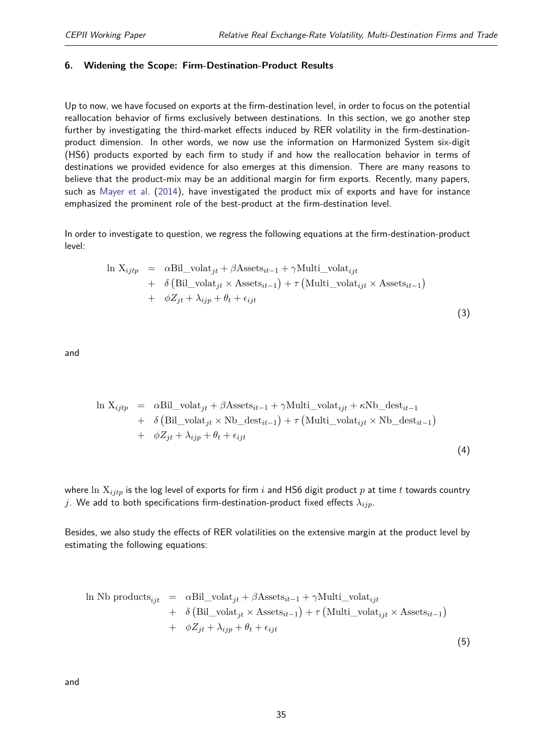(3)

#### <span id="page-34-0"></span>**6. Widening the Scope: Firm-Destination-Product Results**

Up to now, we have focused on exports at the firm-destination level, in order to focus on the potential reallocation behavior of firms exclusively between destinations. In this section, we go another step further by investigating the third-market effects induced by RER volatility in the firm-destinationproduct dimension. In other words, we now use the information on Harmonized System six-digit (HS6) products exported by each firm to study if and how the reallocation behavior in terms of destinations we provided evidence for also emerges at this dimension. There are many reasons to believe that the product-mix may be an additional margin for firm exports. Recently, many papers, such as [Mayer et al.](#page-42-16) [\(2014\)](#page-42-16), have investigated the product mix of exports and have for instance emphasized the prominent role of the best-product at the firm-destination level.

In order to investigate to question, we regress the following equations at the firm-destination-product level:

$$
\ln X_{ijtp} = \alpha \text{Bil\_volat}_{jt} + \beta \text{Assets}_{it-1} + \gamma \text{Multi\_volat}_{ijt} \n+ \delta \left( \text{Bil\_volat}_{jt} \times \text{Assets}_{it-1} \right) + \tau \left( \text{Multi\_volat}_{ijt} \times \text{Assets}_{it-1} \right) \n+ \phi Z_{jt} + \lambda_{ijp} + \theta_t + \epsilon_{ijt}
$$

and

$$
\ln X_{ijtp} = \alpha \text{Bil\_volat}_{jt} + \beta \text{Assets}_{it-1} + \gamma \text{Multi\_volat}_{ijt} + \kappa \text{Nb\_dest}_{it-1} + \delta \left( \text{Bil\_volat}_{jt} \times \text{Nb\_dest}_{it-1} \right) + \tau \left( \text{Multi\_volat}_{ijt} \times \text{Nb\_dest}_{it-1} \right) + \phi Z_{jt} + \lambda_{ijp} + \theta_t + \epsilon_{ijt}
$$
\n(4)

where ln X*ijtp* is the log level of exports for firm *i* and HS6 digit product *p* at time *t* towards country *j*. We add to both specifications firm-destination-product fixed effects *λijp*.

Besides, we also study the effects of RER volatilities on the extensive margin at the product level by estimating the following equations:

$$
\ln Nb\ products_{ijt} = \alpha Bil\_vola t_{jt} + \beta Assets_{it-1} + \gamma Multi\_vola t_{ijt}
$$
  
+  $\delta \left( Bil\_vola t_{jt} \times Assets_{it-1} \right) + \tau \left( Multi\_vola t_{ijt} \times Assets_{it-1} \right)$   
+  $\phi Z_{jt} + \lambda_{ijp} + \theta_t + \epsilon_{ijt}$  (5)

and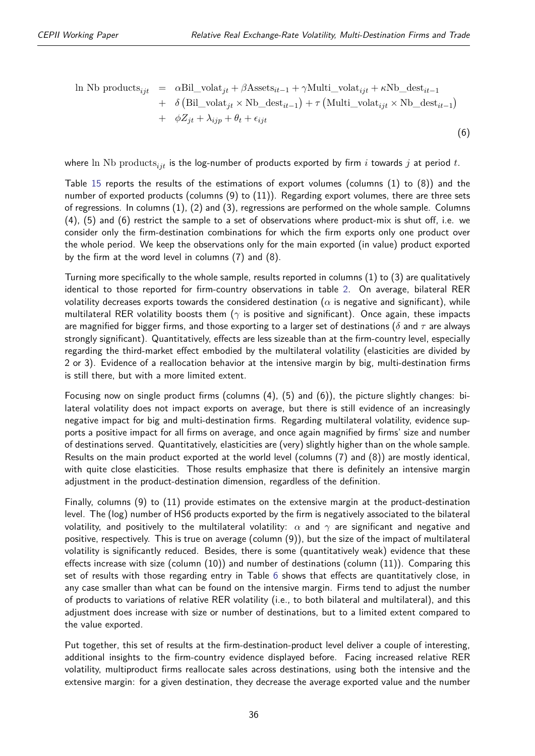(6)

In Nb products<sub>ijt</sub> = 
$$
\alpha
$$
Bil\_volat<sub>jt</sub> +  $\beta$ Assets<sub>it-1</sub> +  $\gamma$ Multi\_volat<sub>ijt</sub> +  $\kappa$ Nb\_dest<sub>it-1</sub>  
+  $\delta$  (Bil\_volat<sub>jt</sub> × Nb\_dest<sub>it-1</sub>) +  $\tau$  (Multi\_volat<sub>ijt</sub> × Nb\_dest<sub>it-1</sub>)  
+  $\phi Z_{jt} + \lambda_{ijp} + \theta_t + \epsilon_{ijt}$ 

where ln Nb products<sub>*ijt*</sub> is the log-number of products exported by firm *i* towards *j* at period *t*.

Table [15](#page-37-0) reports the results of the estimations of export volumes (columns (1) to (8)) and the number of exported products (columns  $(9)$  to  $(11)$ ). Regarding export volumes, there are three sets of regressions. In columns (1), (2) and (3), regressions are performed on the whole sample. Columns (4), (5) and (6) restrict the sample to a set of observations where product-mix is shut off, i.e. we consider only the firm-destination combinations for which the firm exports only one product over the whole period. We keep the observations only for the main exported (in value) product exported by the firm at the word level in columns (7) and (8).

Turning more specifically to the whole sample, results reported in columns (1) to (3) are qualitatively identical to those reported for firm-country observations in table [2.](#page-13-0) On average, bilateral RER volatility decreases exports towards the considered destination ( $\alpha$  is negative and significant), while multilateral RER volatility boosts them (*γ* is positive and significant). Once again, these impacts are magnified for bigger firms, and those exporting to a larger set of destinations (*δ* and *τ* are always strongly significant). Quantitatively, effects are less sizeable than at the firm-country level, especially regarding the third-market effect embodied by the multilateral volatility (elasticities are divided by 2 or 3). Evidence of a reallocation behavior at the intensive margin by big, multi-destination firms is still there, but with a more limited extent.

Focusing now on single product firms (columns (4), (5) and (6)), the picture slightly changes: bilateral volatility does not impact exports on average, but there is still evidence of an increasingly negative impact for big and multi-destination firms. Regarding multilateral volatility, evidence supports a positive impact for all firms on average, and once again magnified by firms' size and number of destinations served. Quantitatively, elasticities are (very) slightly higher than on the whole sample. Results on the main product exported at the world level (columns (7) and (8)) are mostly identical, with quite close elasticities. Those results emphasize that there is definitely an intensive margin adjustment in the product-destination dimension, regardless of the definition.

Finally, columns (9) to (11) provide estimates on the extensive margin at the product-destination level. The (log) number of HS6 products exported by the firm is negatively associated to the bilateral volatility, and positively to the multilateral volatility:  $\alpha$  and  $\gamma$  are significant and negative and positive, respectively. This is true on average (column (9)), but the size of the impact of multilateral volatility is significantly reduced. Besides, there is some (quantitatively weak) evidence that these effects increase with size (column (10)) and number of destinations (column (11)). Comparing this set of results with those regarding entry in Table [6](#page-19-0) shows that effects are quantitatively close, in any case smaller than what can be found on the intensive margin. Firms tend to adjust the number of products to variations of relative RER volatility (i.e., to both bilateral and multilateral), and this adjustment does increase with size or number of destinations, but to a limited extent compared to the value exported.

Put together, this set of results at the firm-destination-product level deliver a couple of interesting, additional insights to the firm-country evidence displayed before. Facing increased relative RER volatility, multiproduct firms reallocate sales across destinations, using both the intensive and the extensive margin: for a given destination, they decrease the average exported value and the number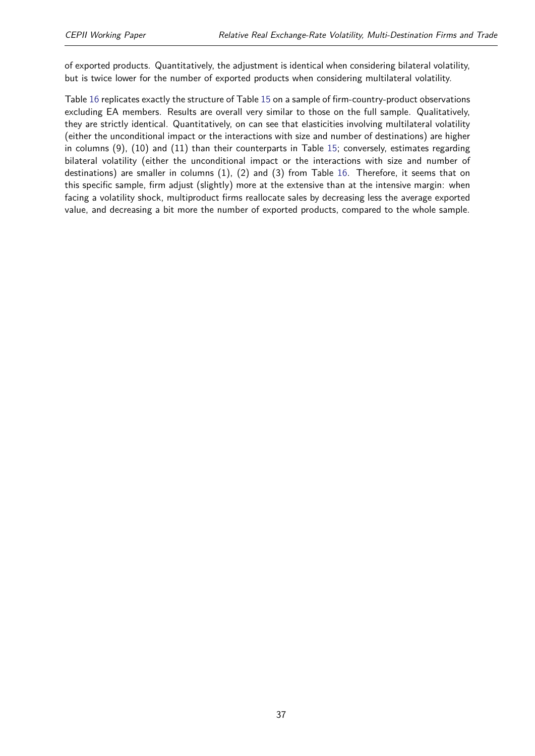of exported products. Quantitatively, the adjustment is identical when considering bilateral volatility, but is twice lower for the number of exported products when considering multilateral volatility.

Table [16](#page-38-0) replicates exactly the structure of Table [15](#page-37-0) on a sample of firm-country-product observations excluding EA members. Results are overall very similar to those on the full sample. Qualitatively, they are strictly identical. Quantitatively, on can see that elasticities involving multilateral volatility (either the unconditional impact or the interactions with size and number of destinations) are higher in columns (9), (10) and (11) than their counterparts in Table [15;](#page-37-0) conversely, estimates regarding bilateral volatility (either the unconditional impact or the interactions with size and number of destinations) are smaller in columns (1), (2) and (3) from Table [16.](#page-38-0) Therefore, it seems that on this specific sample, firm adjust (slightly) more at the extensive than at the intensive margin: when facing a volatility shock, multiproduct firms reallocate sales by decreasing less the average exported value, and decreasing a bit more the number of exported products, compared to the whole sample.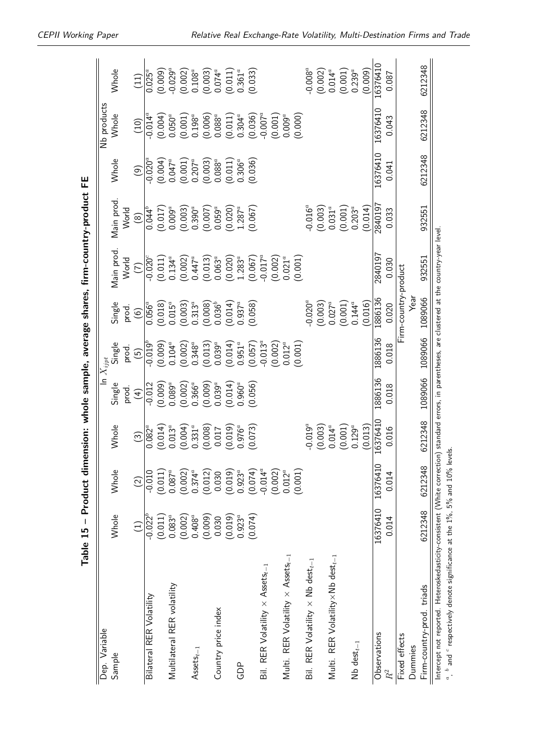<span id="page-37-0"></span>

|                                                                                                                                                                                                                                       | Table 15 - Product dime |                        |                                 |                            |                           |                          | ension: whole sample, average shares, firm-country-product FE |                      |                                 |                                 |                                 |
|---------------------------------------------------------------------------------------------------------------------------------------------------------------------------------------------------------------------------------------|-------------------------|------------------------|---------------------------------|----------------------------|---------------------------|--------------------------|---------------------------------------------------------------|----------------------|---------------------------------|---------------------------------|---------------------------------|
| Dep. Variable                                                                                                                                                                                                                         |                         |                        |                                 |                            | $\overline{\ln X_{ijpt}}$ |                          |                                                               |                      |                                 | Nb products                     |                                 |
| Sample                                                                                                                                                                                                                                | Whole                   | Whole                  | Whole                           | Single                     | Single                    | Single                   | Main prod.                                                    | Main prod            | <b>Whole</b>                    | Whole                           | Whole                           |
|                                                                                                                                                                                                                                       | $\widehat{\Xi}$         | $\widehat{\Omega}$     | $\left( \frac{3}{2} \right)$    | prod.<br>$\left( 4\right)$ | prod.<br>$\widetilde{5}$  | prod.<br>$\odot$         | World<br>$\in$                                                | World<br>$\circledR$ | $\odot$                         | (10)                            | (11)                            |
| Bilateral RER Volatility                                                                                                                                                                                                              | $-0.022^{b}$            | $-0.010$               | $0.082^{a}$                     | $-0.012$                   | $-0.019^{b}$              | $0.056^{\overline{a}}$   | $-0.020^{\circ}$                                              | $0.044^{5}$          | $-0.020^{\overline{a}}$         | $-0.014^{\bar{a}}$              | $0.025^{\overline{a}}$          |
|                                                                                                                                                                                                                                       | (0.011)                 | (0.011)                | (0.014)                         | (0.009)                    | (0.009)                   | (0.018)                  | (0.011)                                                       | (0.017)              | $(0.004)$<br>0.047 <sup>a</sup> | (0.004)                         | (0.009)                         |
| Multilateral RER volatility                                                                                                                                                                                                           | $0.083^{a}$             | $0.087^a$              | $0.013^{a}$                     | $0.089^a$                  | $0.104^{a}$               | $0.015^a$                | $0.134^{a}$                                                   | $0.009^a$            |                                 | $0.050^a$                       | $-0.029^{a}$                    |
|                                                                                                                                                                                                                                       | (0.002)                 | (0.002)                | $(0.004)$<br>0.331 <sup>a</sup> | $(0.002)$<br>$0.366^a$     | (0.002)                   | (0.003)                  | (0.002)                                                       | (0.003)              | (0.001)                         | $(0.001)$<br>$0.198^a$          | $(0.002)$ $0.108^a$             |
| $\mathsf{Assets}_{t-1}$                                                                                                                                                                                                               | $0.408^{a}$             | $0.374^{a}$            |                                 |                            | $0.348^a$                 | $0.313^{a}$              | $0.447^a$                                                     | $0.390^a$            | $0.207^a$                       |                                 |                                 |
|                                                                                                                                                                                                                                       | (0.009)                 | (0.012)                | (0.008)                         | (0.009)                    | (0.013)                   | $(0.008)$<br>$0.036^{b}$ | (0.013)                                                       | (0.007)              | $(0.003)$<br>$0.088^a$          | $(0.006)$<br>0.088 <sup>c</sup> | $(0.003)$<br>0.074 <sup>a</sup> |
| Country price index                                                                                                                                                                                                                   | 0.030                   | 0.030                  | 0.017                           | $0.039^a$                  | $0.039^{a}$               |                          | $0.063^{a}$                                                   | $0.059^a$            |                                 |                                 |                                 |
|                                                                                                                                                                                                                                       | (0.019)                 | (0.019)                | (0.019)                         | (0.014)                    | (0.014)                   | (0.014)                  | (0.020)                                                       | (0.020)              | (0.011)                         | $(0.011)$<br>$0.304^a$          | $(0.011)$<br>$0.361^a$          |
| GDP                                                                                                                                                                                                                                   | $0.923^{a}$             | $0.923^{a}$            | $0.976^{a}$                     | $0.960^{a}$                | $0.951^{a}$               | $0.937^{a}$              | $1.283^{a}$                                                   | $1.287^{a}$          | $0.306^a$                       |                                 |                                 |
|                                                                                                                                                                                                                                       | (0.074)                 | (0.074)                | (0.073)                         | (0.056)                    | (0.057)                   | (0.058)                  | (0.067)                                                       | (0.067)              | (0.036)                         | (0.036)                         | (0.033)                         |
| Bil. RER Volatility $\times$ Assets <sub>t-1</sub>                                                                                                                                                                                    |                         | $-0.014^a$             |                                 |                            | $-0.013^{a}$              |                          | $-0.017^a$                                                    |                      |                                 | $-0.007^a$                      |                                 |
|                                                                                                                                                                                                                                       |                         | (0.002)                |                                 |                            | (0.002)                   |                          | (0.002)                                                       |                      |                                 | (0.001)                         |                                 |
| Multi. RER Volatility $\times$ Assets <sub>t-1</sub>                                                                                                                                                                                  |                         | $0.012^{a}$<br>(0.001) |                                 |                            | $0.012^{a}$<br>(0.001)    |                          | $0.021^{a}$<br>(0.001)                                        |                      |                                 | $0.009^a$<br>(0.000)            |                                 |
| Bil. RER Volatility $\times$ Nb dest <sub>t-1</sub>                                                                                                                                                                                   |                         |                        | $-0.019^a$                      |                            |                           | $-0.020^{a}$             |                                                               | $-0.016^a$           |                                 |                                 | $0.008^a$                       |
|                                                                                                                                                                                                                                       |                         |                        | (0.003)                         |                            |                           | (0.003)                  |                                                               | (0.003)              |                                 |                                 | (0.002)                         |
| Multi. RER Volatility $\times$ Nb dest $_{t-1}$                                                                                                                                                                                       |                         |                        | $0.014^a$                       |                            |                           | $0.027^a$                |                                                               | $0.031^{a}$          |                                 |                                 | $0.014^a$                       |
|                                                                                                                                                                                                                                       |                         |                        | (0.001)                         |                            |                           | (0.001)                  |                                                               | (0.001)              |                                 |                                 | (0.001)                         |
| Nb $dest_{t-1}$                                                                                                                                                                                                                       |                         |                        | $0.129^{a}$                     |                            |                           | $0.144^a$                |                                                               | $0.203^{a}$          |                                 |                                 | $0.239^{a}$                     |
|                                                                                                                                                                                                                                       |                         |                        | (0.013)                         |                            |                           | (0.016)                  |                                                               | (0.014)              |                                 |                                 | (0.009)                         |
| Observations                                                                                                                                                                                                                          | 16376410                | 16376410               | 16376410                        | 1886136                    | 1886136                   | 1886136                  | 2840197                                                       | 2840197              | 16376410                        | 16376410                        | 16376410                        |
| $R^2$                                                                                                                                                                                                                                 | 0.014                   | 0.014                  | 0.016                           | 0.018                      | 0.018                     | 0.020                    | 0.030                                                         | 0.033                | 0.041                           | 0.043                           | 0.087                           |
| Fixed effects                                                                                                                                                                                                                         |                         |                        |                                 |                            |                           | Firm-country-product     |                                                               |                      |                                 |                                 |                                 |
| Dummies                                                                                                                                                                                                                               |                         |                        |                                 |                            |                           | year                     |                                                               |                      |                                 |                                 |                                 |
| Firm-country-prod. triads                                                                                                                                                                                                             | 6212348                 | 6212348                | 6212348                         | 1089066                    | 1089066                   | 1089066                  | 932551                                                        | 932551               | 6212348                         | 6212348                         | 6212348                         |
| Intercept not reported. Heteroskedasticity-consistent (White correction) standard errors, in parentheses, are clustered at the country-year level<br>$a$ , $b$ and $c$ respectively denote significance at the 1%, 5% and 10% levels. |                         |                        |                                 |                            |                           |                          |                                                               |                      |                                 |                                 |                                 |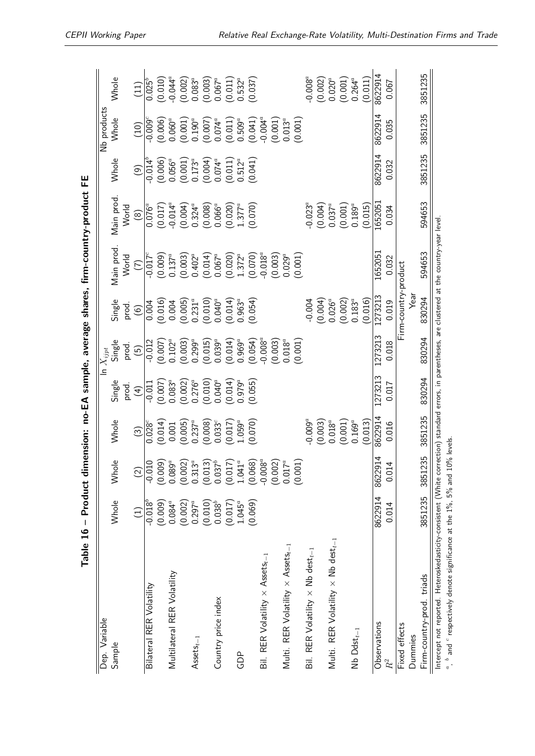<span id="page-38-0"></span>

|                                                                                                                                                   |              |                                                                                    |                          |                                 |                                 |                        |                     | Table 16 - Product dimension: no-EA sample, average shares, firm-country-product FE |                                 |                                 |                                 |
|---------------------------------------------------------------------------------------------------------------------------------------------------|--------------|------------------------------------------------------------------------------------|--------------------------|---------------------------------|---------------------------------|------------------------|---------------------|-------------------------------------------------------------------------------------|---------------------------------|---------------------------------|---------------------------------|
| Variable<br>Dep.                                                                                                                                  |              |                                                                                    |                          |                                 | $\overline{\ln}\; X_{ijpt}$     |                        |                     |                                                                                     |                                 | Nb products                     |                                 |
| Sample                                                                                                                                            | Whole        | Whole                                                                              | Whole                    | Single                          | Single                          | Single                 | Main prod           | Main prod.                                                                          | <b>Whole</b>                    | Whole                           | Whole                           |
|                                                                                                                                                   |              |                                                                                    |                          | prod.                           | prod.                           | prod.                  | World               | World                                                                               |                                 |                                 |                                 |
|                                                                                                                                                   | Ξ            | $\widetilde{\varrho}$                                                              | $\widehat{S}$            | $\left( 4\right)$               | $\widetilde{5}$                 | $\widehat{6}$          | $\widehat{\subset}$ | $\circledR$                                                                         | $\odot$                         | (10)                            | (11)                            |
| Bilateral RER Volatility                                                                                                                          | $-0.018^{b}$ | $-0.010$                                                                           | $0.028^c$                | $-0.011$                        | $-0.012$                        | 0.004                  | $-0.017^{\circ}$    | $0.076^{a}$                                                                         | $-0.014^{b}$                    | $-0.009^\circ$                  | $0.025^{b}$                     |
|                                                                                                                                                   | (0.009)      | $(0.009)$<br>$0.089^a$<br>$(0.002)$<br>$0.313^a$                                   | (0.014)                  | (0.007)                         | (0.007)                         | (0.016)                | (0.009)             | $(0.017)$<br>-0.014 <sup>a</sup>                                                    | $(0.006)$<br>0.056 <sup>a</sup> | $(0.006)$<br>0.060 <sup>a</sup> | (0.010)                         |
| Multilateral RER Volatility                                                                                                                       | $0.084^{a}$  |                                                                                    | 0.001                    | $0.083^{a}$                     | $0.102^{a}$                     | 0.004                  | $0.137^a$           |                                                                                     |                                 |                                 | $-0.044^a$                      |
|                                                                                                                                                   | (0.002)      |                                                                                    | (0.005)                  | $(0.002)$<br>0.276 <sup>a</sup> | (0.003)                         | (0.005)                | (0.003)             | $(0.004)$<br>0.324 <sup>a</sup>                                                     | $(0.001)$<br>0.173 <sup>a</sup> | $(0.001)$<br>$0.190^a$          | $(0.002)$<br>0.083 <sup>a</sup> |
| $\mathsf{Assets}_{t-1}$                                                                                                                           | $0.297^a$    |                                                                                    | $0.237^{a}$              |                                 | $0.299^{a}$                     | $0.231^{a}$            | $0.402^a$           |                                                                                     |                                 |                                 |                                 |
|                                                                                                                                                   | (0.010)      | $\begin{array}{c} (0.013) \\ 0.037^b \\ (0.017) \\ 1.041^a \\ (0.068) \end{array}$ | $(0.008)$<br>$0.033^{c}$ | (0.010)                         | $(0.015)$<br>0.039 <sup>a</sup> | $(0.010)$<br>$0.040^a$ | (0.014)             | $(0.008)$<br>0.066 <sup>a</sup>                                                     | (0.004)                         | $(0.007)$<br>0.074 <sup>a</sup> | $(0.003)$<br>0.067 <sup>a</sup> |
| Country price index                                                                                                                               | $0.038^{b}$  |                                                                                    |                          | $0.040^{a}$                     |                                 |                        | $0.067^a$           |                                                                                     | $0.074^a$                       |                                 |                                 |
|                                                                                                                                                   | (0.017)      |                                                                                    | (0.017)                  | (0.014)                         | (0.014)                         | (0.014)                | (0.020)             | $(0.020)$<br>1.377 <sup>a</sup>                                                     | (0.011)                         | (0.011)                         | (0.011)                         |
| GDP                                                                                                                                               | $1.045^a$    |                                                                                    | $1.059^a$                | $0.979^{a}$                     | $0.969^{a}$                     | $0.963^a$              | $1.372^{a}$         |                                                                                     | $0.512^{a}$                     | $0.509^a$                       | $0.532^{a}$                     |
|                                                                                                                                                   | (0.069)      |                                                                                    | (0.070)                  | (0.055)                         | (0.054)                         | (0.054)                | (0.070)             | (0.070)                                                                             | (0.041)                         | (0.041)                         | (0.037)                         |
| Bil. RER Volatility $\times$ Assets <sub>t-1</sub>                                                                                                |              | $-0.008^a$                                                                         |                          |                                 | $-0.008^a$                      |                        | $-0.018^a$          |                                                                                     |                                 | $-0.004^a$                      |                                 |
|                                                                                                                                                   |              |                                                                                    |                          |                                 | (0.003)                         |                        | (0.003)             |                                                                                     |                                 | (0.001)                         |                                 |
| Multi. RER Volatility $\times$ Assets <sub>t-1</sub>                                                                                              |              | $(0.002)$<br>$0.017^a$<br>$(0.001)$                                                |                          |                                 | $0.018^{a}$                     |                        | $0.029^a$           |                                                                                     |                                 | $0.013^{a}$                     |                                 |
|                                                                                                                                                   |              |                                                                                    |                          |                                 | (0.001)                         |                        | (0.001)             |                                                                                     |                                 | (0.001)                         |                                 |
| Bil. RER Volatility $\times$ Nb dest <sub>t-1</sub>                                                                                               |              |                                                                                    | $-0.009^{a}$             |                                 |                                 | $-0.004$               |                     | $-0.023^{a}$                                                                        |                                 |                                 | $-0.008^a$                      |
|                                                                                                                                                   |              |                                                                                    | (0.003)                  |                                 |                                 | (0.004)                |                     | (0.004)                                                                             |                                 |                                 | (0.002)                         |
| Multi. RER Volatility $\times$ Nb dest <sub>t-1</sub>                                                                                             |              |                                                                                    | $0.018^{a}$              |                                 |                                 | $0.026^{a}$            |                     | $0.037^a$                                                                           |                                 |                                 | $0.020$ <sup>a</sup>            |
|                                                                                                                                                   |              |                                                                                    | (0.001)                  |                                 |                                 | (0.002)                |                     | (0.001)                                                                             |                                 |                                 | (0.001)                         |
| $Nb$ Ddst $_{t-1}$                                                                                                                                |              |                                                                                    | $0.169^a$                |                                 |                                 | $0.183^{a}$            |                     | $0.189^a$                                                                           |                                 |                                 | $0.264^{a}$                     |
|                                                                                                                                                   |              |                                                                                    | (0.013)                  |                                 |                                 | (0.016)                |                     | (0.015)                                                                             |                                 |                                 | (0.011)                         |
| Observations                                                                                                                                      | 8622914      | 8622914                                                                            | 8622914                  | 1273213                         | 1273213                         | 1273213                | 1652051             | 1652051                                                                             | 8622914                         | 8622914                         | 8622914                         |
| $R^2$                                                                                                                                             | 0.014        | 0.014                                                                              | 0.016                    | 0.017                           | 0.018                           | 0.019                  | 0.032               | 0.034                                                                               | 0.032                           | 0.035                           | 0.067                           |
| Fixed effects                                                                                                                                     |              |                                                                                    |                          |                                 |                                 | Firm-country-product   |                     |                                                                                     |                                 |                                 |                                 |
| Dummies                                                                                                                                           |              |                                                                                    |                          |                                 |                                 | ⊽<br>Vea               |                     |                                                                                     |                                 |                                 |                                 |
| Firm-country-prod. triads                                                                                                                         | 3851235      | 3851235                                                                            | 3851235                  | 830294                          | 830294                          | 830294                 | 594653              | 594653                                                                              | 3851235                         | 3851235                         | 3851235                         |
| Intercept not reported. Heteroskedasticity-consistent (White correction) standard errors, in parentheses, are clustered at the country-year level |              |                                                                                    |                          |                                 |                                 |                        |                     |                                                                                     |                                 |                                 |                                 |
| $a$ , $b$ and $c$ respectively denote significance at the 1%, 5% and 10% levels.                                                                  |              |                                                                                    |                          |                                 |                                 |                        |                     |                                                                                     |                                 |                                 |                                 |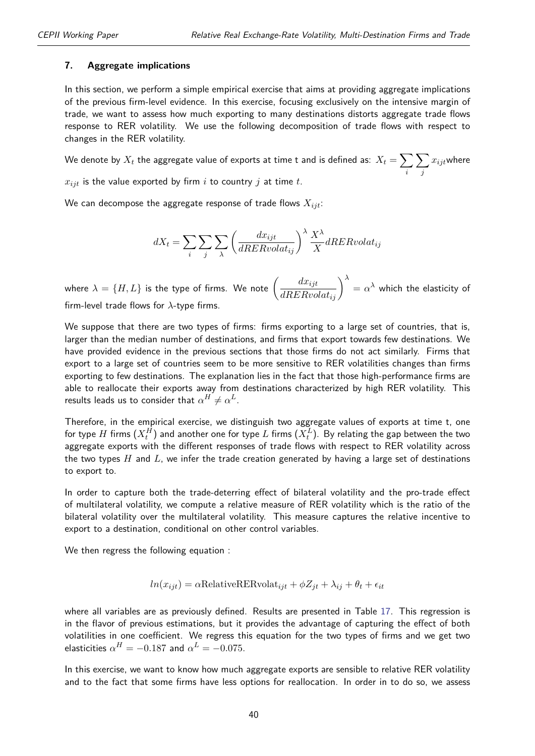#### <span id="page-39-0"></span>**7. Aggregate implications**

In this section, we perform a simple empirical exercise that aims at providing aggregate implications of the previous firm-level evidence. In this exercise, focusing exclusively on the intensive margin of trade, we want to assess how much exporting to many destinations distorts aggregate trade flows response to RER volatility. We use the following decomposition of trade flows with respect to changes in the RER volatility.

We denote by  $X_t$  the aggregate value of exports at time t and is defined as:  $X_t = \sum_t$ *i*  $\sum$ *j*  $x_{ijt}$ where

 $x_{ijt}$  is the value exported by firm  $i$  to country  $j$  at time  $t$ .

We can decompose the aggregate response of trade flows *Xijt*:

$$
dX_t = \sum_i \sum_j \sum_{\lambda} \left( \frac{dx_{ijt}}{dRERvolat_{ij}} \right)^{\lambda} \frac{X^{\lambda}}{X} dRERvolat_{ij}
$$

where  $\lambda = \{H,L\}$  is the type of firms. We note  $\left(\frac{dx_{ijt}}{dRERvolat_{ij}}\right)^{\lambda}$  $\alpha = \alpha^\lambda$  which the elasticity of firm-level trade flows for *λ*-type firms.

We suppose that there are two types of firms: firms exporting to a large set of countries, that is, larger than the median number of destinations, and firms that export towards few destinations. We have provided evidence in the previous sections that those firms do not act similarly. Firms that export to a large set of countries seem to be more sensitive to RER volatilities changes than firms exporting to few destinations. The explanation lies in the fact that those high-performance firms are able to reallocate their exports away from destinations characterized by high RER volatility. This results leads us to consider that  $\alpha^H \neq \alpha^L$ .

Therefore, in the empirical exercise, we distinguish two aggregate values of exports at time t, one for type  $H$  firms  $(X_t^H)$  and another one for type  $L$  firms  $(X_t^L).$  By relating the gap between the two aggregate exports with the different responses of trade flows with respect to RER volatility across the two types *H* and *L*, we infer the trade creation generated by having a large set of destinations to export to.

In order to capture both the trade-deterring effect of bilateral volatility and the pro-trade effect of multilateral volatility, we compute a relative measure of RER volatility which is the ratio of the bilateral volatility over the multilateral volatility. This measure captures the relative incentive to export to a destination, conditional on other control variables.

We then regress the following equation :

$$
ln(x_{ijt}) = \alpha \text{RelativeRERvolat}_{ijt} + \phi Z_{jt} + \lambda_{ij} + \theta_t + \epsilon_{it}
$$

where all variables are as previously defined. Results are presented in Table [17.](#page-40-1) This regression is in the flavor of previous estimations, but it provides the advantage of capturing the effect of both volatilities in one coefficient. We regress this equation for the two types of firms and we get two elasticities  $\alpha^{H}=-0.187$  and  $\alpha^{L}=-0.075.$ 

In this exercise, we want to know how much aggregate exports are sensible to relative RER volatility and to the fact that some firms have less options for reallocation. In order in to do so, we assess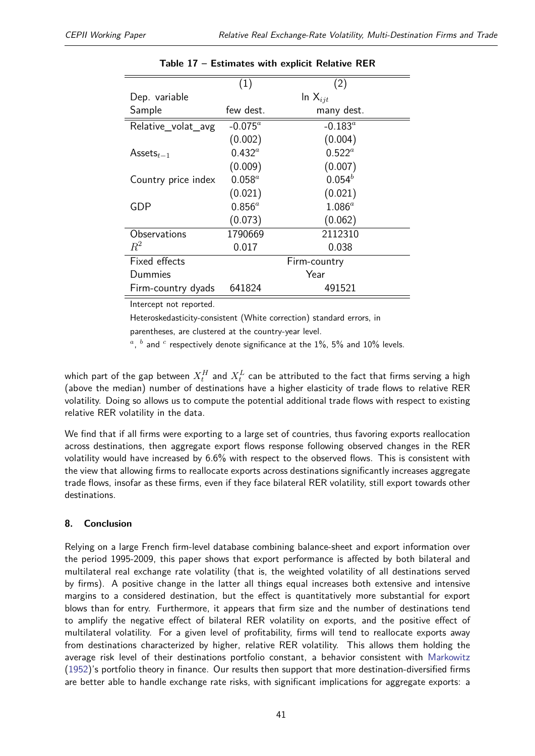<span id="page-40-1"></span>

|                     | (1)             | (2)          |
|---------------------|-----------------|--------------|
| Dep. variable       |                 | In $X_{iit}$ |
| Sample              | few dest.       | many dest.   |
| Relative_volat_avg  | $-0.075^a$      | $-0.183^a$   |
|                     | (0.002)         | (0.004)      |
| Assets $_{t-1}$     | $0.432^{\circ}$ | $0.522^a$    |
|                     | (0.009)         | (0.007)      |
| Country price index | $0.058^a$       | $0.054^{b}$  |
|                     | (0.021)         | (0.021)      |
| GDP                 | $0.856^a$       | $1.086^a$    |
|                     | (0.073)         | (0.062)      |
| Observations        | 1790669         | 2112310      |
| $R^2$               | 0.017           | 0.038        |
| Fixed effects       |                 | Firm-country |
| Dummies             |                 | Year         |
| Firm-country dyads  | 641824          | 491521       |

#### **Table 17 – Estimates with explicit Relative RER**

Intercept not reported.

Heteroskedasticity-consistent (White correction) standard errors, in

parentheses, are clustered at the country-year level.

 $a$ ,  $b$  and  $c$  respectively denote significance at the 1%, 5% and 10% levels.

which part of the gap between  $X_t^H$  and  $X_t^L$  can be attributed to the fact that firms serving a high (above the median) number of destinations have a higher elasticity of trade flows to relative RER volatility. Doing so allows us to compute the potential additional trade flows with respect to existing relative RER volatility in the data.

We find that if all firms were exporting to a large set of countries, thus favoring exports reallocation across destinations, then aggregate export flows response following observed changes in the RER volatility would have increased by 6.6% with respect to the observed flows. This is consistent with the view that allowing firms to reallocate exports across destinations significantly increases aggregate trade flows, insofar as these firms, even if they face bilateral RER volatility, still export towards other destinations.

#### <span id="page-40-0"></span>**8. Conclusion**

Relying on a large French firm-level database combining balance-sheet and export information over the period 1995-2009, this paper shows that export performance is affected by both bilateral and multilateral real exchange rate volatility (that is, the weighted volatility of all destinations served by firms). A positive change in the latter all things equal increases both extensive and intensive margins to a considered destination, but the effect is quantitatively more substantial for export blows than for entry. Furthermore, it appears that firm size and the number of destinations tend to amplify the negative effect of bilateral RER volatility on exports, and the positive effect of multilateral volatility. For a given level of profitability, firms will tend to reallocate exports away from destinations characterized by higher, relative RER volatility. This allows them holding the average risk level of their destinations portfolio constant, a behavior consistent with [Markowitz](#page-42-6) [\(1952\)](#page-42-6)'s portfolio theory in finance. Our results then support that more destination-diversified firms are better able to handle exchange rate risks, with significant implications for aggregate exports: a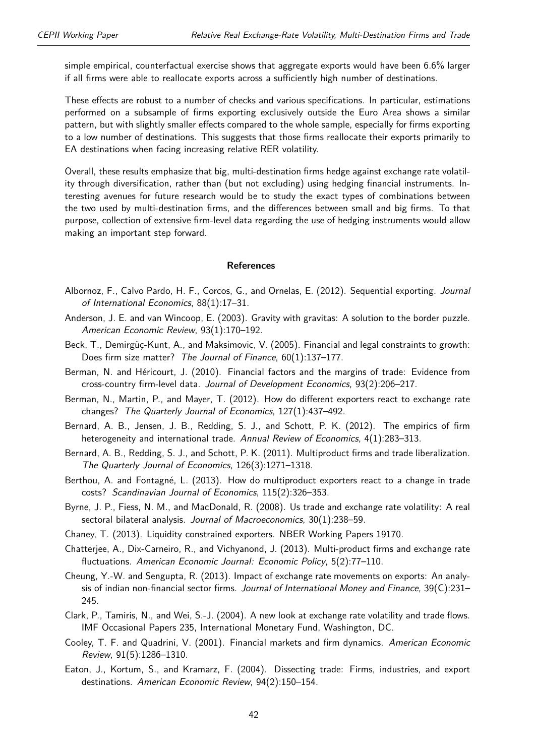simple empirical, counterfactual exercise shows that aggregate exports would have been 6.6% larger if all firms were able to reallocate exports across a sufficiently high number of destinations.

These effects are robust to a number of checks and various specifications. In particular, estimations performed on a subsample of firms exporting exclusively outside the Euro Area shows a similar pattern, but with slightly smaller effects compared to the whole sample, especially for firms exporting to a low number of destinations. This suggests that those firms reallocate their exports primarily to EA destinations when facing increasing relative RER volatility.

Overall, these results emphasize that big, multi-destination firms hedge against exchange rate volatility through diversification, rather than (but not excluding) using hedging financial instruments. Interesting avenues for future research would be to study the exact types of combinations between the two used by multi-destination firms, and the differences between small and big firms. To that purpose, collection of extensive firm-level data regarding the use of hedging instruments would allow making an important step forward.

#### **References**

- <span id="page-41-14"></span>Albornoz, F., Calvo Pardo, H. F., Corcos, G., and Ornelas, E. (2012). Sequential exporting. Journal of International Economics, 88(1):17–31.
- <span id="page-41-7"></span>Anderson, J. E. and van Wincoop, E. (2003). Gravity with gravitas: A solution to the border puzzle. American Economic Review, 93(1):170–192.
- <span id="page-41-9"></span>Beck, T., Demirgüç-Kunt, A., and Maksimovic, V. (2005). Financial and legal constraints to growth: Does firm size matter? The Journal of Finance, 60(1):137–177.
- <span id="page-41-11"></span>Berman, N. and Héricourt, J. (2010). Financial factors and the margins of trade: Evidence from cross-country firm-level data. Journal of Development Economics, 93(2):206–217.
- <span id="page-41-3"></span>Berman, N., Martin, P., and Mayer, T. (2012). How do different exporters react to exchange rate changes? The Quarterly Journal of Economics, 127(1):437–492.
- <span id="page-41-2"></span>Bernard, A. B., Jensen, J. B., Redding, S. J., and Schott, P. K. (2012). The empirics of firm heterogeneity and international trade. Annual Review of Economics, 4(1):283-313.
- <span id="page-41-5"></span>Bernard, A. B., Redding, S. J., and Schott, P. K. (2011). Multiproduct firms and trade liberalization. The Quarterly Journal of Economics, 126(3):1271–1318.
- <span id="page-41-6"></span>Berthou, A. and Fontagné, L. (2013). How do multiproduct exporters react to a change in trade costs? Scandinavian Journal of Economics, 115(2):326–353.
- <span id="page-41-0"></span>Byrne, J. P., Fiess, N. M., and MacDonald, R. (2008). Us trade and exchange rate volatility: A real sectoral bilateral analysis. Journal of Macroeconomics, 30(1):238-59.
- <span id="page-41-10"></span>Chaney, T. (2013). Liquidity constrained exporters. NBER Working Papers 19170.
- <span id="page-41-4"></span>Chatterjee, A., Dix-Carneiro, R., and Vichyanond, J. (2013). Multi-product firms and exchange rate fluctuations. American Economic Journal: Economic Policy, 5(2):77–110.
- <span id="page-41-1"></span>Cheung, Y.-W. and Sengupta, R. (2013). Impact of exchange rate movements on exports: An analysis of indian non-financial sector firms. Journal of International Money and Finance, 39(C):231– 245.
- <span id="page-41-12"></span>Clark, P., Tamiris, N., and Wei, S.-J. (2004). A new look at exchange rate volatility and trade flows. IMF Occasional Papers 235, International Monetary Fund, Washington, DC.
- <span id="page-41-13"></span>Cooley, T. F. and Quadrini, V. (2001). Financial markets and firm dynamics. American Economic Review, 91(5):1286–1310.
- <span id="page-41-8"></span>Eaton, J., Kortum, S., and Kramarz, F. (2004). Dissecting trade: Firms, industries, and export destinations. American Economic Review, 94(2):150–154.